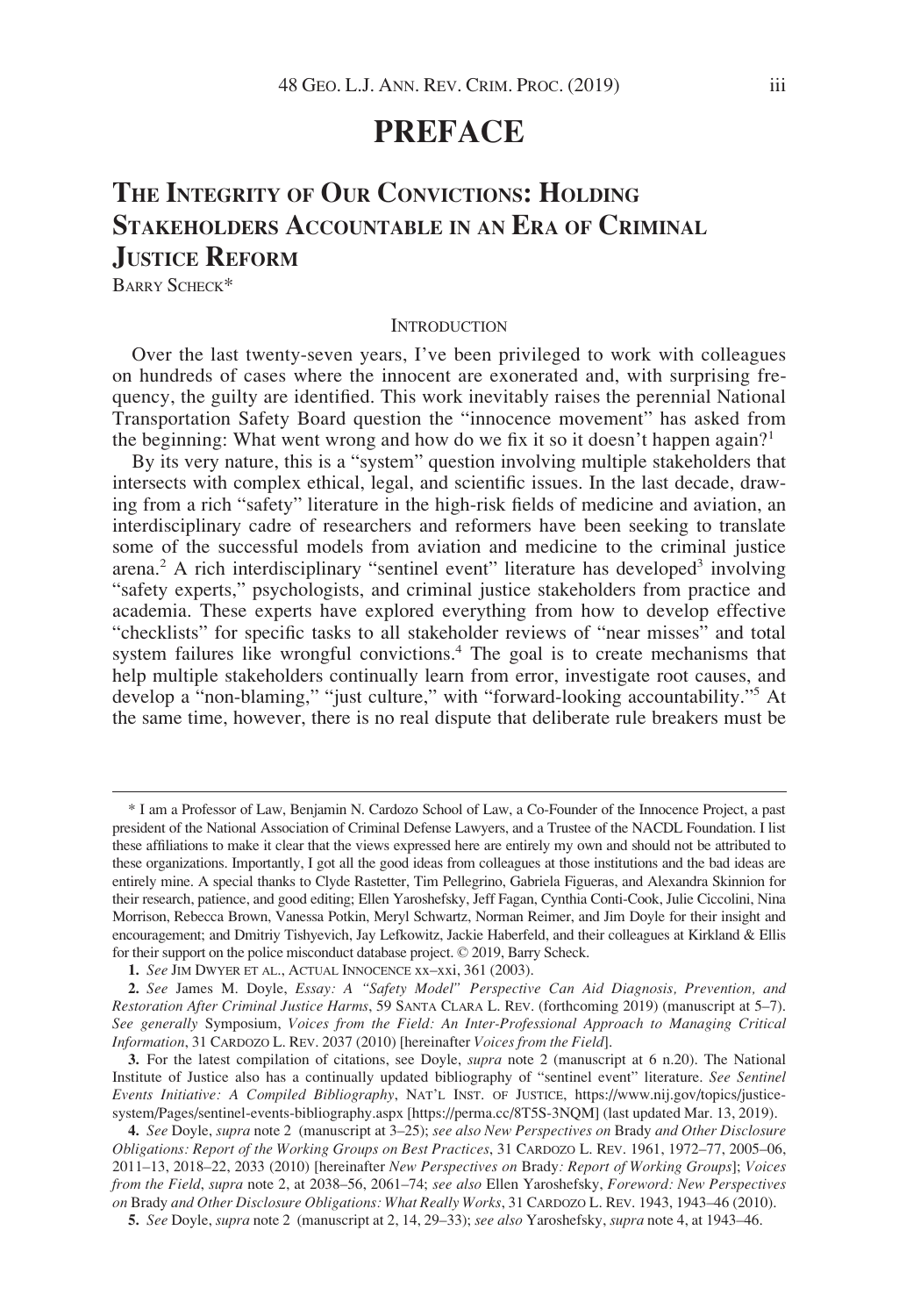# **PREFACE**

# THE INTEGRITY OF OUR CONVICTIONS: HOLDING STAKEHOLDERS ACCOUNTABLE IN AN ERA OF CRIMINAL JUSTICE REFORM

BARRY SCHECK\*

#### **INTRODUCTION**

Over the last twenty-seven years, I've been privileged to work with colleagues on hundreds of cases where the innocent are exonerated and, with surprising frequency, the guilty are identified. This work inevitably raises the perennial National Transportation Safety Board question the "innocence movement" has asked from the beginning: What went wrong and how do we fix it so it doesn't happen again?<sup>1</sup>

By its very nature, this is a "system" question involving multiple stakeholders that intersects with complex ethical, legal, and scientific issues. In the last decade, drawing from a rich "safety" literature in the high-risk fields of medicine and aviation, an interdisciplinary cadre of researchers and reformers have been seeking to translate some of the successful models from aviation and medicine to the criminal justice arena.<sup>2</sup> A rich interdisciplinary "sentinel event" literature has developed<sup>3</sup> involving "safety experts," psychologists, and criminal justice stakeholders from practice and academia. These experts have explored everything from how to develop effective "checklists" for specific tasks to all stakeholder reviews of "near misses" and total system failures like wrongful convictions.<sup>4</sup> The goal is to create mechanisms that help multiple stakeholders continually learn from error, investigate root causes, and develop a "non-blaming," "just culture," with "forward-looking accountability."<sup>5</sup> At the same time, however, there is no real dispute that deliberate rule breakers must be

<sup>\*</sup> I am a Professor of Law, Benjamin N. Cardozo School of Law, a Co-Founder of the Innocence Project, a past president of the National Association of Criminal Defense Lawyers, and a Trustee of the NACDL Foundation. I list these affiliations to make it clear that the views expressed here are entirely my own and should not be attributed to these organizations. Importantly, I got all the good ideas from colleagues at those institutions and the bad ideas are entirely mine. A special thanks to Clyde Rastetter, Tim Pellegrino, Gabriela Figueras, and Alexandra Skinnion for their research, patience, and good editing; Ellen Yaroshefsky, Jeff Fagan, Cynthia Conti-Cook, Julie Ciccolini, Nina Morrison, Rebecca Brown, Vanessa Potkin, Meryl Schwartz, Norman Reimer, and Jim Doyle for their insight and encouragement; and Dmitriy Tishyevich, Jay Lefkowitz, Jackie Haberfeld, and their colleagues at Kirkland & Ellis for their support on the police misconduct database project. © 2019, Barry Scheck.

<sup>1.</sup> See JIM DWYER ET AL., ACTUAL INNOCENCE xx–xxi, 361 (2003).

<sup>2.</sup> See James M. Doyle, Essay: A "Safety Model" Perspective Can Aid Diagnosis, Prevention, and Restoration After Criminal Justice Harms, 59 SANTA CLARA L. REV. (forthcoming 2019) (manuscript at 5–7). See generally Symposium, Voices from the Field: An Inter-Professional Approach to Managing Critical Information, 31 CARDOZO L. REV. 2037 (2010) [hereinafter Voices from the Field].

<sup>3.</sup> For the latest compilation of citations, see Doyle, *supra* note 2 (manuscript at 6 n.20). The National Institute of Justice also has a continually updated bibliography of "sentinel event" literature. See Sentinel Events Initiative: A Compiled Bibliography, NAT'L INST. OF JUSTICE, [https://www.nij.gov/topics/justice](https://www.nij.gov/topics/justice-system/Pages/sentinel-events-bibliography.aspx)[system/Pages/sentinel-events-bibliography.aspx](https://www.nij.gov/topics/justice-system/Pages/sentinel-events-bibliography.aspx) [\[https://perma.cc/8T5S-3NQM\]](https://perma.cc/8T5S-3NQM) (last updated Mar. 13, 2019).

<sup>4.</sup> See Doyle, supra note 2 (manuscript at 3-25); see also New Perspectives on Brady and Other Disclosure Obligations: Report of the Working Groups on Best Practices, 31 CARDOZO L. REV. 1961, 1972–77, 2005–06, 2011–13, 2018–22, 2033 (2010) [hereinafter New Perspectives on Brady: Report of Working Groups]; Voices from the Field, supra note 2, at 2038–56, 2061–74; see also Ellen Yaroshefsky, Foreword: New Perspectives on Brady and Other Disclosure Obligations: What Really Works, 31 CARDOZO L. REV. 1943, 1943–46 (2010).

<sup>5.</sup> See Doyle, supra note 2 (manuscript at 2, 14, 29–33); see also Yaroshefsky, supra note 4, at 1943–46.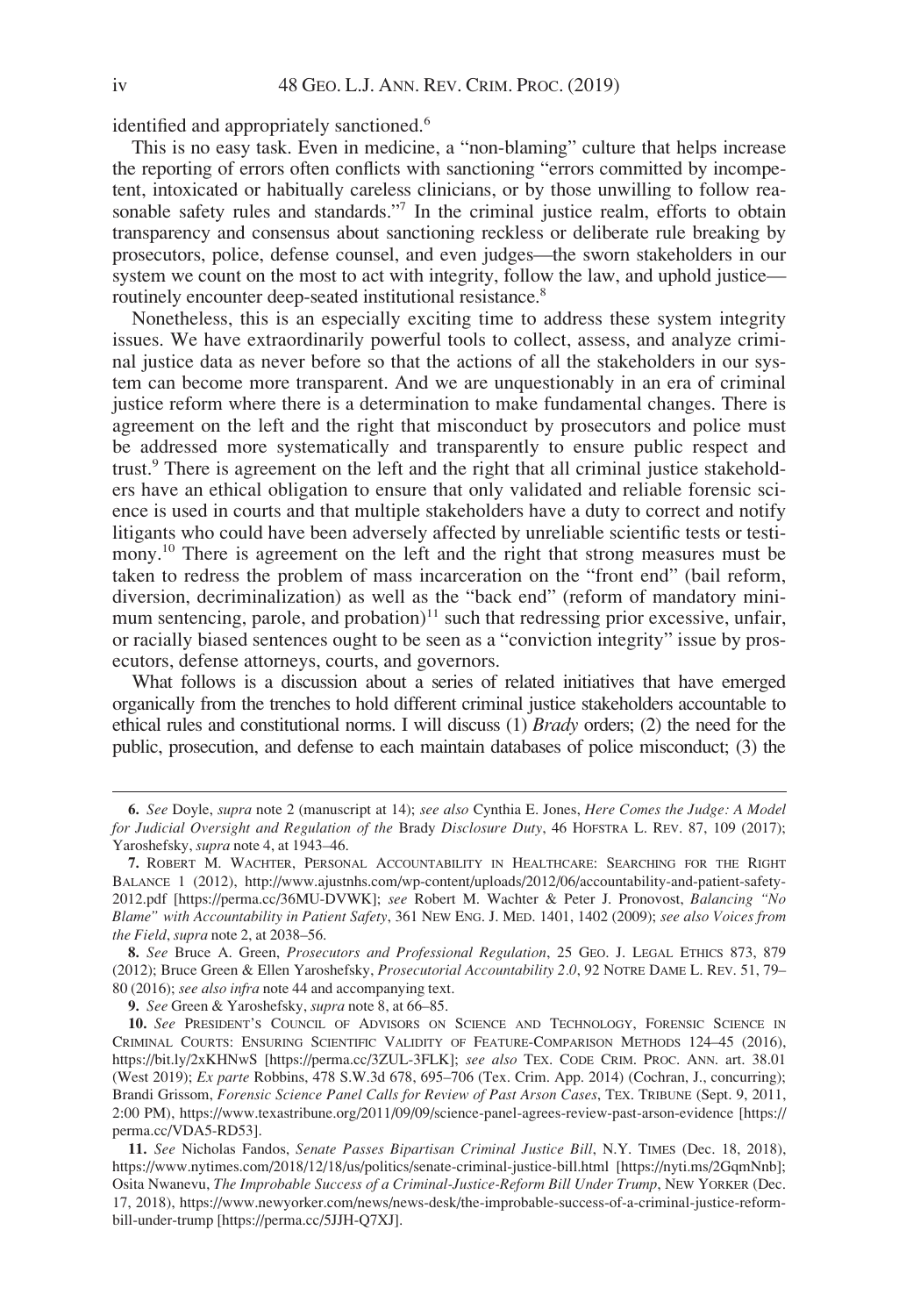identified and appropriately sanctioned.<sup>6</sup>

This is no easy task. Even in medicine, a "non-blaming" culture that helps increase the reporting of errors often conflicts with sanctioning "errors committed by incompetent, intoxicated or habitually careless clinicians, or by those unwilling to follow reasonable safety rules and standards."<sup>7</sup> In the criminal justice realm, efforts to obtain transparency and consensus about sanctioning reckless or deliberate rule breaking by prosecutors, police, defense counsel, and even judges—the sworn stakeholders in our system we count on the most to act with integrity, follow the law, and uphold justice routinely encounter deep-seated institutional resistance.<sup>8</sup>

Nonetheless, this is an especially exciting time to address these system integrity issues. We have extraordinarily powerful tools to collect, assess, and analyze criminal justice data as never before so that the actions of all the stakeholders in our system can become more transparent. And we are unquestionably in an era of criminal justice reform where there is a determination to make fundamental changes. There is agreement on the left and the right that misconduct by prosecutors and police must be addressed more systematically and transparently to ensure public respect and trust.<sup>9</sup> There is agreement on the left and the right that all criminal justice stakeholders have an ethical obligation to ensure that only validated and reliable forensic science is used in courts and that multiple stakeholders have a duty to correct and notify litigants who could have been adversely affected by unreliable scientific tests or testimony.<sup>10</sup> There is agreement on the left and the right that strong measures must be taken to redress the problem of mass incarceration on the "front end" (bail reform, diversion, decriminalization) as well as the "back end" (reform of mandatory minimum sentencing, parole, and probation)<sup> $11$ </sup> such that redressing prior excessive, unfair, or racially biased sentences ought to be seen as a "conviction integrity" issue by prosecutors, defense attorneys, courts, and governors.

What follows is a discussion about a series of related initiatives that have emerged organically from the trenches to hold different criminal justice stakeholders accountable to ethical rules and constitutional norms. I will discuss (1) Brady orders; (2) the need for the public, prosecution, and defense to each maintain databases of police misconduct; (3) the

9. See Green & Yaroshefsky, supra note 8, at 66-85.

<sup>6.</sup> See Doyle, supra note 2 (manuscript at 14); see also Cynthia E. Jones, Here Comes the Judge: A Model for Judicial Oversight and Regulation of the Brady Disclosure Duty, 46 HOFSTRA L. REV. 87, 109 (2017); Yaroshefsky, supra note 4, at 1943–46.

<sup>7.</sup> ROBERT M. WACHTER, PERSONAL ACCOUNTABILITY IN HEALTHCARE: SEARCHING FOR THE RIGHT BALANCE 1 (2012), [http://www.ajustnhs.com/wp-content/uploads/2012/06/accountability-and-patient-safety-](http://www.ajustnhs.com/wp-content/uploads/2012/06/accountability-and-patient-safety-2012.pdf)[2012.pdf](http://www.ajustnhs.com/wp-content/uploads/2012/06/accountability-and-patient-safety-2012.pdf) [\[https://perma.cc/36MU-DVWK\]](https://perma.cc/36MU-DVWK); see Robert M. Wachter & Peter J. Pronovost, Balancing "No Blame" with Accountability in Patient Safety, 361 NEW ENG. J. MED. 1401, 1402 (2009); see also Voices from the Field, supra note 2, at 2038–56.

<sup>8.</sup> See Bruce A. Green, Prosecutors and Professional Regulation, 25 GEO. J. LEGAL ETHICS 873, 879 (2012); Bruce Green & Ellen Yaroshefsky, Prosecutorial Accountability 2.0, 92 NOTRE DAME L. REV. 51, 79– 80 (2016); see also infra note 44 and accompanying text.

<sup>10.</sup> See PRESIDENT'S COUNCIL OF ADVISORS ON SCIENCE AND TECHNOLOGY, FORENSIC SCIENCE IN CRIMINAL COURTS: ENSURING SCIENTIFIC VALIDITY OF FEATURE-COMPARISON METHODS 124–45 (2016), <https://bit.ly/2xKHNwS> [\[https://perma.cc/3ZUL-3FLK](https://perma.cc/3ZUL-3FLK)]; see also TEX. CODE CRIM. PROC. ANN. art. 38.01 (West 2019); Ex parte Robbins, 478 S.W.3d 678, 695–706 (Tex. Crim. App. 2014) (Cochran, J., concurring); Brandi Grissom, Forensic Science Panel Calls for Review of Past Arson Cases, TEX. TRIBUNE (Sept. 9, 2011, 2:00 PM),<https://www.texastribune.org/2011/09/09/science-panel-agrees-review-past-arson-evidence> [\[https://](https://perma.cc/VDA5-RD53) [perma.cc/VDA5-RD53](https://perma.cc/VDA5-RD53)].

<sup>11.</sup> See Nicholas Fandos, Senate Passes Bipartisan Criminal Justice Bill, N.Y. TIMES (Dec. 18, 2018), <https://www.nytimes.com/2018/12/18/us/politics/senate-criminal-justice-bill.html> [\[https://nyti.ms/2GqmNnb\]](https://nyti.ms/2GqmNnb); Osita Nwanevu, The Improbable Success of a Criminal-Justice-Reform Bill Under Trump, NEW YORKER (Dec. 17, 2018), [https://www.newyorker.com/news/news-desk/the-improbable-success-of-a-criminal-justice-reform](https://www.newyorker.com/news/news-desk/the-improbable-success-of-a-criminal-justice-reform-bill-under-trump)[bill-under-trump](https://www.newyorker.com/news/news-desk/the-improbable-success-of-a-criminal-justice-reform-bill-under-trump) [<https://perma.cc/5JJH-Q7XJ>].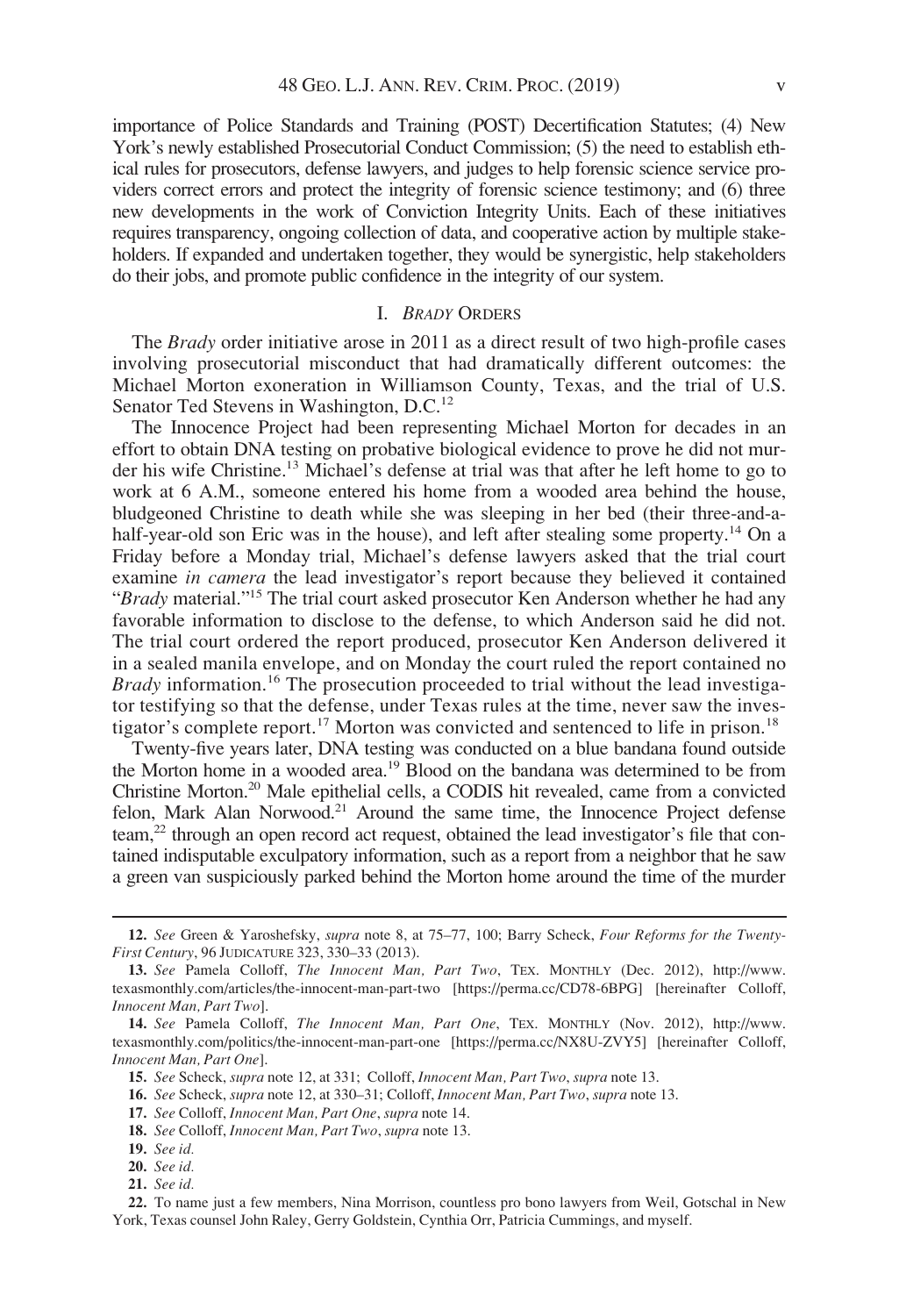importance of Police Standards and Training (POST) Decertification Statutes; (4) New York's newly established Prosecutorial Conduct Commission; (5) the need to establish ethical rules for prosecutors, defense lawyers, and judges to help forensic science service providers correct errors and protect the integrity of forensic science testimony; and (6) three new developments in the work of Conviction Integrity Units. Each of these initiatives requires transparency, ongoing collection of data, and cooperative action by multiple stakeholders. If expanded and undertaken together, they would be synergistic, help stakeholders do their jobs, and promote public confidence in the integrity of our system.

#### I. BRADY ORDERS

The *Brady* order initiative arose in 2011 as a direct result of two high-profile cases involving prosecutorial misconduct that had dramatically different outcomes: the Michael Morton exoneration in Williamson County, Texas, and the trial of U.S. Senator Ted Stevens in Washington, D.C.<sup>12</sup>

The Innocence Project had been representing Michael Morton for decades in an effort to obtain DNA testing on probative biological evidence to prove he did not murder his wife Christine.<sup>13</sup> Michael's defense at trial was that after he left home to go to work at 6 A.M., someone entered his home from a wooded area behind the house, bludgeoned Christine to death while she was sleeping in her bed (their three-and-ahalf-year-old son Eric was in the house), and left after stealing some property.<sup>14</sup> On a Friday before a Monday trial, Michael's defense lawyers asked that the trial court examine in camera the lead investigator's report because they believed it contained "Brady material."<sup>15</sup> The trial court asked prosecutor Ken Anderson whether he had any favorable information to disclose to the defense, to which Anderson said he did not. The trial court ordered the report produced, prosecutor Ken Anderson delivered it in a sealed manila envelope, and on Monday the court ruled the report contained no *Brady* information.<sup>16</sup> The prosecution proceeded to trial without the lead investigator testifying so that the defense, under Texas rules at the time, never saw the investigator's complete report.<sup>17</sup> Morton was convicted and sentenced to life in prison.<sup>18</sup>

Twenty-five years later, DNA testing was conducted on a blue bandana found outside the Morton home in a wooded area.19 Blood on the bandana was determined to be from Christine Morton.20 Male epithelial cells, a CODIS hit revealed, came from a convicted felon, Mark Alan Norwood.<sup>21</sup> Around the same time, the Innocence Project defense team,<sup>22</sup> through an open record act request, obtained the lead investigator's file that contained indisputable exculpatory information, such as a report from a neighbor that he saw a green van suspiciously parked behind the Morton home around the time of the murder

<sup>12.</sup> See Green & Yaroshefsky, supra note 8, at 75–77, 100; Barry Scheck, Four Reforms for the Twenty-First Century, 96 JUDICATURE 323, 330–33 (2013).

<sup>13.</sup> See Pamela Colloff, The Innocent Man, Part Two, TEX. MONTHLY (Dec. 2012), [http://www.](http://www.texasmonthly.com/articles/the-innocent-man-part-two) [texasmonthly.com/articles/the-innocent-man-part-two](http://www.texasmonthly.com/articles/the-innocent-man-part-two) [[https://perma.cc/CD78-6BPG\]](https://perma.cc/CD78-6BPG) [hereinafter Colloff, Innocent Man, Part Two].

<sup>14.</sup> See Pamela Colloff, The Innocent Man, Part One, TEX. MONTHLY (Nov. 2012), [http://www.](http://www.texasmonthly.com/politics/the-innocent-man-part-one) [texasmonthly.com/politics/the-innocent-man-part-one](http://www.texasmonthly.com/politics/the-innocent-man-part-one) [[https://perma.cc/NX8U-ZVY5\]](https://perma.cc/NX8U-ZVY5) [hereinafter Colloff, Innocent Man, Part One].

<sup>15.</sup> See Scheck, supra note 12, at 331; Colloff, Innocent Man, Part Two, supra note 13.

<sup>16.</sup> See Scheck, supra note 12, at 330–31; Colloff, Innocent Man, Part Two, supra note 13.

<sup>17.</sup> See Colloff, Innocent Man, Part One, supra note 14.

<sup>18.</sup> See Colloff, Innocent Man, Part Two, supra note 13.

<sup>19.</sup> See id.

<sup>20.</sup> See id.

<sup>21.</sup> See id.

<sup>22.</sup> To name just a few members, Nina Morrison, countless pro bono lawyers from Weil, Gotschal in New York, Texas counsel John Raley, Gerry Goldstein, Cynthia Orr, Patricia Cummings, and myself.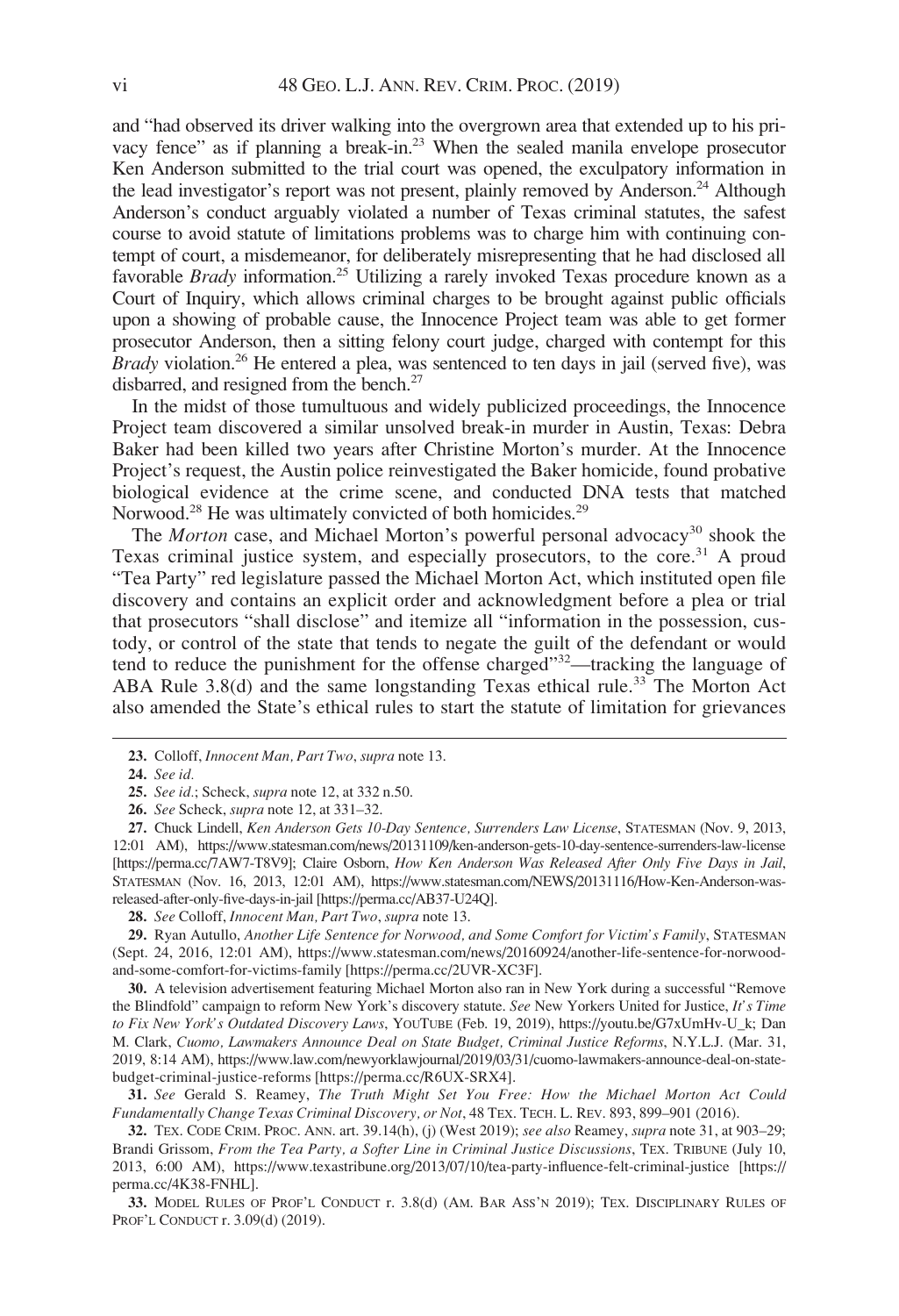and "had observed its driver walking into the overgrown area that extended up to his privacy fence" as if planning a break-in.<sup>23</sup> When the sealed manila envelope prosecutor Ken Anderson submitted to the trial court was opened, the exculpatory information in the lead investigator's report was not present, plainly removed by Anderson.<sup>24</sup> Although Anderson's conduct arguably violated a number of Texas criminal statutes, the safest course to avoid statute of limitations problems was to charge him with continuing contempt of court, a misdemeanor, for deliberately misrepresenting that he had disclosed all favorable Brady information.25 Utilizing a rarely invoked Texas procedure known as a Court of Inquiry, which allows criminal charges to be brought against public officials upon a showing of probable cause, the Innocence Project team was able to get former prosecutor Anderson, then a sitting felony court judge, charged with contempt for this *Brady* violation.<sup>26</sup> He entered a plea, was sentenced to ten days in jail (served five), was disbarred, and resigned from the bench.<sup>27</sup>

In the midst of those tumultuous and widely publicized proceedings, the Innocence Project team discovered a similar unsolved break-in murder in Austin, Texas: Debra Baker had been killed two years after Christine Morton's murder. At the Innocence Project's request, the Austin police reinvestigated the Baker homicide, found probative biological evidence at the crime scene, and conducted DNA tests that matched Norwood.<sup>28</sup> He was ultimately convicted of both homicides.<sup>29</sup>

The Morton case, and Michael Morton's powerful personal advocacy<sup>30</sup> shook the Texas criminal justice system, and especially prosecutors, to the core.<sup>31</sup> A proud "Tea Party" red legislature passed the Michael Morton Act, which instituted open file discovery and contains an explicit order and acknowledgment before a plea or trial that prosecutors "shall disclose" and itemize all "information in the possession, custody, or control of the state that tends to negate the guilt of the defendant or would tend to reduce the punishment for the offense charged"<sup>32</sup>—tracking the language of ABA Rule 3.8(d) and the same longstanding Texas ethical rule.<sup>33</sup> The Morton Act also amended the State's ethical rules to start the statute of limitation for grievances

28. See Colloff, Innocent Man, Part Two, supra note 13.

30. A television advertisement featuring Michael Morton also ran in New York during a successful "Remove the Blindfold" campaign to reform New York's discovery statute. See New Yorkers United for Justice, It's Time to Fix New York's Outdated Discovery Laws, YOUTUBE (Feb. 19, 2019), [https://youtu.be/G7xUmHv-U\\_k](https://youtu.be/G7xUmHv-U_k); Dan M. Clark, Cuomo, Lawmakers Announce Deal on State Budget, Criminal Justice Reforms, N.Y.L.J. (Mar. 31, 2019, 8:14 AM), [https://www.law.com/newyorklawjournal/2019/03/31/cuomo-lawmakers-announce-deal-on-state](https://www.law.com/newyorklawjournal/2019/03/31/cuomo-lawmakers-announce-deal-on-state-budget-criminal-justice-reforms)[budget-criminal-justice-reforms](https://www.law.com/newyorklawjournal/2019/03/31/cuomo-lawmakers-announce-deal-on-state-budget-criminal-justice-reforms) [\[https://perma.cc/R6UX-SRX4](https://perma.cc/R6UX-SRX4)].

31. See Gerald S. Reamey, The Truth Might Set You Free: How the Michael Morton Act Could Fundamentally Change Texas Criminal Discovery, or Not, 48 TEX. TECH. L. REV. 893, 899–901 (2016).

32. TEX. CODE CRIM. PROC. ANN. art.  $39.14(h)$ , (j) (West 2019); see also Reamey, supra note 31, at  $903-29$ ; Brandi Grissom, From the Tea Party, a Softer Line in Criminal Justice Discussions, TEX. TRIBUNE (July 10, 2013, 6:00 AM),<https://www.texastribune.org/2013/07/10/tea-party-influence-felt-criminal-justice> [\[https://](https://perma.cc/4K38-FNHL) [perma.cc/4K38-FNHL](https://perma.cc/4K38-FNHL)].

33. MODEL RULES OF PROF'L CONDUCT r. 3.8(d) (AM. BAR ASS'N 2019); TEX. DISCIPLINARY RULES OF PROF'L CONDUCT r. 3.09(d) (2019).

<sup>23.</sup> Colloff, Innocent Man, Part Two, supra note 13.

<sup>24.</sup> See id.

<sup>25.</sup> See id.; Scheck, supra note 12, at 332 n.50.

<sup>26.</sup> See Scheck, *supra* note 12, at 331–32.

<sup>27.</sup> Chuck Lindell, Ken Anderson Gets 10-Day Sentence, Surrenders Law License, STATESMAN (Nov. 9, 2013, 12:01 AM),<https://www.statesman.com/news/20131109/ken-anderson-gets-10-day-sentence-surrenders-law-license> [<https://perma.cc/7AW7-T8V9>]; Claire Osborn, How Ken Anderson Was Released After Only Five Days in Jail, STATESMAN (Nov. 16, 2013, 12:01 AM), [https://www.statesman.com/NEWS/20131116/How-Ken-Anderson-was](https://www.statesman.com/NEWS/20131116/How-Ken-Anderson-was-released-after-only-five-days-in-jail)[released-after-only-five-days-in-jail](https://www.statesman.com/NEWS/20131116/How-Ken-Anderson-was-released-after-only-five-days-in-jail) [\[https://perma.cc/AB37-U24Q](https://perma.cc/AB37-U24Q)].

<sup>29.</sup> Ryan Autullo, Another Life Sentence for Norwood, and Some Comfort for Victim's Family, STATESMAN (Sept. 24, 2016, 12:01 AM), [https://www.statesman.com/news/20160924/another-life-sentence-for-norwood](https://www.statesman.com/news/20160924/another-life-sentence-for-norwood-and-some-comfort-for-victims-family)[and-some-comfort-for-victims-family](https://www.statesman.com/news/20160924/another-life-sentence-for-norwood-and-some-comfort-for-victims-family) [\[https://perma.cc/2UVR-XC3F](https://perma.cc/2UVR-XC3F)].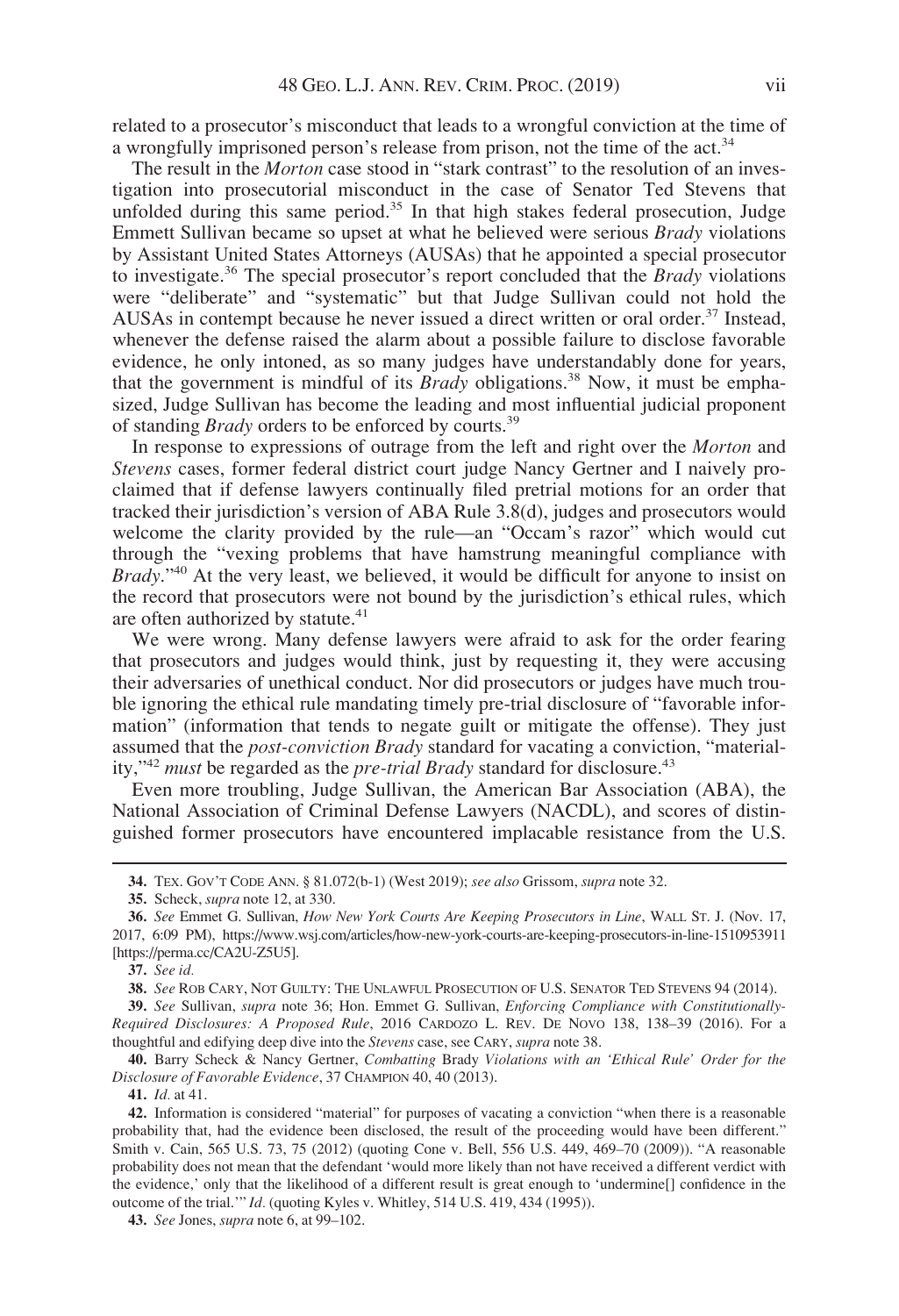related to a prosecutor's misconduct that leads to a wrongful conviction at the time of a wrongfully imprisoned person's release from prison, not the time of the act.<sup>34</sup>

The result in the *Morton* case stood in "stark contrast" to the resolution of an investigation into prosecutorial misconduct in the case of Senator Ted Stevens that unfolded during this same period.<sup>35</sup> In that high stakes federal prosecution, Judge Emmett Sullivan became so upset at what he believed were serious Brady violations by Assistant United States Attorneys (AUSAs) that he appointed a special prosecutor to investigate.<sup>36</sup> The special prosecutor's report concluded that the *Brady* violations were "deliberate" and "systematic" but that Judge Sullivan could not hold the AUSAs in contempt because he never issued a direct written or oral order.<sup>37</sup> Instead, whenever the defense raised the alarm about a possible failure to disclose favorable evidence, he only intoned, as so many judges have understandably done for years, that the government is mindful of its *Brady* obligations.<sup>38</sup> Now, it must be emphasized, Judge Sullivan has become the leading and most influential judicial proponent of standing *Brady* orders to be enforced by courts.<sup>39</sup>

In response to expressions of outrage from the left and right over the *Morton* and Stevens cases, former federal district court judge Nancy Gertner and I naively proclaimed that if defense lawyers continually filed pretrial motions for an order that tracked their jurisdiction's version of ABA Rule  $3.\overline{8}$ (d), judges and prosecutors would welcome the clarity provided by the rule—an "Occam's razor" which would cut through the "vexing problems that have hamstrung meaningful compliance with *Brady.*"<sup>40</sup> At the very least, we believed, it would be difficult for anyone to insist on the record that prosecutors were not bound by the jurisdiction's ethical rules, which are often authorized by statute.<sup>41</sup>

We were wrong. Many defense lawyers were afraid to ask for the order fearing that prosecutors and judges would think, just by requesting it, they were accusing their adversaries of unethical conduct. Nor did prosecutors or judges have much trouble ignoring the ethical rule mandating timely pre-trial disclosure of "favorable information" (information that tends to negate guilt or mitigate the offense). They just assumed that the post-conviction Brady standard for vacating a conviction, "materiality," $42$  must be regarded as the *pre-trial Brady* standard for disclosure. $43$ 

Even more troubling, Judge Sullivan, the American Bar Association (ABA), the National Association of Criminal Defense Lawyers (NACDL), and scores of distinguished former prosecutors have encountered implacable resistance from the U.S.

40. Barry Scheck & Nancy Gertner, Combatting Brady Violations with an 'Ethical Rule' Order for the Disclosure of Favorable Evidence, 37 CHAMPION 40, 40 (2013).

41. Id. at 41.

42. Information is considered "material" for purposes of vacating a conviction "when there is a reasonable probability that, had the evidence been disclosed, the result of the proceeding would have been different." Smith v. Cain, 565 U.S. 73, 75 (2012) (quoting Cone v. Bell, 556 U.S. 449, 469–70 (2009)). "A reasonable probability does not mean that the defendant 'would more likely than not have received a different verdict with the evidence,' only that the likelihood of a different result is great enough to 'undermine[] confidence in the outcome of the trial.'" Id. (quoting Kyles v. Whitley, 514 U.S. 419, 434 (1995)).

<sup>34.</sup> TEX. GOV'T CODE ANN. § 81.072(b-1) (West 2019); see also Grissom, supra note 32.

<sup>35.</sup> Scheck, supra note 12, at 330.

<sup>36.</sup> See Emmet G. Sullivan, How New York Courts Are Keeping Prosecutors in Line, WALL ST. J. (Nov. 17, 2017, 6:09 PM),<https://www.wsj.com/articles/how-new-york-courts-are-keeping-prosecutors-in-line-1510953911> [<https://perma.cc/CA2U-Z5U5>].

<sup>37.</sup> See id.

<sup>38.</sup> See ROB CARY, NOT GUILTY: THE UNLAWFUL PROSECUTION OF U.S. SENATOR TED STEVENS 94 (2014).

<sup>39.</sup> See Sullivan, supra note 36; Hon. Emmet G. Sullivan, Enforcing Compliance with Constitutionally-Required Disclosures: A Proposed Rule, 2016 CARDOZO L. REV. DE NOVO 138, 138–39 (2016). For a thoughtful and edifying deep dive into the Stevens case, see CARY, supra note 38.

<sup>43.</sup> See Jones, *supra* note 6, at 99–102.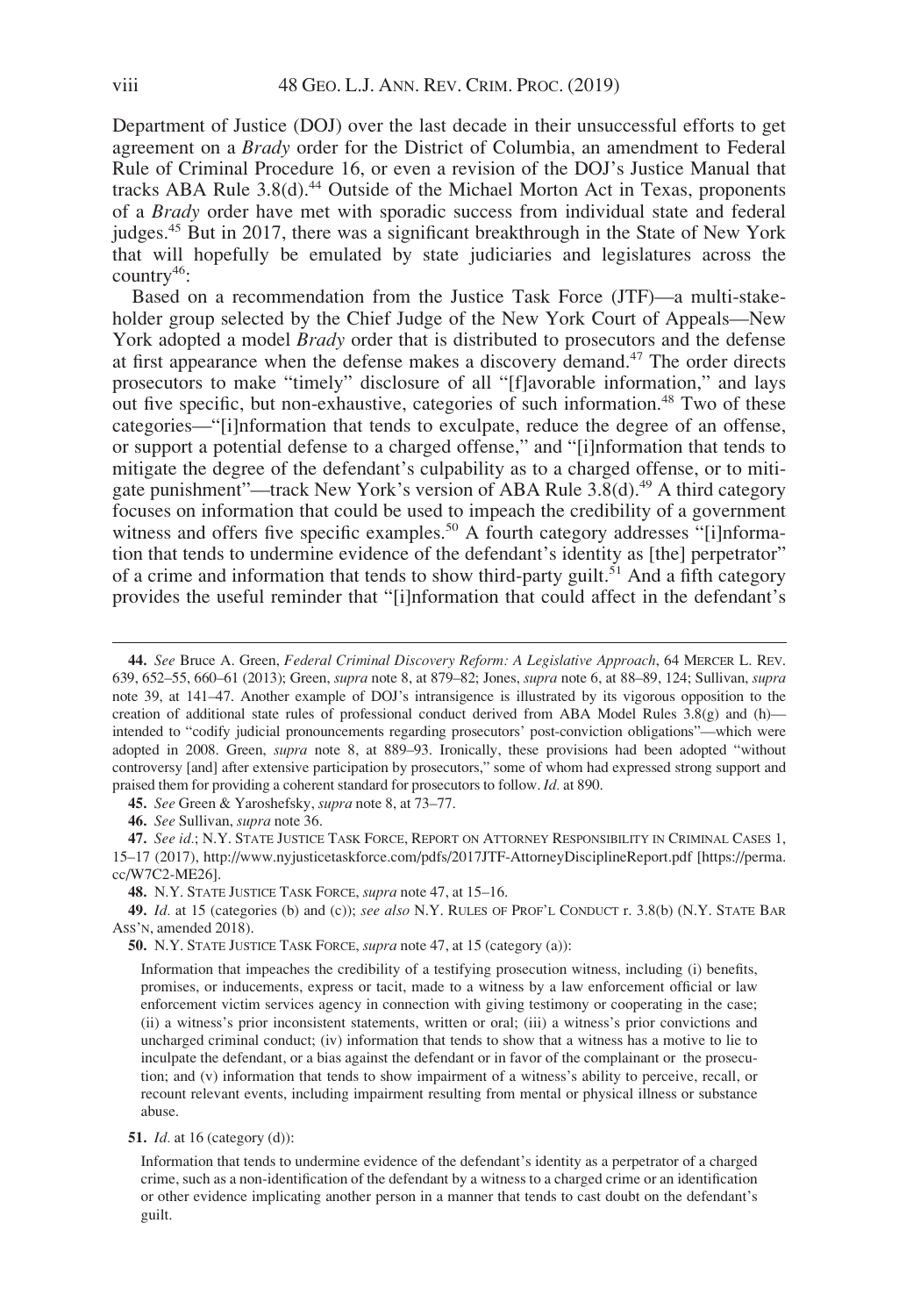Department of Justice (DOJ) over the last decade in their unsuccessful efforts to get agreement on a Brady order for the District of Columbia, an amendment to Federal Rule of Criminal Procedure 16, or even a revision of the DOJ's Justice Manual that tracks ABA Rule  $3.8(d)$ .<sup>44</sup> Outside of the Michael Morton Act in Texas, proponents of a Brady order have met with sporadic success from individual state and federal judges.45 But in 2017, there was a significant breakthrough in the State of New York that will hopefully be emulated by state judiciaries and legislatures across the  $countrv^{46}$ :

Based on a recommendation from the Justice Task Force (JTF)—a multi-stakeholder group selected by the Chief Judge of the New York Court of Appeals—New York adopted a model *Brady* order that is distributed to prosecutors and the defense at first appearance when the defense makes a discovery demand.<sup>47</sup> The order directs prosecutors to make "timely" disclosure of all "[f]avorable information," and lays out five specific, but non-exhaustive, categories of such information.<sup>48</sup> Two of these categories—"[i]nformation that tends to exculpate, reduce the degree of an offense, or support a potential defense to a charged offense," and "[i]nformation that tends to mitigate the degree of the defendant's culpability as to a charged offense, or to mitigate punishment"—track New York's version of ABA Rule  $3.8(d)$ .<sup>49</sup> A third category focuses on information that could be used to impeach the credibility of a government witness and offers five specific examples.<sup>50</sup> A fourth category addresses "[i]nformation that tends to undermine evidence of the defendant's identity as [the] perpetrator" of a crime and information that tends to show third-party guilt.<sup>51</sup> And a fifth category provides the useful reminder that "[i]nformation that could affect in the defendant's

45. See Green & Yaroshefsky, *supra* note 8, at 73–77.

46. See Sullivan, supra note 36.

47. See id.; N.Y. STATE JUSTICE TASK FORCE, REPORT ON ATTORNEY RESPONSIBILITY IN CRIMINAL CASES 1, 15–17 (2017),<http://www.nyjusticetaskforce.com/pdfs/2017JTF-AttorneyDisciplineReport.pdf> [[https://perma.](https://perma.cc/W7C2-ME26) [cc/W7C2-ME26](https://perma.cc/W7C2-ME26)].

48. N.Y. STATE JUSTICE TASK FORCE, *supra* note 47, at 15–16.

49. Id. at 15 (categories (b) and (c)); see also N.Y. RULES OF PROF'L CONDUCT r. 3.8(b) (N.Y. STATE BAR ASS'N, amended 2018).

50. N.Y. STATE JUSTICE TASK FORCE, *supra* note 47, at 15 (category (a)):

Information that impeaches the credibility of a testifying prosecution witness, including (i) benefits, promises, or inducements, express or tacit, made to a witness by a law enforcement official or law enforcement victim services agency in connection with giving testimony or cooperating in the case; (ii) a witness's prior inconsistent statements, written or oral; (iii) a witness's prior convictions and uncharged criminal conduct; (iv) information that tends to show that a witness has a motive to lie to inculpate the defendant, or a bias against the defendant or in favor of the complainant or the prosecution; and (v) information that tends to show impairment of a witness's ability to perceive, recall, or recount relevant events, including impairment resulting from mental or physical illness or substance abuse.

**51.** *Id.* at 16 (category (d)):

Information that tends to undermine evidence of the defendant's identity as a perpetrator of a charged crime, such as a non-identification of the defendant by a witness to a charged crime or an identification or other evidence implicating another person in a manner that tends to cast doubt on the defendant's guilt.

<sup>44.</sup> See Bruce A. Green, Federal Criminal Discovery Reform: A Legislative Approach, 64 MERCER L. REV. 639, 652–55, 660–61 (2013); Green, supra note 8, at 879–82; Jones, supra note 6, at 88–89, 124; Sullivan, supra note 39, at 141–47. Another example of DOJ's intransigence is illustrated by its vigorous opposition to the creation of additional state rules of professional conduct derived from ABA Model Rules 3.8(g) and (h) intended to "codify judicial pronouncements regarding prosecutors' post-conviction obligations"—which were adopted in 2008. Green, supra note 8, at 889–93. Ironically, these provisions had been adopted "without controversy [and] after extensive participation by prosecutors," some of whom had expressed strong support and praised them for providing a coherent standard for prosecutors to follow. Id. at 890.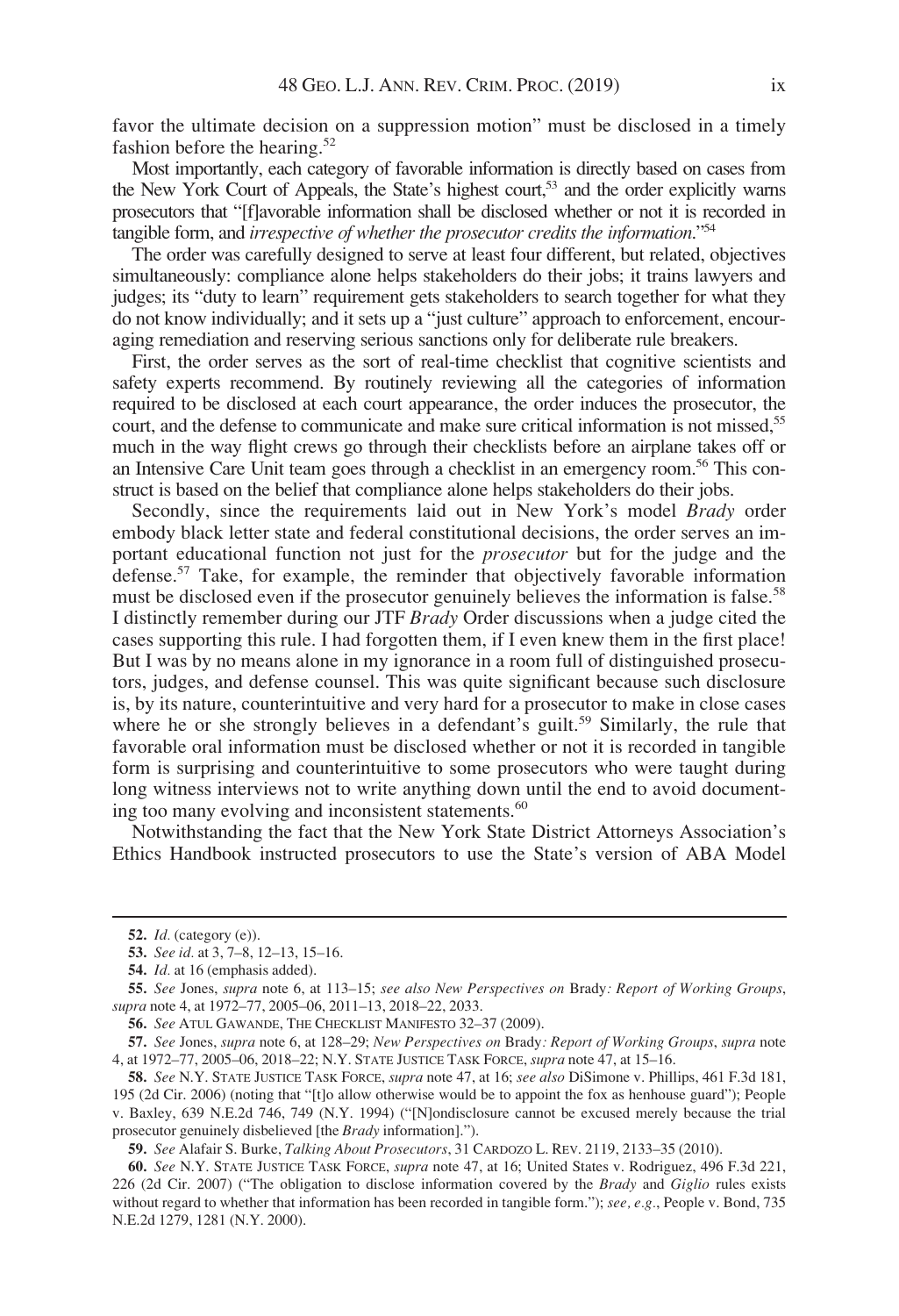favor the ultimate decision on a suppression motion" must be disclosed in a timely fashion before the hearing.<sup>52</sup>

Most importantly, each category of favorable information is directly based on cases from the New York Court of Appeals, the State's highest court,<sup>53</sup> and the order explicitly warns prosecutors that "[f]avorable information shall be disclosed whether or not it is recorded in tangible form, and *irrespective of whether the prosecutor credits the information*."<sup>54</sup>

The order was carefully designed to serve at least four different, but related, objectives simultaneously: compliance alone helps stakeholders do their jobs; it trains lawyers and judges; its "duty to learn" requirement gets stakeholders to search together for what they do not know individually; and it sets up a "just culture" approach to enforcement, encouraging remediation and reserving serious sanctions only for deliberate rule breakers.

First, the order serves as the sort of real-time checklist that cognitive scientists and safety experts recommend. By routinely reviewing all the categories of information required to be disclosed at each court appearance, the order induces the prosecutor, the court, and the defense to communicate and make sure critical information is not missed,<sup>55</sup> much in the way flight crews go through their checklists before an airplane takes off or an Intensive Care Unit team goes through a checklist in an emergency room.56 This construct is based on the belief that compliance alone helps stakeholders do their jobs.

Secondly, since the requirements laid out in New York's model *Brady* order embody black letter state and federal constitutional decisions, the order serves an important educational function not just for the prosecutor but for the judge and the defense.57 Take, for example, the reminder that objectively favorable information must be disclosed even if the prosecutor genuinely believes the information is false.<sup>58</sup> I distinctly remember during our JTF Brady Order discussions when a judge cited the cases supporting this rule. I had forgotten them, if I even knew them in the first place! But I was by no means alone in my ignorance in a room full of distinguished prosecutors, judges, and defense counsel. This was quite significant because such disclosure is, by its nature, counterintuitive and very hard for a prosecutor to make in close cases where he or she strongly believes in a defendant's guilt.<sup>59</sup> Similarly, the rule that favorable oral information must be disclosed whether or not it is recorded in tangible form is surprising and counterintuitive to some prosecutors who were taught during long witness interviews not to write anything down until the end to avoid documenting too many evolving and inconsistent statements.<sup>60</sup>

Notwithstanding the fact that the New York State District Attorneys Association's Ethics Handbook instructed prosecutors to use the State's version of ABA Model

<sup>52.</sup> Id. (category (e)).

<sup>53.</sup> See id. at 3, 7–8, 12–13, 15–16.

<sup>54.</sup> Id. at 16 (emphasis added).

<sup>55.</sup> See Jones, supra note 6, at 113–15; see also New Perspectives on Brady: Report of Working Groups, supra note 4, at 1972–77, 2005–06, 2011–13, 2018–22, 2033.

<sup>56.</sup> See ATUL GAWANDE, THE CHECKLIST MANIFESTO 32–37 (2009).

<sup>57.</sup> See Jones, supra note 6, at 128–29; New Perspectives on Brady: Report of Working Groups, supra note 4, at 1972–77, 2005–06, 2018–22; N.Y. STATE JUSTICE TASK FORCE, supra note 47, at 15–16.

<sup>58.</sup> See N.Y. STATE JUSTICE TASK FORCE, supra note 47, at 16; see also DiSimone v. Phillips, 461 F.3d 181, 195 (2d Cir. 2006) (noting that "[t]o allow otherwise would be to appoint the fox as henhouse guard"); People v. Baxley, 639 N.E.2d 746, 749 (N.Y. 1994) ("[N]ondisclosure cannot be excused merely because the trial prosecutor genuinely disbelieved [the Brady information].").

<sup>59.</sup> See Alafair S. Burke, Talking About Prosecutors, 31 CARDOZO L. REV. 2119, 2133–35 (2010).

<sup>60.</sup> See N.Y. STATE JUSTICE TASK FORCE, supra note 47, at 16; United States v. Rodriguez, 496 F.3d 221, 226 (2d Cir. 2007) ("The obligation to disclose information covered by the Brady and Giglio rules exists without regard to whether that information has been recorded in tangible form."); see, e.g., People v. Bond, 735 N.E.2d 1279, 1281 (N.Y. 2000).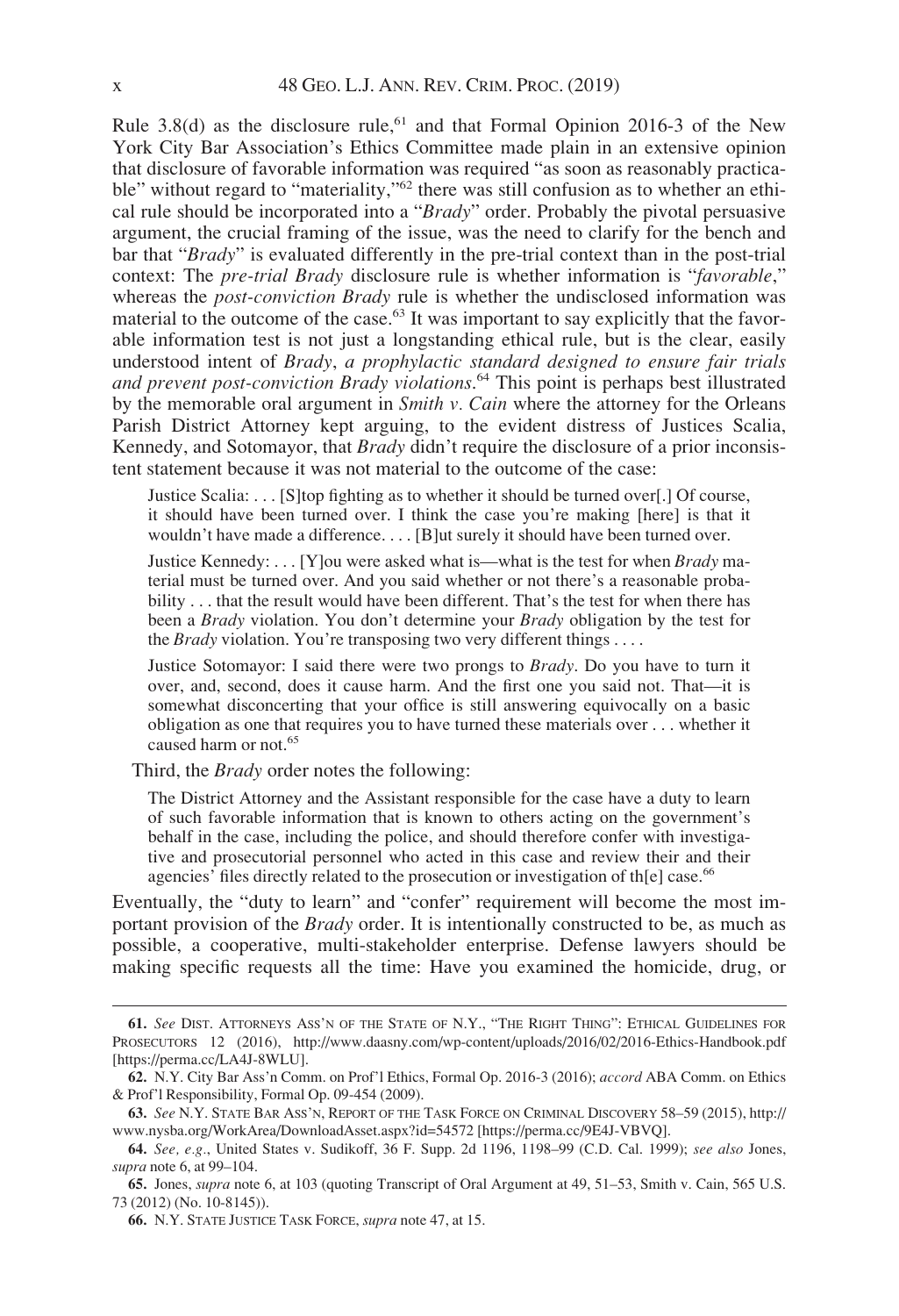Rule 3.8(d) as the disclosure rule,<sup>61</sup> and that Formal Opinion 2016-3 of the New York City Bar Association's Ethics Committee made plain in an extensive opinion that disclosure of favorable information was required "as soon as reasonably practicable" without regard to "materiality,"<sup>62</sup> there was still confusion as to whether an ethical rule should be incorporated into a "Brady" order. Probably the pivotal persuasive argument, the crucial framing of the issue, was the need to clarify for the bench and bar that "Brady" is evaluated differently in the pre-trial context than in the post-trial context: The *pre-trial Brady* disclosure rule is whether information is "*favorable*," whereas the *post-conviction Brady* rule is whether the undisclosed information was material to the outcome of the case.<sup>63</sup> It was important to say explicitly that the favorable information test is not just a longstanding ethical rule, but is the clear, easily understood intent of Brady, a prophylactic standard designed to ensure fair trials and prevent post-conviction Brady violations.<sup>64</sup> This point is perhaps best illustrated by the memorable oral argument in *Smith v. Cain* where the attorney for the Orleans Parish District Attorney kept arguing, to the evident distress of Justices Scalia, Kennedy, and Sotomayor, that *Brady* didn't require the disclosure of a prior inconsistent statement because it was not material to the outcome of the case:

Justice Scalia: . . . [S]top fighting as to whether it should be turned over[.] Of course, it should have been turned over. I think the case you're making [here] is that it wouldn't have made a difference. . . . [B]ut surely it should have been turned over.

Justice Kennedy: . . . [Y] ou were asked what is—what is the test for when  $Brady$  material must be turned over. And you said whether or not there's a reasonable probability . . . that the result would have been different. That's the test for when there has been a Brady violation. You don't determine your Brady obligation by the test for the *Brady* violation. You're transposing two very different things  $\dots$ .

Justice Sotomayor: I said there were two prongs to  $Brady$ . Do you have to turn it over, and, second, does it cause harm. And the first one you said not. That—it is somewhat disconcerting that your office is still answering equivocally on a basic obligation as one that requires you to have turned these materials over . . . whether it caused harm or not.<sup>65</sup>

Third, the *Brady* order notes the following:

The District Attorney and the Assistant responsible for the case have a duty to learn of such favorable information that is known to others acting on the government's behalf in the case, including the police, and should therefore confer with investigative and prosecutorial personnel who acted in this case and review their and their agencies' files directly related to the prosecution or investigation of th[e] case.<sup>66</sup>

Eventually, the "duty to learn" and "confer" requirement will become the most important provision of the *Brady* order. It is intentionally constructed to be, as much as possible, a cooperative, multi-stakeholder enterprise. Defense lawyers should be making specific requests all the time: Have you examined the homicide, drug, or

<sup>61.</sup> See DIST. ATTORNEYS ASS'N OF THE STATE OF N.Y., "THE RIGHT THING": ETHICAL GUIDELINES FOR PROSECUTORS 12 (2016),<http://www.daasny.com/wp-content/uploads/2016/02/2016-Ethics-Handbook.pdf> [<https://perma.cc/LA4J-8WLU>].

<sup>62.</sup> N.Y. City Bar Ass'n Comm. on Prof'l Ethics, Formal Op. 2016-3 (2016); accord ABA Comm. on Ethics & Prof'l Responsibility, Formal Op. 09-454 (2009).

<sup>63.</sup> See N.Y. STATE BAR ASS'N, REPORT OF THE TASK FORCE ON CRIMINAL DISCOVERY 58–59 (2015), [http://](http://www.nysba.org/WorkArea/DownloadAsset.aspx?id=54572) [www.nysba.org/WorkArea/DownloadAsset.aspx?id=54572](http://www.nysba.org/WorkArea/DownloadAsset.aspx?id=54572) [[https://perma.cc/9E4J-VBVQ\]](https://perma.cc/9E4J-VBVQ).

<sup>64.</sup> See, e.g., United States v. Sudikoff, 36 F. Supp. 2d 1196, 1198–99 (C.D. Cal. 1999); see also Jones, supra note 6, at 99–104.

<sup>65.</sup> Jones, supra note 6, at 103 (quoting Transcript of Oral Argument at 49, 51–53, Smith v. Cain, 565 U.S. 73 (2012) (No. 10-8145)).

<sup>66.</sup> N.Y. STATE JUSTICE TASK FORCE, supra note 47, at 15.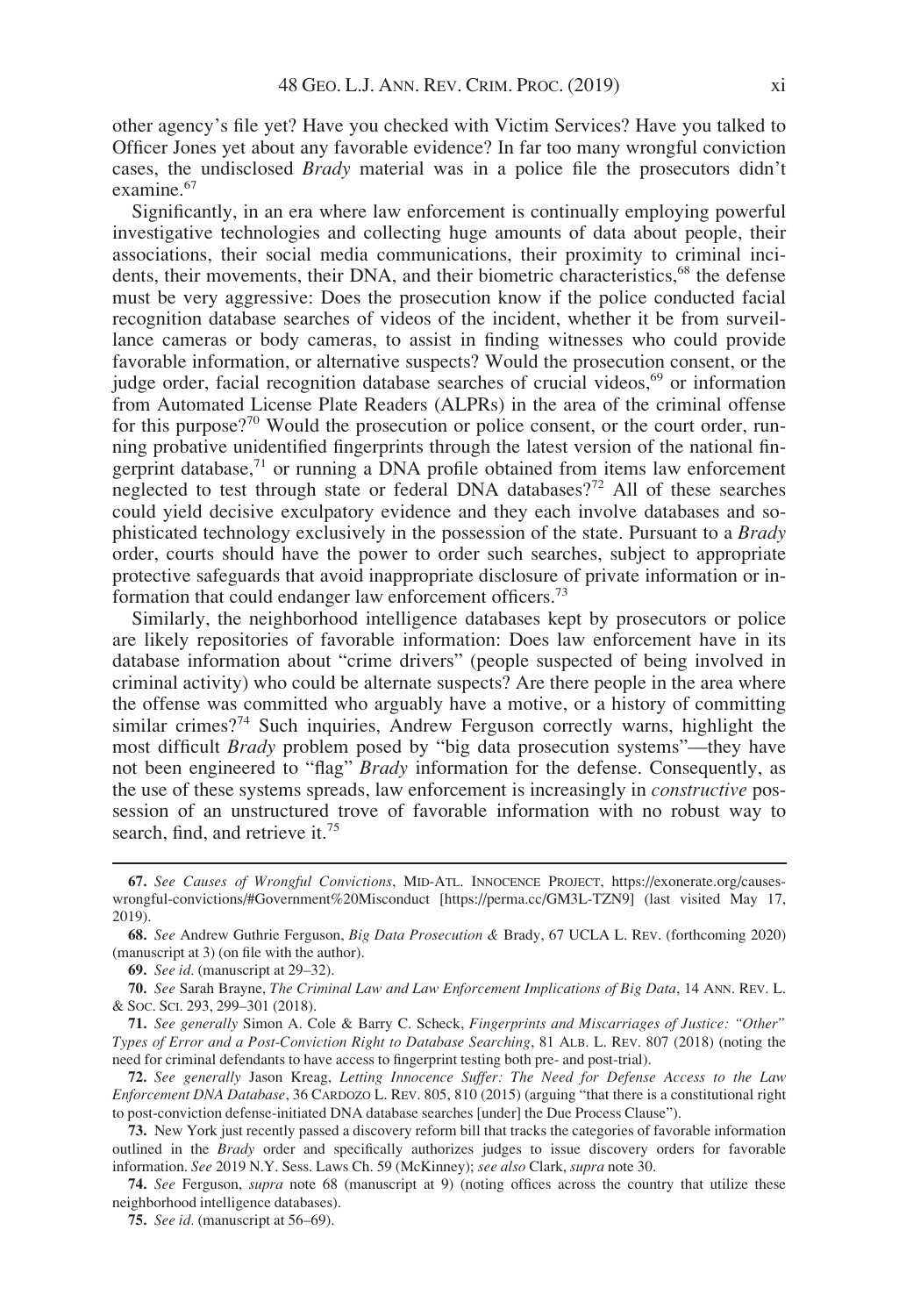other agency's file yet? Have you checked with Victim Services? Have you talked to Officer Jones yet about any favorable evidence? In far too many wrongful conviction cases, the undisclosed Brady material was in a police file the prosecutors didn't examine.<sup>67</sup>

Significantly, in an era where law enforcement is continually employing powerful investigative technologies and collecting huge amounts of data about people, their associations, their social media communications, their proximity to criminal incidents, their movements, their DNA, and their biometric characteristics,<sup>68</sup> the defense must be very aggressive: Does the prosecution know if the police conducted facial recognition database searches of videos of the incident, whether it be from surveillance cameras or body cameras, to assist in finding witnesses who could provide favorable information, or alternative suspects? Would the prosecution consent, or the judge order, facial recognition database searches of crucial videos,<sup>69</sup> or information from Automated License Plate Readers (ALPRs) in the area of the criminal offense for this purpose?<sup>70</sup> Would the prosecution or police consent, or the court order, running probative unidentified fingerprints through the latest version of the national fingerprint database, $71$  or running a DNA profile obtained from items law enforcement neglected to test through state or federal DNA databases?<sup>72</sup> All of these searches could yield decisive exculpatory evidence and they each involve databases and sophisticated technology exclusively in the possession of the state. Pursuant to a Brady order, courts should have the power to order such searches, subject to appropriate protective safeguards that avoid inappropriate disclosure of private information or information that could endanger law enforcement officers.<sup>73</sup>

Similarly, the neighborhood intelligence databases kept by prosecutors or police are likely repositories of favorable information: Does law enforcement have in its database information about "crime drivers" (people suspected of being involved in criminal activity) who could be alternate suspects? Are there people in the area where the offense was committed who arguably have a motive, or a history of committing similar crimes?<sup>74</sup> Such inquiries, Andrew Ferguson correctly warns, highlight the most difficult Brady problem posed by "big data prosecution systems"—they have not been engineered to "flag" *Brady* information for the defense. Consequently, as the use of these systems spreads, law enforcement is increasingly in constructive possession of an unstructured trove of favorable information with no robust way to search, find, and retrieve it.<sup>75</sup>

<sup>67.</sup> See Causes of Wrongful Convictions, MID-ATL. INNOCENCE PROJECT, [https://exonerate.org/causes](https://exonerate.org/causes-wrongful-convictions/#Government%20Misconduct)[wrongful-convictions/#Government%20Misconduct](https://exonerate.org/causes-wrongful-convictions/#Government%20Misconduct) [\[https://perma.cc/GM3L-TZN9](https://perma.cc/GM3L-TZN9)] (last visited May 17, 2019).

<sup>68.</sup> See Andrew Guthrie Ferguson, Big Data Prosecution & Brady, 67 UCLA L. REV. (forthcoming 2020) (manuscript at 3) (on file with the author).

<sup>69.</sup> See id. (manuscript at 29–32).

<sup>70.</sup> See Sarah Brayne, The Criminal Law and Law Enforcement Implications of Big Data, 14 ANN. REV. L. & SOC. SCI. 293, 299–301 (2018).

<sup>71.</sup> See generally Simon A. Cole & Barry C. Scheck, Fingerprints and Miscarriages of Justice: "Other" Types of Error and a Post-Conviction Right to Database Searching, 81 ALB. L. REV. 807 (2018) (noting the need for criminal defendants to have access to fingerprint testing both pre- and post-trial).

<sup>72.</sup> See generally Jason Kreag, Letting Innocence Suffer: The Need for Defense Access to the Law Enforcement DNA Database, 36 CARDOZO L. REV. 805, 810 (2015) (arguing "that there is a constitutional right to post-conviction defense-initiated DNA database searches [under] the Due Process Clause").

<sup>73.</sup> New York just recently passed a discovery reform bill that tracks the categories of favorable information outlined in the Brady order and specifically authorizes judges to issue discovery orders for favorable information. See 2019 N.Y. Sess. Laws Ch. 59 (McKinney); see also Clark, supra note 30.

<sup>74.</sup> See Ferguson, supra note 68 (manuscript at 9) (noting offices across the country that utilize these neighborhood intelligence databases).

<sup>75.</sup> See id. (manuscript at 56–69).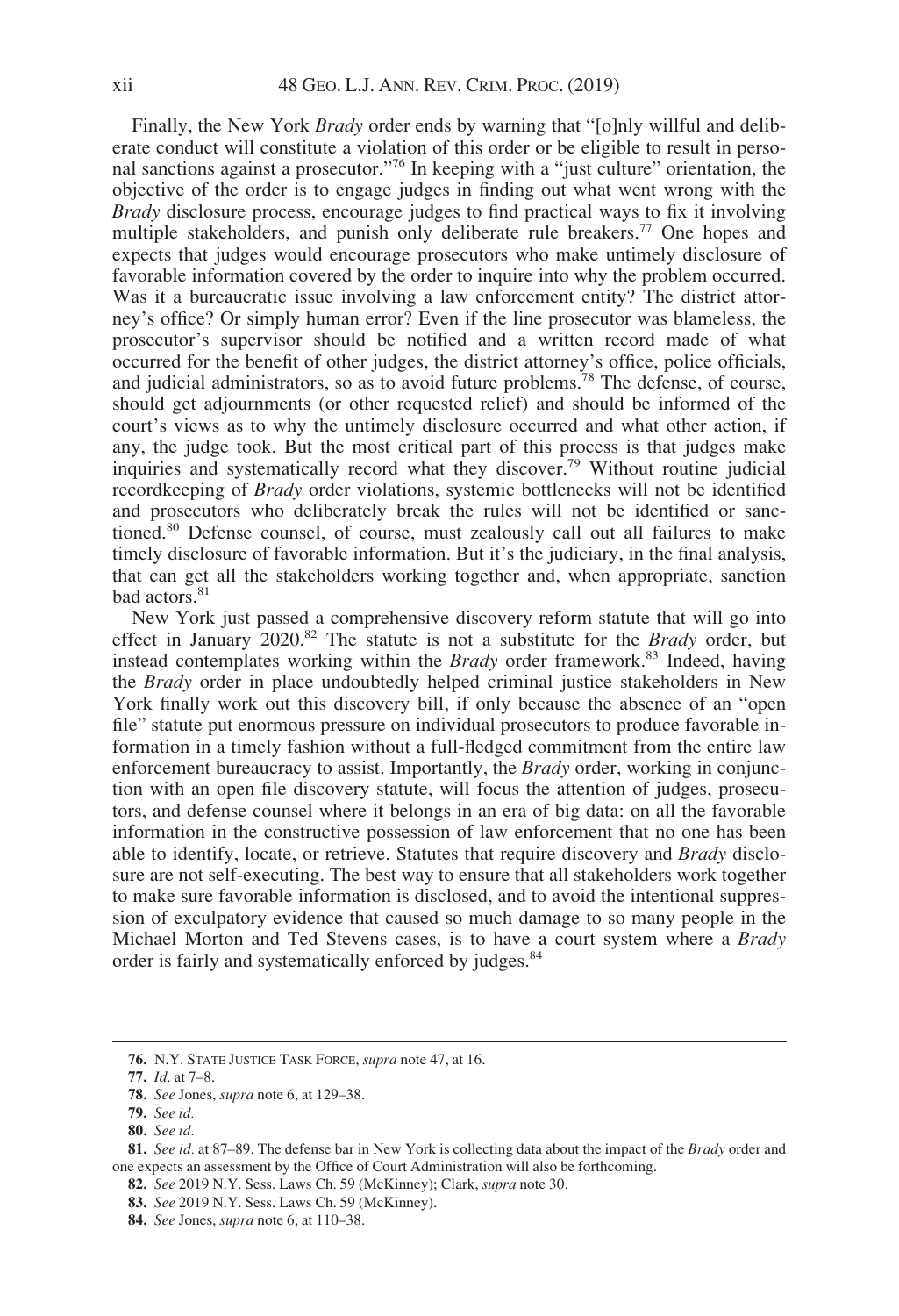Finally, the New York *Brady* order ends by warning that "[o]nly willful and deliberate conduct will constitute a violation of this order or be eligible to result in personal sanctions against a prosecutor."<sup>76</sup> In keeping with a "just culture" orientation, the objective of the order is to engage judges in finding out what went wrong with the Brady disclosure process, encourage judges to find practical ways to fix it involving multiple stakeholders, and punish only deliberate rule breakers.<sup>77</sup> One hopes and expects that judges would encourage prosecutors who make untimely disclosure of favorable information covered by the order to inquire into why the problem occurred. Was it a bureaucratic issue involving a law enforcement entity? The district attorney's office? Or simply human error? Even if the line prosecutor was blameless, the prosecutor's supervisor should be notified and a written record made of what occurred for the benefit of other judges, the district attorney's office, police officials, and judicial administrators, so as to avoid future problems.<sup>78</sup> The defense, of course, should get adjournments (or other requested relief) and should be informed of the court's views as to why the untimely disclosure occurred and what other action, if any, the judge took. But the most critical part of this process is that judges make inquiries and systematically record what they discover.<sup>79</sup> Without routine judicial recordkeeping of Brady order violations, systemic bottlenecks will not be identified and prosecutors who deliberately break the rules will not be identified or sanctioned.80 Defense counsel, of course, must zealously call out all failures to make timely disclosure of favorable information. But it's the judiciary, in the final analysis, that can get all the stakeholders working together and, when appropriate, sanction bad actors.<sup>81</sup>

New York just passed a comprehensive discovery reform statute that will go into effect in January  $2020$ <sup>82</sup>. The statute is not a substitute for the *Brady* order, but instead contemplates working within the *Brady* order framework.<sup>83</sup> Indeed, having the Brady order in place undoubtedly helped criminal justice stakeholders in New York finally work out this discovery bill, if only because the absence of an "open file" statute put enormous pressure on individual prosecutors to produce favorable information in a timely fashion without a full-fledged commitment from the entire law enforcement bureaucracy to assist. Importantly, the Brady order, working in conjunction with an open file discovery statute, will focus the attention of judges, prosecutors, and defense counsel where it belongs in an era of big data: on all the favorable information in the constructive possession of law enforcement that no one has been able to identify, locate, or retrieve. Statutes that require discovery and Brady disclosure are not self-executing. The best way to ensure that all stakeholders work together to make sure favorable information is disclosed, and to avoid the intentional suppression of exculpatory evidence that caused so much damage to so many people in the Michael Morton and Ted Stevens cases, is to have a court system where a Brady order is fairly and systematically enforced by judges.<sup>84</sup>

<sup>76.</sup> N.Y. STATE JUSTICE TASK FORCE, supra note 47, at 16.

<sup>77.</sup> Id. at 7–8.

<sup>78.</sup> See Jones, *supra* note 6, at 129–38.

<sup>79.</sup> See id.

<sup>80.</sup> See id.

<sup>81.</sup> See id. at 87–89. The defense bar in New York is collecting data about the impact of the Brady order and one expects an assessment by the Office of Court Administration will also be forthcoming.

<sup>82.</sup> See 2019 N.Y. Sess. Laws Ch. 59 (McKinney); Clark, supra note 30.

<sup>83.</sup> See 2019 N.Y. Sess. Laws Ch. 59 (McKinney).

<sup>84.</sup> See Jones, supra note 6, at 110–38.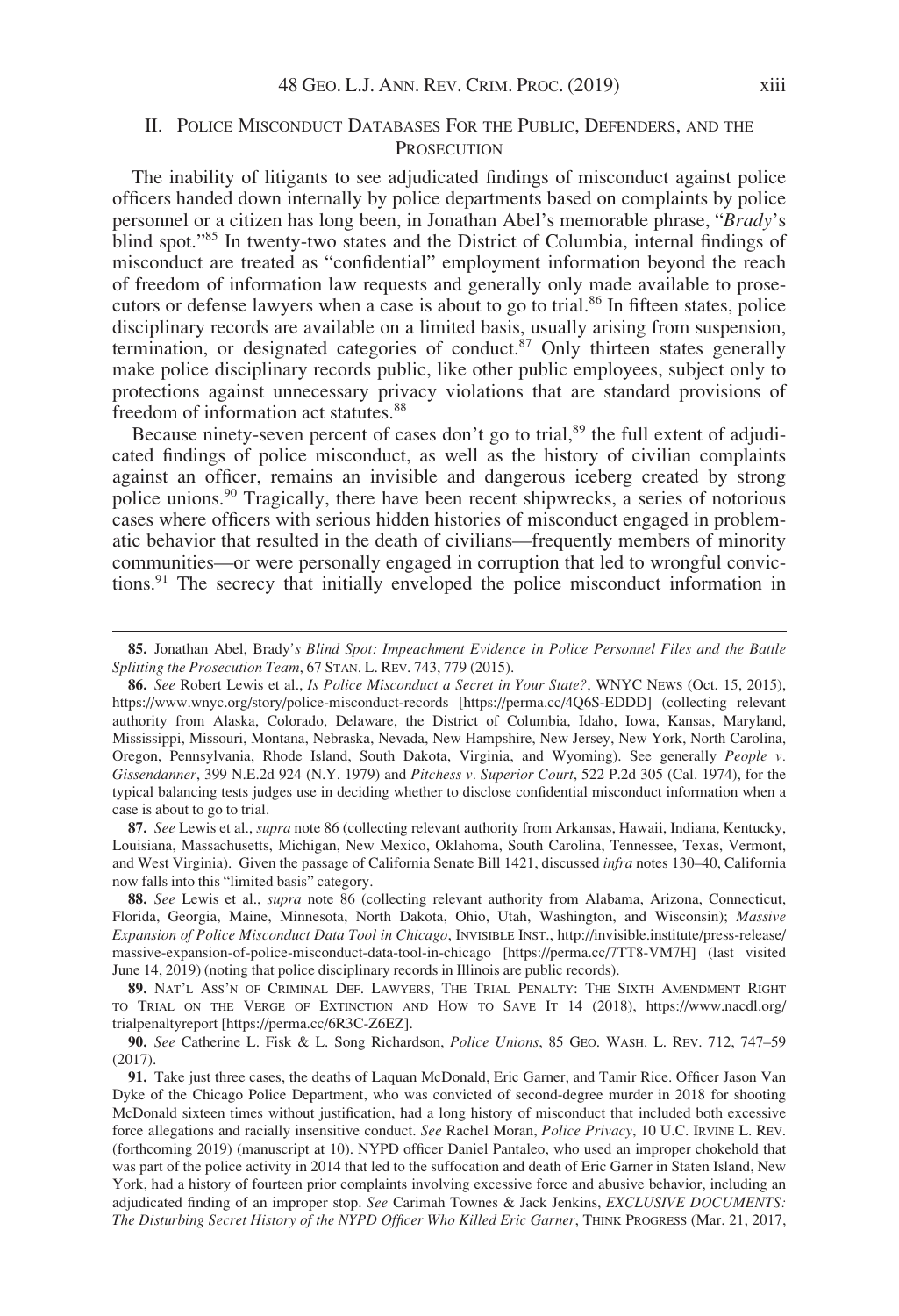## II. POLICE MISCONDUCT DATABASES FOR THE PUBLIC, DEFENDERS, AND THE **PROSECUTION**

The inability of litigants to see adjudicated findings of misconduct against police officers handed down internally by police departments based on complaints by police personnel or a citizen has long been, in Jonathan Abel's memorable phrase, "Brady's blind spot."<sup>85</sup> In twenty-two states and the District of Columbia, internal findings of misconduct are treated as "confidential" employment information beyond the reach of freedom of information law requests and generally only made available to prosecutors or defense lawyers when a case is about to go to trial.<sup>86</sup> In fifteen states, police disciplinary records are available on a limited basis, usually arising from suspension, termination, or designated categories of conduct. $87$  Only thirteen states generally make police disciplinary records public, like other public employees, subject only to protections against unnecessary privacy violations that are standard provisions of freedom of information act statutes.<sup>88</sup>

Because ninety-seven percent of cases don't go to trial,<sup>89</sup> the full extent of adjudicated findings of police misconduct, as well as the history of civilian complaints against an officer, remains an invisible and dangerous iceberg created by strong police unions.<sup>90</sup> Tragically, there have been recent shipwrecks, a series of notorious cases where officers with serious hidden histories of misconduct engaged in problematic behavior that resulted in the death of civilians—frequently members of minority communities—or were personally engaged in corruption that led to wrongful convictions.91 The secrecy that initially enveloped the police misconduct information in

87. See Lewis et al., supra note 86 (collecting relevant authority from Arkansas, Hawaii, Indiana, Kentucky, Louisiana, Massachusetts, Michigan, New Mexico, Oklahoma, South Carolina, Tennessee, Texas, Vermont, and West Virginia). Given the passage of California Senate Bill 1421, discussed infra notes 130–40, California now falls into this "limited basis" category.

88. See Lewis et al., *supra* note 86 (collecting relevant authority from Alabama, Arizona, Connecticut, Florida, Georgia, Maine, Minnesota, North Dakota, Ohio, Utah, Washington, and Wisconsin); Massive Expansion of Police Misconduct Data Tool in Chicago, INVISIBLE INST., [http://invisible.institute/press-release/](http://invisible.institute/press-release/massive-expansion-of-police-misconduct-data-tool-in-chicago) [massive-expansion-of-police-misconduct-data-tool-in-chicago](http://invisible.institute/press-release/massive-expansion-of-police-misconduct-data-tool-in-chicago) [[https://perma.cc/7TT8-VM7H\]](https://perma.cc/7TT8-VM7H) (last visited June 14, 2019) (noting that police disciplinary records in Illinois are public records).

89. NAT'L ASS'N OF CRIMINAL DEF. LAWYERS, THE TRIAL PENALTY: THE SIXTH AMENDMENT RIGHT TO TRIAL ON THE VERGE OF EXTINCTION AND HOW TO SAVE IT 14 (2018), [https://www.nacdl.org/](https://www.nacdl.org/trialpenalty) [trialpenaltyr](https://www.nacdl.org/trialpenalty)eport [\[https://perma.cc/6R3C-Z6EZ\]](https://perma.cc/6R3C-Z6EZ).

90. See Catherine L. Fisk & L. Song Richardson, Police Unions, 85 GEO. WASH. L. REV. 712, 747-59 (2017).

<sup>85.</sup> Jonathan Abel, Brady's Blind Spot: Impeachment Evidence in Police Personnel Files and the Battle Splitting the Prosecution Team, 67 STAN. L. REV. 743, 779 (2015).

<sup>86.</sup> See Robert Lewis et al., Is Police Misconduct a Secret in Your State?, WNYC News (Oct. 15, 2015), <https://www.wnyc.org/story/police-misconduct-records> [\[https://perma.cc/4Q6S-EDDD\]](https://perma.cc/4Q6S-EDDD) (collecting relevant authority from Alaska, Colorado, Delaware, the District of Columbia, Idaho, Iowa, Kansas, Maryland, Mississippi, Missouri, Montana, Nebraska, Nevada, New Hampshire, New Jersey, New York, North Carolina, Oregon, Pennsylvania, Rhode Island, South Dakota, Virginia, and Wyoming). See generally People v. Gissendanner, 399 N.E.2d 924 (N.Y. 1979) and Pitchess v. Superior Court, 522 P.2d 305 (Cal. 1974), for the typical balancing tests judges use in deciding whether to disclose confidential misconduct information when a case is about to go to trial.

<sup>91.</sup> Take just three cases, the deaths of Laquan McDonald, Eric Garner, and Tamir Rice. Officer Jason Van Dyke of the Chicago Police Department, who was convicted of second-degree murder in 2018 for shooting McDonald sixteen times without justification, had a long history of misconduct that included both excessive force allegations and racially insensitive conduct. See Rachel Moran, Police Privacy, 10 U.C. IRVINE L. REV. (forthcoming 2019) (manuscript at 10). NYPD officer Daniel Pantaleo, who used an improper chokehold that was part of the police activity in 2014 that led to the suffocation and death of Eric Garner in Staten Island, New York, had a history of fourteen prior complaints involving excessive force and abusive behavior, including an adjudicated finding of an improper stop. See Carimah Townes & Jack Jenkins, EXCLUSIVE DOCUMENTS: The Disturbing Secret History of the NYPD Officer Who Killed Eric Garner, THINK PROGRESS (Mar. 21, 2017,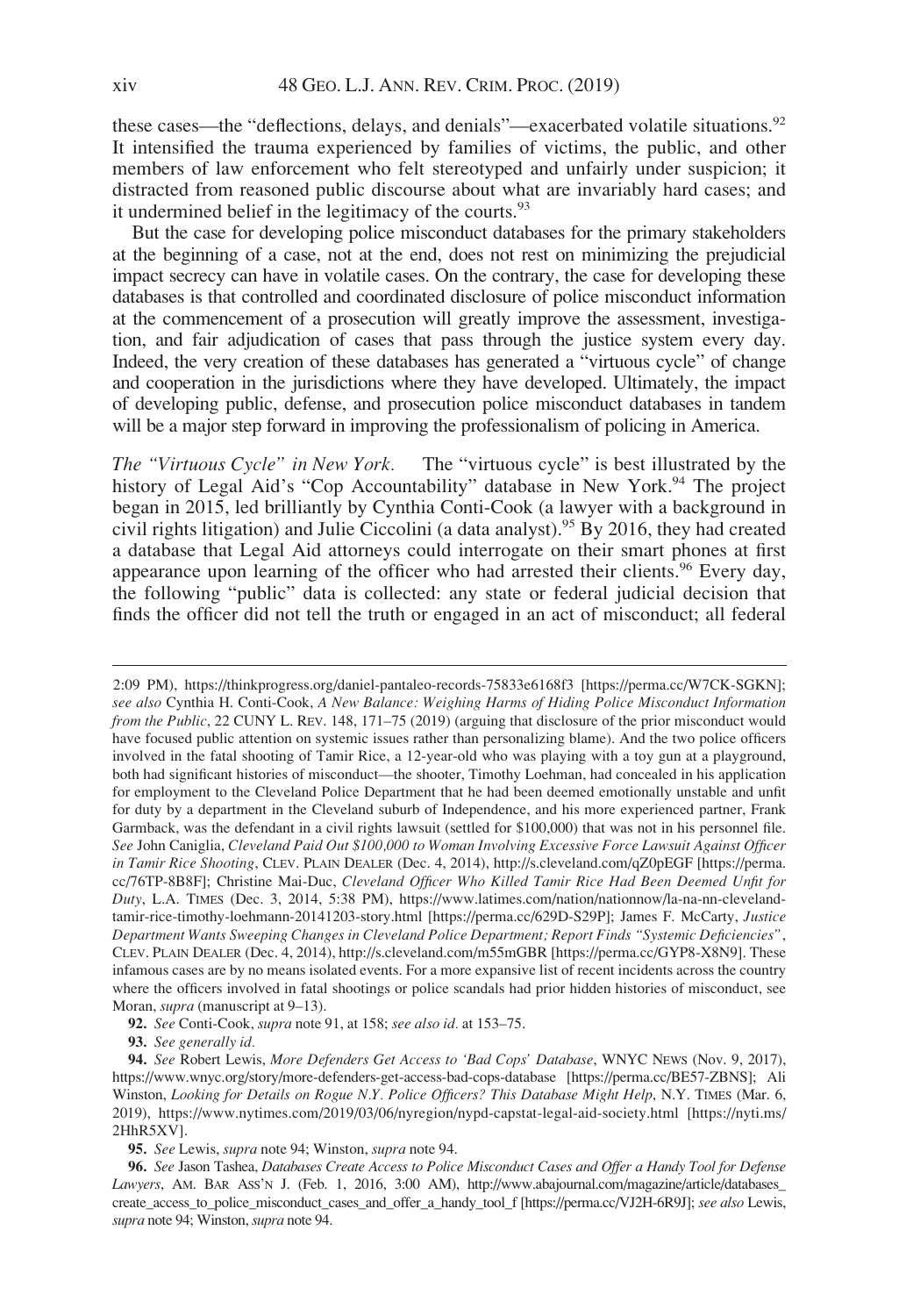these cases—the "deflections, delays, and denials"—exacerbated volatile situations.<sup>92</sup> It intensified the trauma experienced by families of victims, the public, and other members of law enforcement who felt stereotyped and unfairly under suspicion; it distracted from reasoned public discourse about what are invariably hard cases; and it undermined belief in the legitimacy of the courts.<sup>93</sup>

But the case for developing police misconduct databases for the primary stakeholders at the beginning of a case, not at the end, does not rest on minimizing the prejudicial impact secrecy can have in volatile cases. On the contrary, the case for developing these databases is that controlled and coordinated disclosure of police misconduct information at the commencement of a prosecution will greatly improve the assessment, investigation, and fair adjudication of cases that pass through the justice system every day. Indeed, the very creation of these databases has generated a "virtuous cycle" of change and cooperation in the jurisdictions where they have developed. Ultimately, the impact of developing public, defense, and prosecution police misconduct databases in tandem will be a major step forward in improving the professionalism of policing in America.

The "Virtuous Cycle" in New York. The "virtuous cycle" is best illustrated by the history of Legal Aid's "Cop Accountability" database in New York.<sup>94</sup> The project began in 2015, led brilliantly by Cynthia Conti-Cook (a lawyer with a background in civil rights litigation) and Julie Ciccolini (a data analyst).<sup>95</sup> By 2016, they had created a database that Legal Aid attorneys could interrogate on their smart phones at first appearance upon learning of the officer who had arrested their clients.<sup>96</sup> Every day, the following "public" data is collected: any state or federal judicial decision that finds the officer did not tell the truth or engaged in an act of misconduct; all federal

2:09 PM),<https://thinkprogress.org/daniel-pantaleo-records-75833e6168f3> [[https://perma.cc/W7CK-SGKN\]](https://perma.cc/W7CK-SGKN); see also Cynthia H. Conti-Cook, A New Balance: Weighing Harms of Hiding Police Misconduct Information from the Public, 22 CUNY L. REV. 148, 171–75 (2019) (arguing that disclosure of the prior misconduct would have focused public attention on systemic issues rather than personalizing blame). And the two police officers involved in the fatal shooting of Tamir Rice, a 12-year-old who was playing with a toy gun at a playground, both had significant histories of misconduct—the shooter, Timothy Loehman, had concealed in his application for employment to the Cleveland Police Department that he had been deemed emotionally unstable and unfit for duty by a department in the Cleveland suburb of Independence, and his more experienced partner, Frank Garmback, was the defendant in a civil rights lawsuit (settled for \$100,000) that was not in his personnel file. See John Caniglia, Cleveland Paid Out \$100,000 to Woman Involving Excessive Force Lawsuit Against Officer in Tamir Rice Shooting, CLEV. PLAIN DEALER (Dec. 4, 2014),<http://s.cleveland.com/qZ0pEGF> [[https://perma.](https://perma.cc/76TP-8B8F) [cc/76TP-8B8F](https://perma.cc/76TP-8B8F)]; Christine Mai-Duc, Cleveland Officer Who Killed Tamir Rice Had Been Deemed Unfit for Duty, L.A. TIMES (Dec. 3, 2014, 5:38 PM), [https://www.latimes.com/nation/nationnow/la-na-nn-cleveland](https://www.latimes.com/nation/nationnow/la-na-nn-cleveland-tamir-rice-timothy-loehmann-20141203-story.html)[tamir-rice-timothy-loehmann-20141203-story.html](https://www.latimes.com/nation/nationnow/la-na-nn-cleveland-tamir-rice-timothy-loehmann-20141203-story.html) [[https://perma.cc/629D-S29P\]](https://perma.cc/629D-S29P); James F. McCarty, Justice Department Wants Sweeping Changes in Cleveland Police Department; Report Finds "Systemic Deficiencies", CLEV. PLAIN DEALER (Dec. 4, 2014),<http://s.cleveland.com/m55mGBR> [[https://perma.cc/GYP8-X8N9\]](https://perma.cc/GYP8-X8N9). These infamous cases are by no means isolated events. For a more expansive list of recent incidents across the country where the officers involved in fatal shootings or police scandals had prior hidden histories of misconduct, see Moran, *supra* (manuscript at 9-13).

92. See Conti-Cook, supra note 91, at 158; see also id. at 153–75.

93. See generally id.

94. See Robert Lewis, More Defenders Get Access to 'Bad Cops' Database, WNYC NEWS (Nov. 9, 2017), <https://www.wnyc.org/story/more-defenders-get-access-bad-cops-database> [<https://perma.cc/BE57-ZBNS>]; Ali Winston, Looking for Details on Rogue N.Y. Police Officers? This Database Might Help, N.Y. TIMES (Mar. 6, 2019),<https://www.nytimes.com/2019/03/06/nyregion/nypd-capstat-legal-aid-society.html> [\[https://nyti.ms/](https://nyti.ms/2HhR5XV) [2HhR5XV](https://nyti.ms/2HhR5XV)].

95. See Lewis, supra note 94; Winston, supra note 94.

<sup>96.</sup> See Jason Tashea, Databases Create Access to Police Misconduct Cases and Offer a Handy Tool for Defense Lawyers, AM. BAR ASS'N J. (Feb. 1, 2016, 3:00 AM), [http://www.abajournal.com/magazine/article/databases\\_](http://www.abajournal.com/magazine/article/databases_create_access_to_police_misconduct_cases_and_offer_a_handy_tool_f) [create\\_access\\_to\\_police\\_misconduct\\_cases\\_and\\_offer\\_a\\_handy\\_tool\\_f](http://www.abajournal.com/magazine/article/databases_create_access_to_police_misconduct_cases_and_offer_a_handy_tool_f) [\[https://perma.cc/VJ2H-6R9J](https://perma.cc/VJ2H-6R9J)]; see also Lewis, supra note 94; Winston, supra note 94.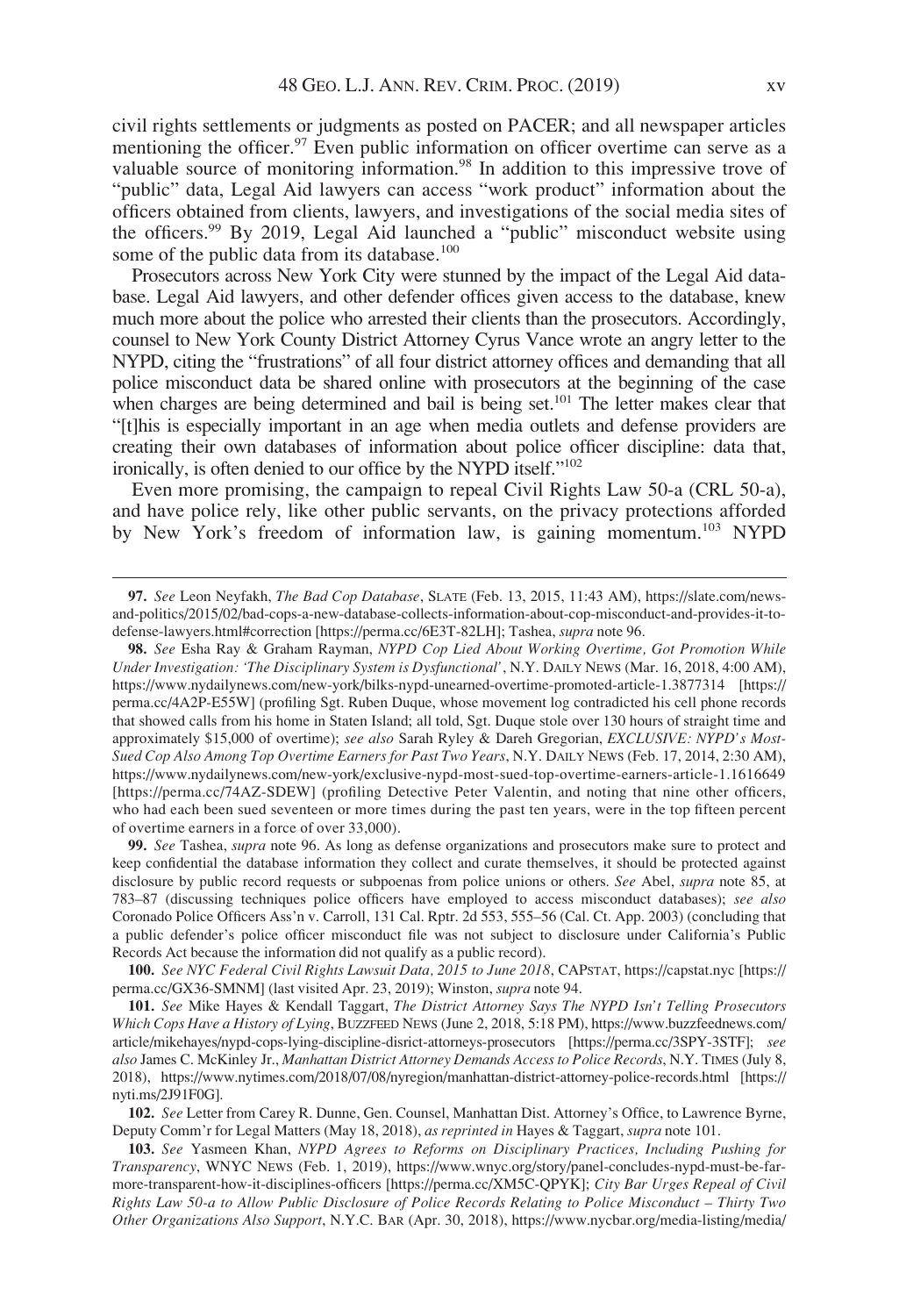civil rights settlements or judgments as posted on PACER; and all newspaper articles mentioning the officer.<sup>97</sup> Even public information on officer overtime can serve as a valuable source of monitoring information.<sup>98</sup> In addition to this impressive trove of "public" data, Legal Aid lawyers can access "work product" information about the officers obtained from clients, lawyers, and investigations of the social media sites of the officers.<sup>99</sup> By 2019, Legal Aid launched a "public" misconduct website using some of the public data from its database.<sup>100</sup>

Prosecutors across New York City were stunned by the impact of the Legal Aid database. Legal Aid lawyers, and other defender offices given access to the database, knew much more about the police who arrested their clients than the prosecutors. Accordingly, counsel to New York County District Attorney Cyrus Vance wrote an angry letter to the NYPD, citing the "frustrations" of all four district attorney offices and demanding that all police misconduct data be shared online with prosecutors at the beginning of the case when charges are being determined and bail is being set.<sup>101</sup> The letter makes clear that "[t]his is especially important in an age when media outlets and defense providers are creating their own databases of information about police officer discipline: data that, ironically, is often denied to our office by the NYPD itself."102

Even more promising, the campaign to repeal Civil Rights Law 50-a (CRL 50-a), and have police rely, like other public servants, on the privacy protections afforded by New York's freedom of information law, is gaining momentum.<sup>103</sup> NYPD

98. See Esha Ray & Graham Rayman, NYPD Cop Lied About Working Overtime, Got Promotion While Under Investigation: 'The Disciplinary System is Dysfunctional', N.Y. DAILY NEWS (Mar. 16, 2018, 4:00 AM), <https://www.nydailynews.com/new-york/bilks-nypd-unearned-overtime-promoted-article-1.3877314> [\[https://](https://perma.cc/4A2P-E55W) [perma.cc/4A2P-E55W](https://perma.cc/4A2P-E55W)] (profiling Sgt. Ruben Duque, whose movement log contradicted his cell phone records that showed calls from his home in Staten Island; all told, Sgt. Duque stole over 130 hours of straight time and approximately \$15,000 of overtime); see also Sarah Ryley & Dareh Gregorian, EXCLUSIVE: NYPD's Most-Sued Cop Also Among Top Overtime Earners for Past Two Years, N.Y. DAILY NEWS (Feb. 17, 2014, 2:30 AM), <https://www.nydailynews.com/new-york/exclusive-nypd-most-sued-top-overtime-earners-article-1.1616649> [<https://perma.cc/74AZ-SDEW>] (profiling Detective Peter Valentin, and noting that nine other officers, who had each been sued seventeen or more times during the past ten years, were in the top fifteen percent of overtime earners in a force of over 33,000).

99. See Tashea, supra note 96. As long as defense organizations and prosecutors make sure to protect and keep confidential the database information they collect and curate themselves, it should be protected against disclosure by public record requests or subpoenas from police unions or others. See Abel, *supra* note 85, at 783–87 (discussing techniques police officers have employed to access misconduct databases); see also Coronado Police Officers Ass'n v. Carroll, 131 Cal. Rptr. 2d 553, 555–56 (Cal. Ct. App. 2003) (concluding that a public defender's police officer misconduct file was not subject to disclosure under California's Public Records Act because the information did not qualify as a public record).

100. See NYC Federal Civil Rights Lawsuit Data, 2015 to June 2018, CAPSTAT,<https://capstat.nyc> [\[https://](https://perma.cc/GX36-SMNM) [perma.cc/GX36-SMNM\]](https://perma.cc/GX36-SMNM) (last visited Apr. 23, 2019); Winston, supra note 94.

101. See Mike Hayes & Kendall Taggart, The District Attorney Says The NYPD Isn't Telling Prosecutors Which Cops Have a History of Lying, BUZZFEED NEWS (June 2, 2018, 5:18 PM), [https://www.buzzfeednews.com/](https://www.buzzfeednews.com/article/mikehayes/nypd-cops-lying-discipline-disrict-attorneys-prosecutors) [article/mikehayes/nypd-cops-lying-discipline-disrict-attorneys-prosecutors](https://www.buzzfeednews.com/article/mikehayes/nypd-cops-lying-discipline-disrict-attorneys-prosecutors) [<https://perma.cc/3SPY-3STF>]; see also James C. McKinley Jr., Manhattan District Attorney Demands Access to Police Records, N.Y. TIMES (July 8, 2018),<https://www.nytimes.com/2018/07/08/nyregion/manhattan-district-attorney-police-records.html> [[https://](https://nyti.ms/2J91F0G) [nyti.ms/2J91F0G\]](https://nyti.ms/2J91F0G).

102. See Letter from Carey R. Dunne, Gen. Counsel, Manhattan Dist. Attorney's Office, to Lawrence Byrne, Deputy Comm'r for Legal Matters (May 18, 2018), as reprinted in Hayes & Taggart, supra note 101.

103. See Yasmeen Khan, NYPD Agrees to Reforms on Disciplinary Practices, Including Pushing for Transparency, WNYC NEWS (Feb. 1, 2019), [https://www.wnyc.org/story/panel-concludes-nypd-must-be-far](https://www.wnyc.org/story/panel-concludes-nypd-must-be-far-more-transparent-how-it-disciplines-officers)[more-transparent-how-it-disciplines-officers](https://www.wnyc.org/story/panel-concludes-nypd-must-be-far-more-transparent-how-it-disciplines-officers) [\[https://perma.cc/XM5C-QPYK\]](https://perma.cc/XM5C-QPYK); City Bar Urges Repeal of Civil Rights Law 50-a to Allow Public Disclosure of Police Records Relating to Police Misconduct – Thirty Two Other Organizations Also Support, N.Y.C. BAR (Apr. 30, 2018), [https://www.nycbar.org/media-listing/media/](https://www.nycbar.org/media-listing/media/detail/city-bar-urges-repeal-of-civil-rights-law-50-a-to-allow-public-disclosure-of-police-records-relating-to-police-misconduct)

<sup>97.</sup> See Leon Neyfakh, The Bad Cop Database, SLATE (Feb. 13, 2015, 11:43 AM), [https://slate.com/news](https://slate.com/news-and-politics/2015/02/bad-cops-a-new-database-collects-information-about-cop-misconduct-and-provides-it-to-defense-lawyers.html#correction)[and-politics/2015/02/bad-cops-a-new-database-collects-information-about-cop-misconduct-and-provides-it-to](https://slate.com/news-and-politics/2015/02/bad-cops-a-new-database-collects-information-about-cop-misconduct-and-provides-it-to-defense-lawyers.html#correction)[defense-lawyers.html#correction](https://slate.com/news-and-politics/2015/02/bad-cops-a-new-database-collects-information-about-cop-misconduct-and-provides-it-to-defense-lawyers.html#correction) [<https://perma.cc/6E3T-82LH>]; Tashea, supra note 96.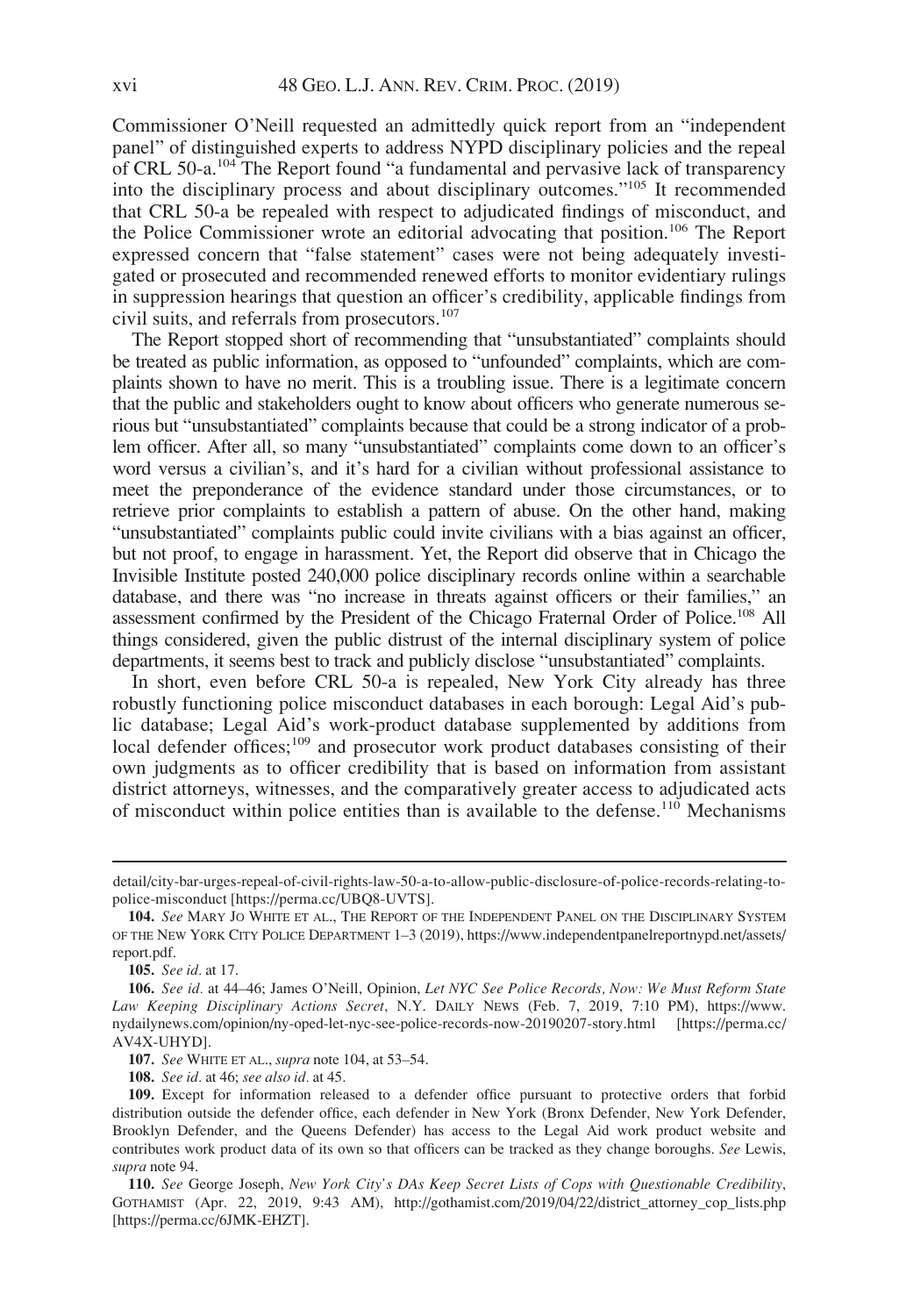Commissioner O'Neill requested an admittedly quick report from an "independent panel" of distinguished experts to address NYPD disciplinary policies and the repeal of CRL 50-a.<sup>104</sup> The Report found "a fundamental and pervasive lack of transparency into the disciplinary process and about disciplinary outcomes."<sup>105</sup> It recommended that CRL 50-a be repealed with respect to adjudicated findings of misconduct, and the Police Commissioner wrote an editorial advocating that position.<sup>106</sup> The Report expressed concern that "false statement" cases were not being adequately investigated or prosecuted and recommended renewed efforts to monitor evidentiary rulings in suppression hearings that question an officer's credibility, applicable findings from civil suits, and referrals from prosecutors.<sup>107</sup>

The Report stopped short of recommending that "unsubstantiated" complaints should be treated as public information, as opposed to "unfounded" complaints, which are complaints shown to have no merit. This is a troubling issue. There is a legitimate concern that the public and stakeholders ought to know about officers who generate numerous serious but "unsubstantiated" complaints because that could be a strong indicator of a problem officer. After all, so many "unsubstantiated" complaints come down to an officer's word versus a civilian's, and it's hard for a civilian without professional assistance to meet the preponderance of the evidence standard under those circumstances, or to retrieve prior complaints to establish a pattern of abuse. On the other hand, making "unsubstantiated" complaints public could invite civilians with a bias against an officer, but not proof, to engage in harassment. Yet, the Report did observe that in Chicago the Invisible Institute posted 240,000 police disciplinary records online within a searchable database, and there was "no increase in threats against officers or their families," an assessment confirmed by the President of the Chicago Fraternal Order of Police.108 All things considered, given the public distrust of the internal disciplinary system of police departments, it seems best to track and publicly disclose "unsubstantiated" complaints.

In short, even before CRL 50-a is repealed, New York City already has three robustly functioning police misconduct databases in each borough: Legal Aid's public database; Legal Aid's work-product database supplemented by additions from local defender offices;<sup>109</sup> and prosecutor work product databases consisting of their own judgments as to officer credibility that is based on information from assistant district attorneys, witnesses, and the comparatively greater access to adjudicated acts of misconduct within police entities than is available to the defense.<sup>110</sup> Mechanisms

detail/city-bar-urges-repeal-of-civil-rights-law-50-a-to-allow-public-disclosure-of-police-records-relating-topolice-misconduct [\[https://perma.cc/UBQ8-UVTS\]](https://perma.cc/UBQ8-UVTS).

<sup>104.</sup> See MARY JO WHITE ET AL., THE REPORT OF THE INDEPENDENT PANEL ON THE DISCIPLINARY SYSTEM OF THE NEW YORK CITY POLICE DEPARTMENT 1–3 (2019), [https://www.independentpanelreportnypd.net/assets/](https://www.independentpanelreportnypd.net/assets/report.pdf) [report.pdf.](https://www.independentpanelreportnypd.net/assets/report.pdf)

<sup>105.</sup> See id. at 17.

<sup>106.</sup> See id. at 44-46; James O'Neill, Opinion, Let NYC See Police Records, Now: We Must Reform State Law Keeping Disciplinary Actions Secret, N.Y. DAILY NEWS (Feb. 7, 2019, 7:10 PM), [https://www.](https://www.ny) [nydailynews.com/opinion/ny-oped-let-nyc-see-police-records-now-20190207-story.html](https://www.ny) [\[https://perma.cc/](https://perma.cc/AV4X-UHYD) [AV4X-UHYD\]](https://perma.cc/AV4X-UHYD).

<sup>107.</sup> See WHITE ET AL., supra note 104, at 53–54.

<sup>108.</sup> See id. at 46; see also id. at 45.

<sup>109.</sup> Except for information released to a defender office pursuant to protective orders that forbid distribution outside the defender office, each defender in New York (Bronx Defender, New York Defender, Brooklyn Defender, and the Queens Defender) has access to the Legal Aid work product website and contributes work product data of its own so that officers can be tracked as they change boroughs. See Lewis, supra note 94.

<sup>110.</sup> See George Joseph, New York City's DAs Keep Secret Lists of Cops with Questionable Credibility, GOTHAMIST (Apr. 22, 2019, 9:43 AM), [http://gothamist.com/2019/04/22/district\\_attorney\\_cop\\_lists.php](http://gothamist.com/2019/04/22/district_attorney_cop_lists.php) [[https://perma.cc/6JMK-EHZT\]](https://perma.cc/6JMK-EHZT).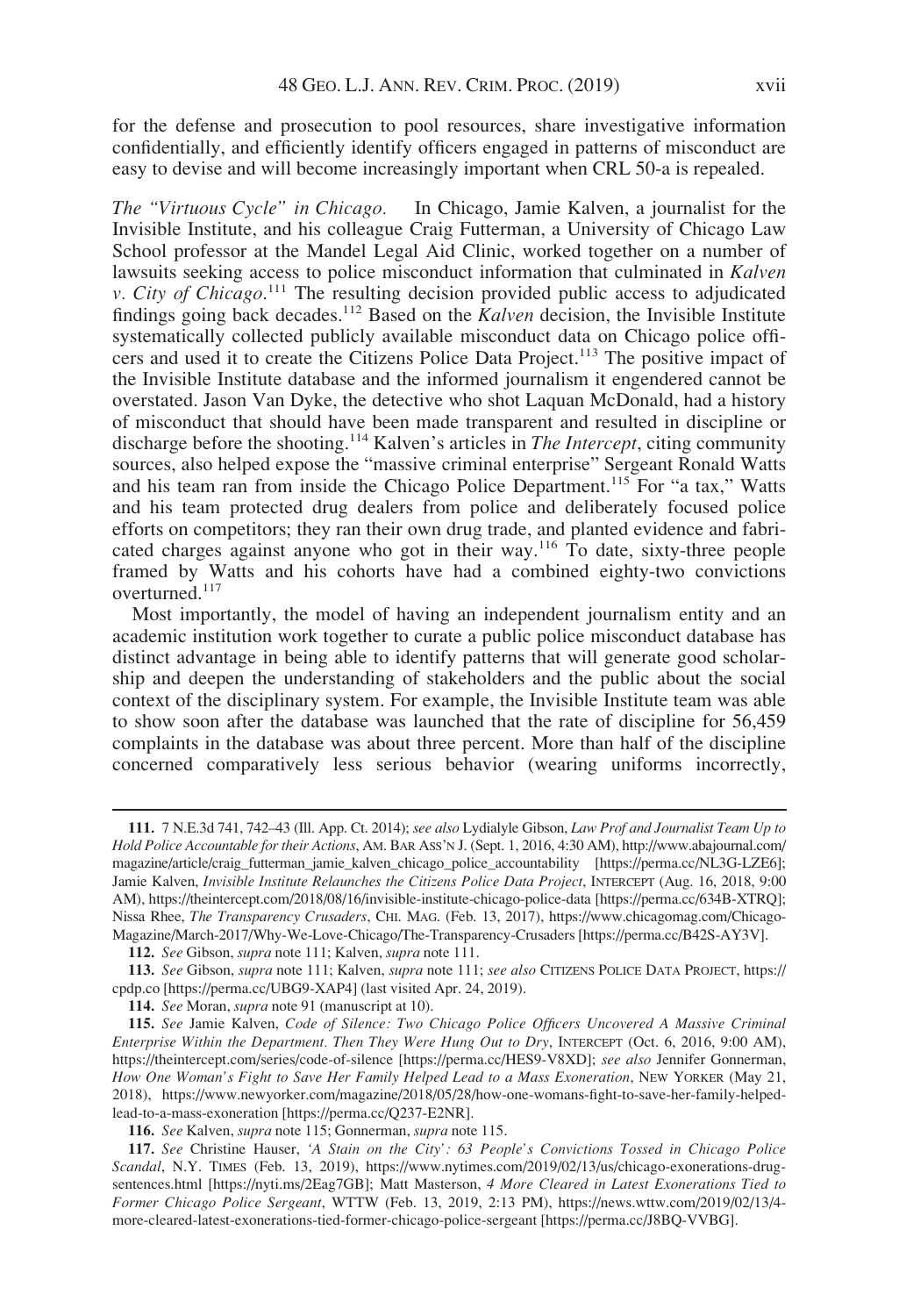for the defense and prosecution to pool resources, share investigative information confidentially, and efficiently identify officers engaged in patterns of misconduct are easy to devise and will become increasingly important when CRL 50-a is repealed.

The "Virtuous Cycle" in Chicago. In Chicago, Jamie Kalven, a journalist for the Invisible Institute, and his colleague Craig Futterman, a University of Chicago Law School professor at the Mandel Legal Aid Clinic, worked together on a number of lawsuits seeking access to police misconduct information that culminated in Kalven v. City of Chicago.<sup>111</sup> The resulting decision provided public access to adjudicated findings going back decades.<sup>112</sup> Based on the  $\overline{k}$  alven decision, the Invisible Institute systematically collected publicly available misconduct data on Chicago police officers and used it to create the Citizens Police Data Project.<sup>113</sup> The positive impact of the Invisible Institute database and the informed journalism it engendered cannot be overstated. Jason Van Dyke, the detective who shot Laquan McDonald, had a history of misconduct that should have been made transparent and resulted in discipline or discharge before the shooting.<sup>114</sup> Kalven's articles in *The Intercept*, citing community sources, also helped expose the "massive criminal enterprise" Sergeant Ronald Watts and his team ran from inside the Chicago Police Department.<sup>115</sup> For "a tax," Watts and his team protected drug dealers from police and deliberately focused police efforts on competitors; they ran their own drug trade, and planted evidence and fabricated charges against anyone who got in their way.<sup>116</sup> To date, sixty-three people framed by Watts and his cohorts have had a combined eighty-two convictions overturned.<sup>117</sup>

Most importantly, the model of having an independent journalism entity and an academic institution work together to curate a public police misconduct database has distinct advantage in being able to identify patterns that will generate good scholarship and deepen the understanding of stakeholders and the public about the social context of the disciplinary system. For example, the Invisible Institute team was able to show soon after the database was launched that the rate of discipline for 56,459 complaints in the database was about three percent. More than half of the discipline concerned comparatively less serious behavior (wearing uniforms incorrectly,

<sup>111.</sup> 7 N.E.3d 741, 742–43 (Ill. App. Ct. 2014); see also Lydialyle Gibson, Law Prof and Journalist Team Up to Hold Police Accountable for their Actions, AM. BAR ASS'N J. (Sept. 1, 2016, 4:30 AM), [http://www.abajournal.com/](http://www.abajournal.com/magazine/article/craig_futterman_jamie_kalven_chicago_police_accountability) [magazine/article/craig\\_futterman\\_jamie\\_kalven\\_chicago\\_police\\_accountability](http://www.abajournal.com/magazine/article/craig_futterman_jamie_kalven_chicago_police_accountability) [\[https://perma.cc/NL3G-LZE6\]](https://perma.cc/NL3G-LZE6); Jamie Kalven, Invisible Institute Relaunches the Citizens Police Data Project, INTERCEPT (Aug. 16, 2018, 9:00 AM),<https://theintercept.com/2018/08/16/invisible-institute-chicago-police-data> [[https://perma.cc/634B-XTRQ\]](https://perma.cc/634B-XTRQ); Nissa Rhee, The Transparency Crusaders, CHI. MAG. (Feb. 13, 2017), [https://www.chicagomag.com/Chicago-](https://www.chicagomag.com/Chicago-Magazine/March-2017/Why-We-Love-Chicago/The-Transparency-Crusaders)[Magazine/March-2017/Why-We-Love-Chicago/The-Transparency-Crusaders](https://www.chicagomag.com/Chicago-Magazine/March-2017/Why-We-Love-Chicago/The-Transparency-Crusaders) [\[https://perma.cc/B42S-AY3V](https://perma.cc/B42S-AY3V)].

<sup>112.</sup> See Gibson, supra note 111; Kalven, supra note 111.

<sup>113.</sup> See Gibson, supra note 111; Kalven, supra note 111; see also CITIZENS POLICE DATA PROJECT, [https://](https://cpdp.co) [cpdp.co](https://cpdp.co) [\[https://perma.cc/UBG9-XAP4\]](https://perma.cc/UBG9-XAP4) (last visited Apr. 24, 2019).

<sup>114.</sup> See Moran, supra note 91 (manuscript at 10).

<sup>115.</sup> See Jamie Kalven, Code of Silence: Two Chicago Police Officers Uncovered A Massive Criminal Enterprise Within the Department. Then They Were Hung Out to Dry, INTERCEPT (Oct. 6, 2016, 9:00 AM), <https://theintercept.com/series/code-of-silence> [\[https://perma.cc/HES9-V8XD](https://perma.cc/HES9-V8XD)]; see also Jennifer Gonnerman, How One Woman's Fight to Save Her Family Helped Lead to a Mass Exoneration, NEW YORKER (May 21, 2018), [https://www.newyorker.com/magazine/2018/05/28/how-one-womans-fight-to-save-her-family-helped](https://www.newyorker.com/magazine/2018/05/28/how-one-womans-fight-to-save-her-family-helped-lead-to-a-mass-exoneration)[lead-to-a-mass-exoneration](https://www.newyorker.com/magazine/2018/05/28/how-one-womans-fight-to-save-her-family-helped-lead-to-a-mass-exoneration) [\[https://perma.cc/Q237-E2NR](https://perma.cc/Q237-E2NR)].

<sup>116.</sup> See Kalven, supra note 115; Gonnerman, supra note 115.

<sup>117.</sup> See Christine Hauser, 'A Stain on the City': 63 People's Convictions Tossed in Chicago Police Scandal, N.Y. TIMES (Feb. 13, 2019), [https://www.nytimes.com/2019/02/13/us/chicago-exonerations-drug](https://www.nytimes.com/2019/02/13/us/chicago-exonerations-drug-sentences.html)[sentences.html](https://www.nytimes.com/2019/02/13/us/chicago-exonerations-drug-sentences.html) [[https://nyti.ms/2Eag7GB\]](https://nyti.ms/2Eag7GB); Matt Masterson, 4 More Cleared in Latest Exonerations Tied to Former Chicago Police Sergeant, WTTW (Feb. 13, 2019, 2:13 PM), [https://news.wttw.com/2019/02/13/4](https://news.wttw.com/2019/02/13/4-more-cleared-latest-exonerations-tied-former-chicago-police-sergeant) [more-cleared-latest-exonerations-tied-former-chicago-police-sergeant](https://news.wttw.com/2019/02/13/4-more-cleared-latest-exonerations-tied-former-chicago-police-sergeant) [\[https://perma.cc/J8BQ-VVBG](https://perma.cc/J8BQ-VVBG)].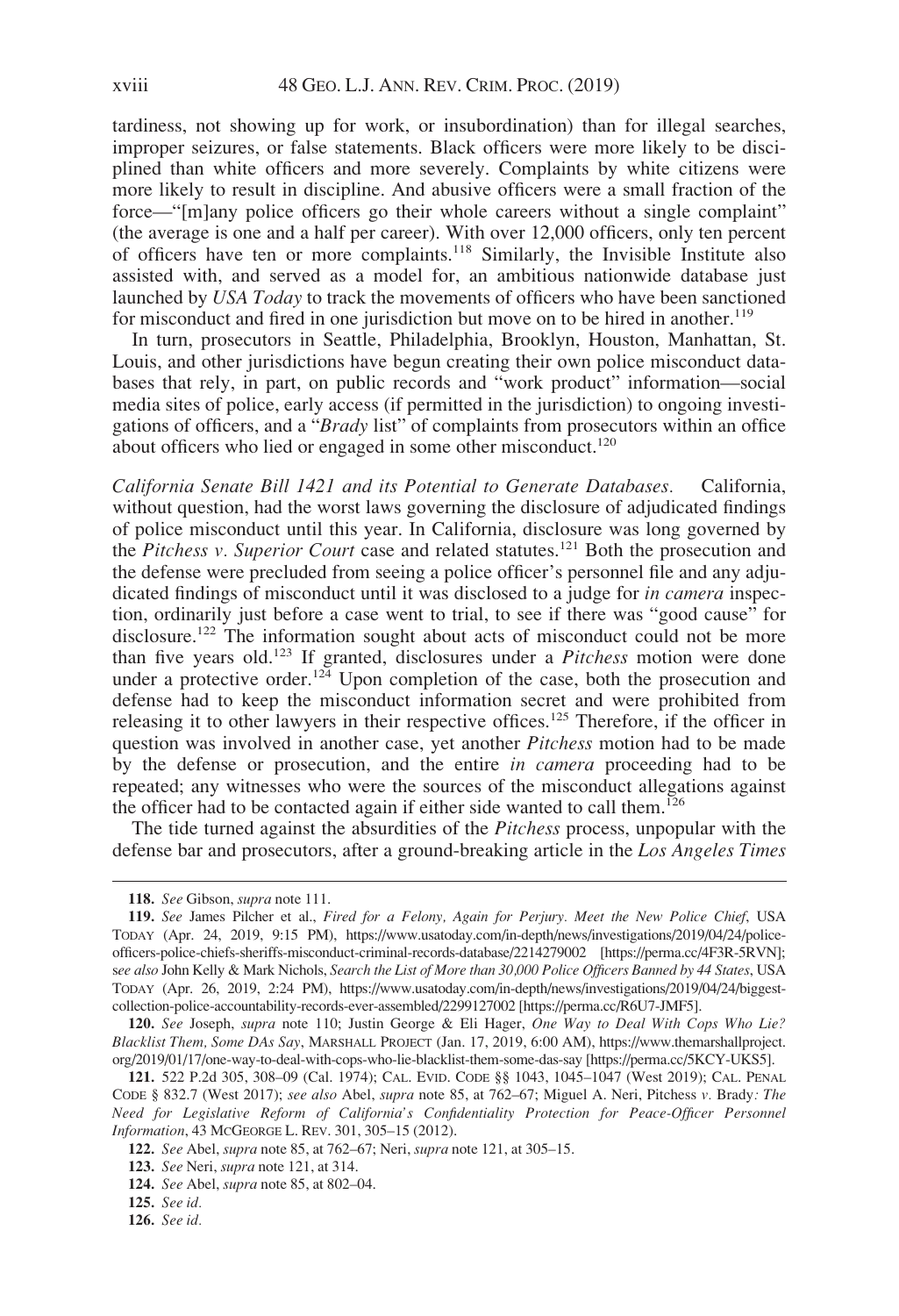tardiness, not showing up for work, or insubordination) than for illegal searches, improper seizures, or false statements. Black officers were more likely to be disciplined than white officers and more severely. Complaints by white citizens were more likely to result in discipline. And abusive officers were a small fraction of the force—"[m]any police officers go their whole careers without a single complaint" (the average is one and a half per career). With over 12,000 officers, only ten percent of officers have ten or more complaints.<sup>118</sup> Similarly, the Invisible Institute also assisted with, and served as a model for, an ambitious nationwide database just launched by USA Today to track the movements of officers who have been sanctioned for misconduct and fired in one jurisdiction but move on to be hired in another.<sup>119</sup>

In turn, prosecutors in Seattle, Philadelphia, Brooklyn, Houston, Manhattan, St. Louis, and other jurisdictions have begun creating their own police misconduct databases that rely, in part, on public records and "work product" information—social media sites of police, early access (if permitted in the jurisdiction) to ongoing investigations of officers, and a "Brady list" of complaints from prosecutors within an office about officers who lied or engaged in some other misconduct.<sup>120</sup>

California Senate Bill 1421 and its Potential to Generate Databases. California, without question, had the worst laws governing the disclosure of adjudicated findings of police misconduct until this year. In California, disclosure was long governed by the Pitchess v. Superior Court case and related statutes.<sup>121</sup> Both the prosecution and the defense were precluded from seeing a police officer's personnel file and any adjudicated findings of misconduct until it was disclosed to a judge for in camera inspection, ordinarily just before a case went to trial, to see if there was "good cause" for disclosure.<sup>122</sup> The information sought about acts of misconduct could not be more than five years old.<sup>123</sup> If granted, disclosures under a Pitchess motion were done under a protective order.<sup>124</sup> Upon completion of the case, both the prosecution and defense had to keep the misconduct information secret and were prohibited from releasing it to other lawyers in their respective offices.<sup>125</sup> Therefore, if the officer in question was involved in another case, yet another Pitchess motion had to be made by the defense or prosecution, and the entire *in camera* proceeding had to be repeated; any witnesses who were the sources of the misconduct allegations against the officer had to be contacted again if either side wanted to call them.<sup>126</sup>

The tide turned against the absurdities of the Pitchess process, unpopular with the defense bar and prosecutors, after a ground-breaking article in the Los Angeles Times

<sup>118.</sup> See Gibson, supra note 111.

<sup>119.</sup> See James Pilcher et al., Fired for a Felony, Again for Perjury. Meet the New Police Chief, USA TODAY (Apr. 24, 2019, 9:15 PM), [https://www.usatoday.com/in-depth/news/investigations/2019/04/24/police](https://www.usatoday.com/in-depth/news/investigations/2019/04/24/police-officers-police-chiefs-sheriffs-misconduct-criminal-records-database/2214279002)[officers-police-chiefs-sheriffs-misconduct-criminal-records-database/2214279002](https://www.usatoday.com/in-depth/news/investigations/2019/04/24/police-officers-police-chiefs-sheriffs-misconduct-criminal-records-database/2214279002) [\[https://perma.cc/4F3R-5RVN\]](https://perma.cc/4F3R-5RVN); see also John Kelly & Mark Nichols, Search the List of More than 30,000 Police Officers Banned by 44 States, USA TODAY (Apr. 26, 2019, 2:24 PM), [https://www.usatoday.com/in-depth/news/investigations/2019/04/24/biggest](https://www.usatoday.com/in-depth/news/investigations/2019/04/24/biggest-collection-police-accountability-records-ever-assembled/2299127002)[collection-police-accountability-records-ever-assembled/2299127002](https://www.usatoday.com/in-depth/news/investigations/2019/04/24/biggest-collection-police-accountability-records-ever-assembled/2299127002) [<https://perma.cc/R6U7-JMF5>].

<sup>120.</sup> See Joseph, supra note 110; Justin George & Eli Hager, One Way to Deal With Cops Who Lie? Blacklist Them, Some DAs Say, MARSHALL PROJECT (Jan. 17, 2019, 6:00 AM), [https://www.themarshallproject.](https://www.themarshallproject.org/2019/01/17/one-way-to-deal-with-cops-who-lie-blacklist-them-some-das-say) [org/2019/01/17/one-way-to-deal-with-cops-who-lie-blacklist-them-some-das-say](https://www.themarshallproject.org/2019/01/17/one-way-to-deal-with-cops-who-lie-blacklist-them-some-das-say) [\[https://perma.cc/5KCY-UKS5](https://perma.cc/5KCY-UKS5)].

<sup>121.</sup> 522 P.2d 305, 308–09 (Cal. 1974); CAL. EVID. CODE §§ 1043, 1045–1047 (West 2019); CAL. PENAL CODE § 832.7 (West 2017); see also Abel, supra note 85, at 762–67; Miguel A. Neri, Pitchess v. Brady: The Need for Legislative Reform of California's Confidentiality Protection for Peace-Officer Personnel Information, 43 MCGEORGE L. REV. 301, 305–15 (2012).

<sup>122.</sup> See Abel, supra note 85, at 762–67; Neri, supra note 121, at 305–15.

<sup>123.</sup> See Neri, supra note 121, at 314.

<sup>124.</sup> See Abel, supra note 85, at 802–04.

<sup>125.</sup> See id.

<sup>126.</sup> See id.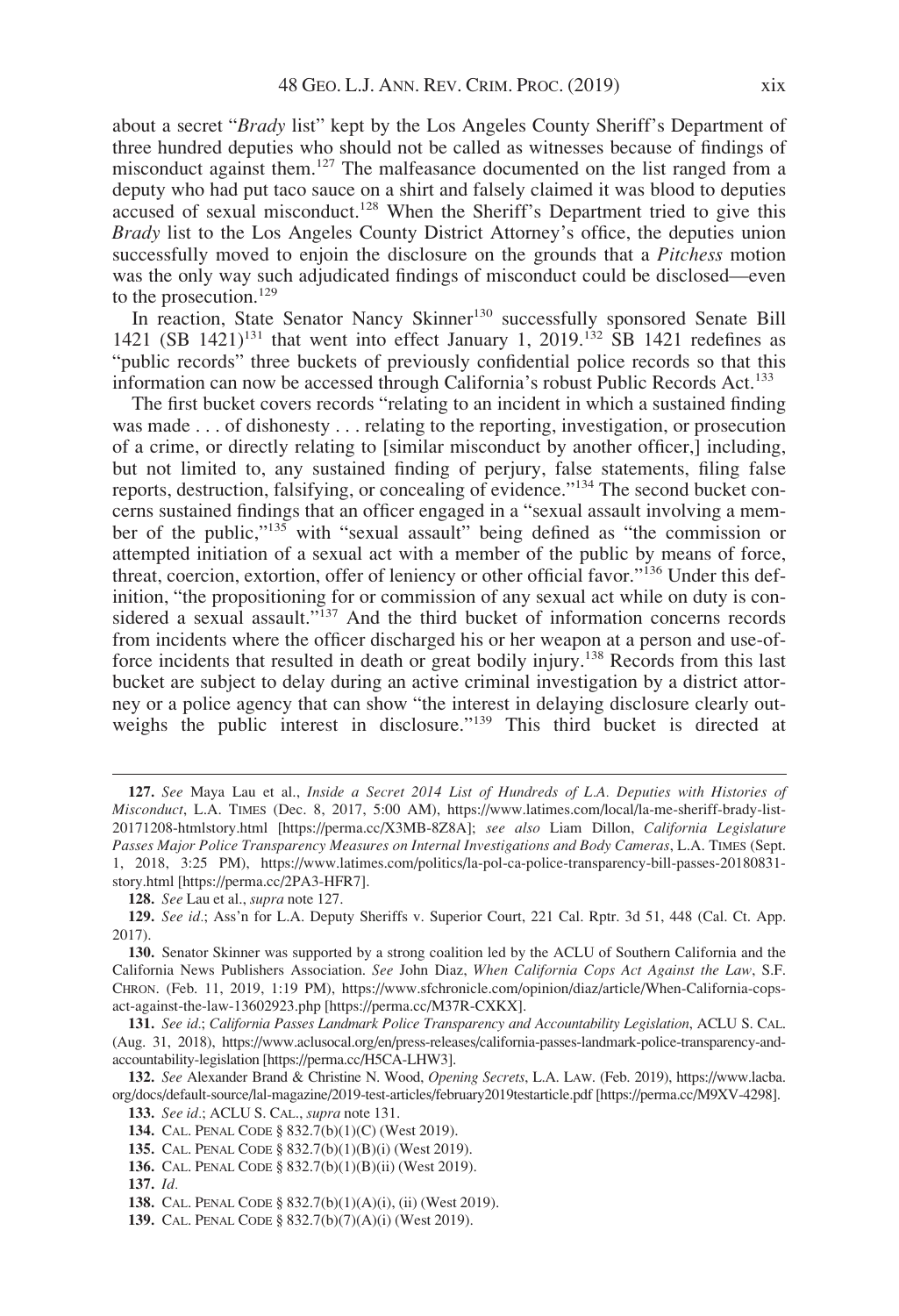about a secret "Brady list" kept by the Los Angeles County Sheriff's Department of three hundred deputies who should not be called as witnesses because of findings of misconduct against them.<sup>127</sup> The malfeasance documented on the list ranged from a deputy who had put taco sauce on a shirt and falsely claimed it was blood to deputies accused of sexual misconduct.<sup>128</sup> When the Sheriff's Department tried to give this Brady list to the Los Angeles County District Attorney's office, the deputies union successfully moved to enjoin the disclosure on the grounds that a *Pitchess* motion was the only way such adjudicated findings of misconduct could be disclosed—even to the prosecution.<sup>129</sup>

In reaction, State Senator Nancy Skinner<sup>130</sup> successfully sponsored Senate Bill 1421 (SB 1421)<sup>131</sup> that went into effect January 1, 2019.<sup>132</sup> SB 1421 redefines as "public records" three buckets of previously confidential police records so that this information can now be accessed through California's robust Public Records Act.<sup>133</sup>

The first bucket covers records "relating to an incident in which a sustained finding was made . . . of dishonesty . . . relating to the reporting, investigation, or prosecution of a crime, or directly relating to [similar misconduct by another officer,] including, but not limited to, any sustained finding of perjury, false statements, filing false reports, destruction, falsifying, or concealing of evidence."<sup>134</sup> The second bucket concerns sustained findings that an officer engaged in a "sexual assault involving a member of the public,"<sup>135</sup> with "sexual assault" being defined as "the commission or attempted initiation of a sexual act with a member of the public by means of force, threat, coercion, extortion, offer of leniency or other official favor."<sup>136</sup> Under this definition, "the propositioning for or commission of any sexual act while on duty is considered a sexual assault."<sup>137</sup> And the third bucket of information concerns records from incidents where the officer discharged his or her weapon at a person and use-offorce incidents that resulted in death or great bodily injury.<sup>138</sup> Records from this last bucket are subject to delay during an active criminal investigation by a district attorney or a police agency that can show "the interest in delaying disclosure clearly outweighs the public interest in disclosure."<sup>139</sup> This third bucket is directed at

<sup>127.</sup> See Maya Lau et al., Inside a Secret 2014 List of Hundreds of L.A. Deputies with Histories of Misconduct, L.A. TIMES (Dec. 8, 2017, 5:00 AM), [https://www.latimes.com/local/la-me-sheriff-brady-list-](https://www.latimes.com/local/la-me-sheriff-brady-list-20171208-htmlstory.html)[20171208-htmlstory.html](https://www.latimes.com/local/la-me-sheriff-brady-list-20171208-htmlstory.html) [[https://perma.cc/X3MB-8Z8A\]](https://perma.cc/X3MB-8Z8A); see also Liam Dillon, California Legislature Passes Major Police Transparency Measures on Internal Investigations and Body Cameras, L.A. TIMES (Sept. 1, 2018, 3:25 PM), [https://www.latimes.com/politics/la-pol-ca-police-transparency-bill-passes-20180831](https://www.latimes.com/politics/la-pol-ca-police-transparency-bill-passes-20180831-story.html) [story.html](https://www.latimes.com/politics/la-pol-ca-police-transparency-bill-passes-20180831-story.html) [[https://perma.cc/2PA3-HFR7\]](https://perma.cc/2PA3-HFR7).

<sup>128.</sup> See Lau et al., supra note 127.

<sup>129.</sup> See id.; Ass'n for L.A. Deputy Sheriffs v. Superior Court, 221 Cal. Rptr. 3d 51, 448 (Cal. Ct. App. 2017).

<sup>130.</sup> Senator Skinner was supported by a strong coalition led by the ACLU of Southern California and the California News Publishers Association. See John Diaz, When California Cops Act Against the Law, S.F. CHRON. (Feb. 11, 2019, 1:19 PM), [https://www.sfchronicle.com/opinion/diaz/article/When-California-cops](https://www.sfchronicle.com/opinion/diaz/article/When-California-cops-act-against-the-law-13602923.php)[act-against-the-law-13602923.php](https://www.sfchronicle.com/opinion/diaz/article/When-California-cops-act-against-the-law-13602923.php) [<https://perma.cc/M37R-CXKX>].

<sup>131.</sup> See id.; California Passes Landmark Police Transparency and Accountability Legislation, ACLU S. CAL. (Aug. 31, 2018), [https://www.aclusocal.org/en/press-releases/california-passes-landmark-police-transparency-and](https://www.aclusocal.org/en/press-releases/california-passes-landmark-police-transparency-and-accountability-legislation)[accountability-legislation](https://www.aclusocal.org/en/press-releases/california-passes-landmark-police-transparency-and-accountability-legislation) [\[https://perma.cc/H5CA-LHW3](https://perma.cc/H5CA-LHW3)].

<sup>132.</sup> See Alexander Brand & Christine N. Wood, Opening Secrets, L.A. LAW. (Feb. 2019), [https://www.lacba.](https://www.lacba.org/docs/default-source/lal-magazine/2019-test-articles/february2019testarticle.pdf) [org/docs/default-source/lal-magazine/2019-test-articles/february2019testarticle.pdf](https://www.lacba.org/docs/default-source/lal-magazine/2019-test-articles/february2019testarticle.pdf) [[https://perma.cc/M9XV-4298\]](https://perma.cc/M9XV-4298). 133. See id.; ACLU S. CAL., supra note 131.

<sup>134.</sup> CAL. PENAL CODE § 832.7(b)(1)(C) (West 2019).

<sup>135.</sup> CAL. PENAL CODE § 832.7(b)(1)(B)(i) (West 2019).

<sup>136.</sup> CAL. PENAL CODE § 832.7(b)(1)(B)(ii) (West 2019).

<sup>137.</sup> Id.

<sup>138.</sup> CAL. PENAL CODE § 832.7(b)(1)(A)(i), (ii) (West 2019).

<sup>139.</sup> CAL. PENAL CODE § 832.7(b)(7)(A)(i) (West 2019).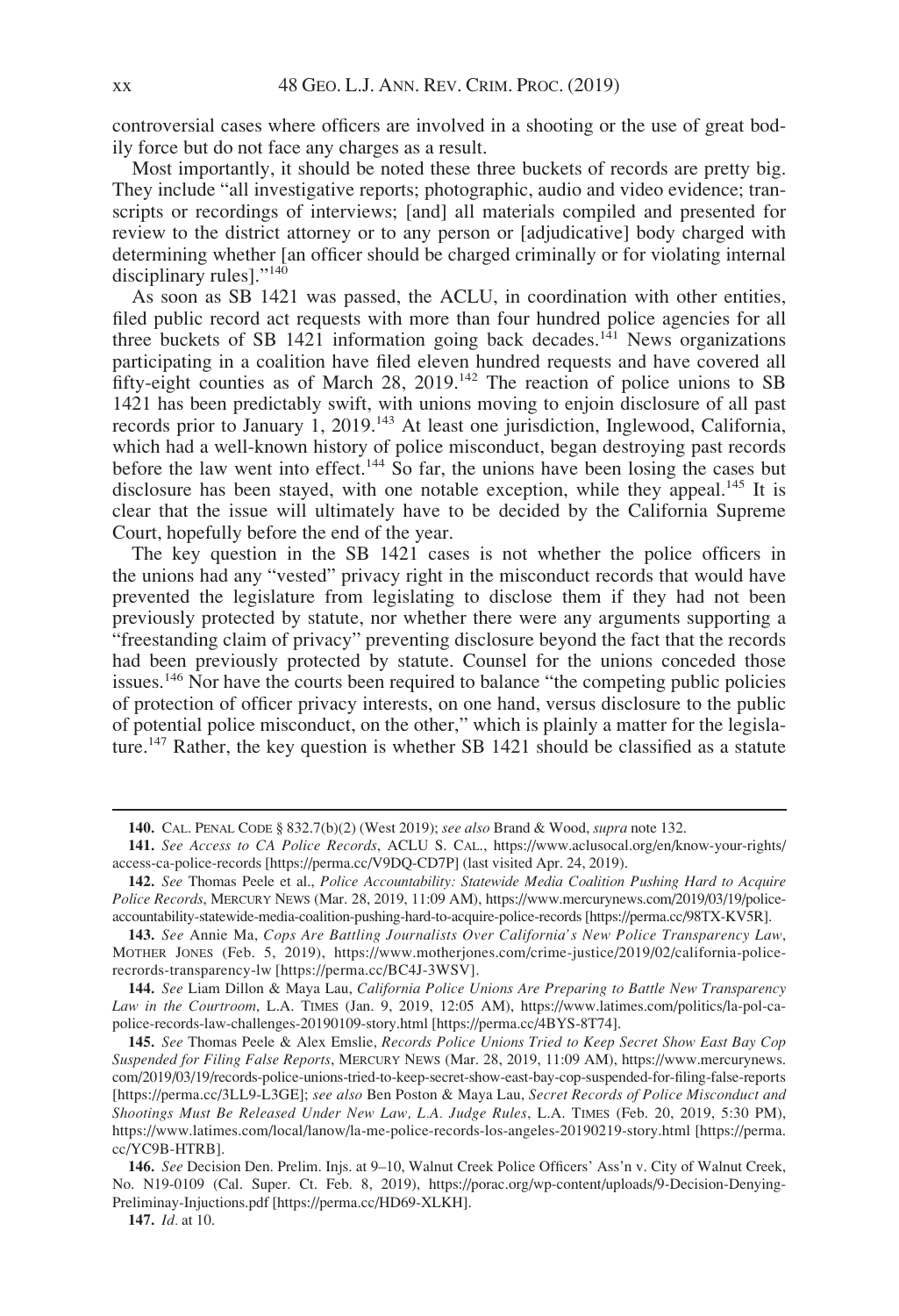controversial cases where officers are involved in a shooting or the use of great bodily force but do not face any charges as a result.

Most importantly, it should be noted these three buckets of records are pretty big. They include "all investigative reports; photographic, audio and video evidence; transcripts or recordings of interviews; [and] all materials compiled and presented for review to the district attorney or to any person or [adjudicative] body charged with determining whether [an officer should be charged criminally or for violating internal disciplinary rules]."<sup>140</sup>

As soon as SB 1421 was passed, the ACLU, in coordination with other entities, filed public record act requests with more than four hundred police agencies for all three buckets of SB 1421 information going back decades.<sup>141</sup> News organizations participating in a coalition have filed eleven hundred requests and have covered all fifty-eight counties as of March 28, 2019.<sup>142</sup> The reaction of police unions to SB 1421 has been predictably swift, with unions moving to enjoin disclosure of all past records prior to January 1, 2019.<sup>143</sup> At least one jurisdiction, Inglewood, California, which had a well-known history of police misconduct, began destroying past records before the law went into effect.<sup>144</sup> So far, the unions have been losing the cases but disclosure has been stayed, with one notable exception, while they appeal.<sup>145</sup> It is clear that the issue will ultimately have to be decided by the California Supreme Court, hopefully before the end of the year.

The key question in the SB 1421 cases is not whether the police officers in the unions had any "vested" privacy right in the misconduct records that would have prevented the legislature from legislating to disclose them if they had not been previously protected by statute, nor whether there were any arguments supporting a "freestanding claim of privacy" preventing disclosure beyond the fact that the records had been previously protected by statute. Counsel for the unions conceded those issues.<sup>146</sup> Nor have the courts been required to balance "the competing public policies of protection of officer privacy interests, on one hand, versus disclosure to the public of potential police misconduct, on the other," which is plainly a matter for the legislature.<sup>147</sup> Rather, the key question is whether SB 1421 should be classified as a statute

144. See Liam Dillon & Maya Lau, California Police Unions Are Preparing to Battle New Transparency Law in the Courtroom, L.A. TIMES (Jan. 9, 2019, 12:05 AM), [https://www.latimes.com/politics/la-pol-ca](https://www.latimes.com/politics/la-pol-ca-police-records-law-challenges-20190109-story.html)[police-records-law-challenges-20190109-story.html](https://www.latimes.com/politics/la-pol-ca-police-records-law-challenges-20190109-story.html) [[https://perma.cc/4BYS-8T74\]](https://perma.cc/4BYS-8T74).

145. See Thomas Peele & Alex Emslie, Records Police Unions Tried to Keep Secret Show East Bay Cop Suspended for Filing False Reports, MERCURY NEWS (Mar. 28, 2019, 11:09 AM), [https://www.mercurynews.](https://www.mercurynews.com/2019/03/19/records-police-unions-tried-to-keep-secret-show-east-bay-cop-suspended-for-filing-false-reports) [com/2019/03/19/records-police-unions-tried-to-keep-secret-show-east-bay-cop-suspended-for-filing-false-reports](https://www.mercurynews.com/2019/03/19/records-police-unions-tried-to-keep-secret-show-east-bay-cop-suspended-for-filing-false-reports) [[https://perma.cc/3LL9-L3GE\]](https://perma.cc/3LL9-L3GE); see also Ben Poston & Maya Lau, Secret Records of Police Misconduct and Shootings Must Be Released Under New Law, L.A. Judge Rules, L.A. TIMES (Feb. 20, 2019, 5:30 PM), <https://www.latimes.com/local/lanow/la-me-police-records-los-angeles-20190219-story.html> [[https://perma.](https://perma.cc/YC9B-HTRB) [cc/YC9B-HTRB](https://perma.cc/YC9B-HTRB)].

<sup>140.</sup> CAL. PENAL CODE § 832.7(b)(2) (West 2019); see also Brand & Wood, supra note 132.

<sup>141.</sup> See Access to CA Police Records, ACLU S. CAL., [https://www.aclusocal.org/en/know-your-rights/](https://www.aclusocal.org/en/know-your-rights/access-ca-police-records) [access-ca-police-records](https://www.aclusocal.org/en/know-your-rights/access-ca-police-records) [[https://perma.cc/V9DQ-CD7P\]](https://perma.cc/V9DQ-CD7P) (last visited Apr. 24, 2019).

<sup>142.</sup> See Thomas Peele et al., Police Accountability: Statewide Media Coalition Pushing Hard to Acquire Police Records, MERCURY NEWS (Mar. 28, 2019, 11:09 AM), [https://www.mercurynews.com/2019/03/19/police](https://www.mercurynews.com/2019/03/19/police-accountability-statewide-media-coalition-pushing-hard-to-acquire-police-records)[accountability-statewide-media-coalition-pushing-hard-to-acquire-police-records](https://www.mercurynews.com/2019/03/19/police-accountability-statewide-media-coalition-pushing-hard-to-acquire-police-records) [<https://perma.cc/98TX-KV5R>].

<sup>143.</sup> See Annie Ma, Cops Are Battling Journalists Over California's New Police Transparency Law, MOTHER JONES (Feb. 5, 2019), [https://www.motherjones.com/crime-justice/2019/02/california-police](https://www.motherjones.com/crime-justice/2019/02/california-police-recrords-transparency-lw)[recrords-transparency-lw](https://www.motherjones.com/crime-justice/2019/02/california-police-recrords-transparency-lw) [[https://perma.cc/BC4J-3WSV\]](https://perma.cc/BC4J-3WSV).

<sup>146.</sup> See Decision Den. Prelim. Injs. at 9–10, Walnut Creek Police Officers' Ass'n v. City of Walnut Creek, No. N19-0109 (Cal. Super. Ct. Feb. 8, 2019), [https://porac.org/wp-content/uploads/9-Decision-Denying-](https://porac.org/wp-content/uploads/9-Decision-Denying-Preliminay-Injuctions.pdf)[Preliminay-Injuctions.pdf](https://porac.org/wp-content/uploads/9-Decision-Denying-Preliminay-Injuctions.pdf) [[https://perma.cc/HD69-XLKH\]](https://perma.cc/HD69-XLKH).

<sup>147.</sup> *Id.* at 10.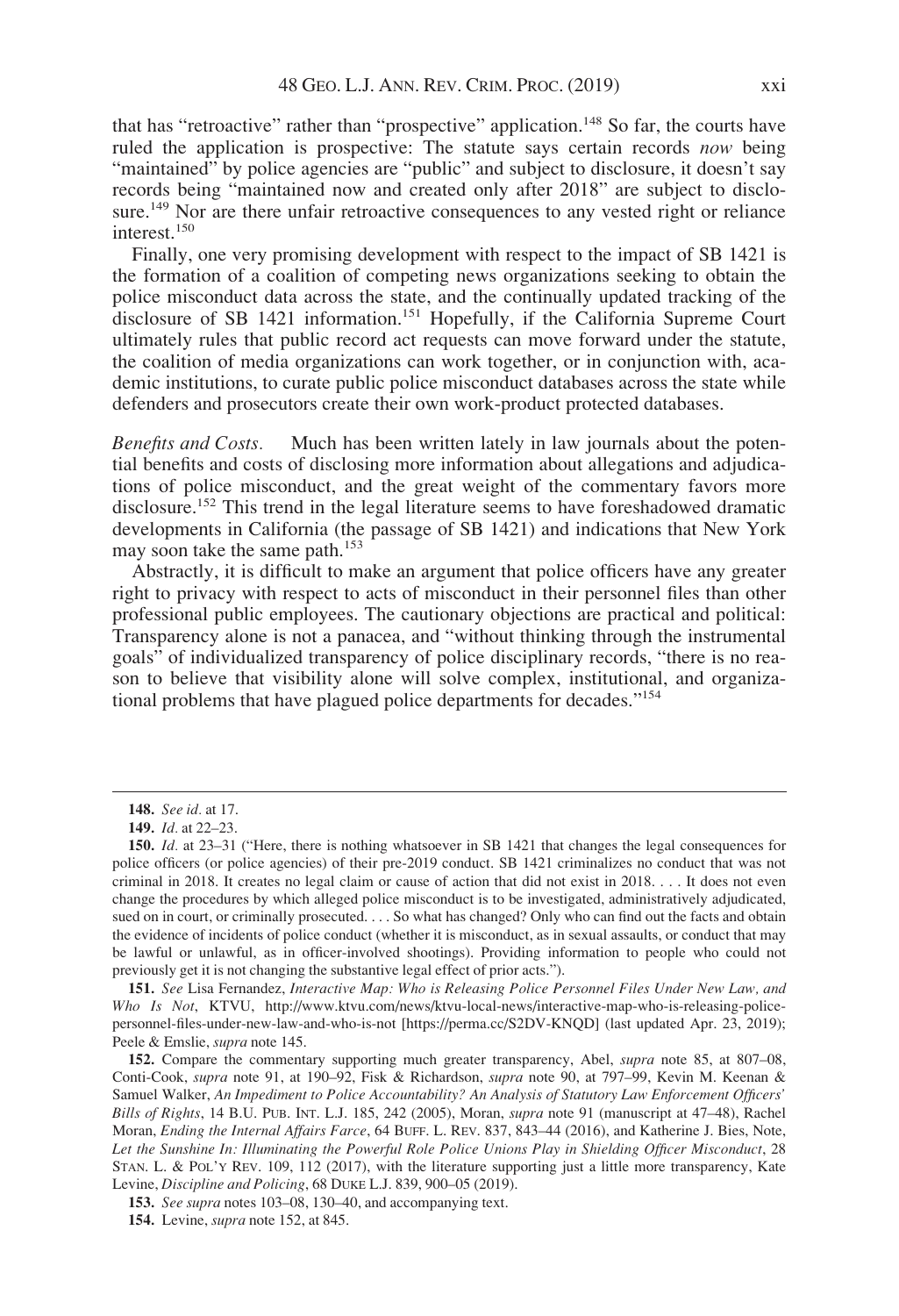that has "retroactive" rather than "prospective" application.<sup>148</sup> So far, the courts have ruled the application is prospective: The statute says certain records *now* being "maintained" by police agencies are "public" and subject to disclosure, it doesn't say records being "maintained now and created only after 2018" are subject to disclosure.<sup>149</sup> Nor are there unfair retroactive consequences to any vested right or reliance interest.<sup>150</sup>

Finally, one very promising development with respect to the impact of SB 1421 is the formation of a coalition of competing news organizations seeking to obtain the police misconduct data across the state, and the continually updated tracking of the disclosure of SB 1421 information.<sup>151</sup> Hopefully, if the California Supreme Court ultimately rules that public record act requests can move forward under the statute, the coalition of media organizations can work together, or in conjunction with, academic institutions, to curate public police misconduct databases across the state while defenders and prosecutors create their own work-product protected databases.

Benefits and Costs. Much has been written lately in law journals about the potential benefits and costs of disclosing more information about allegations and adjudications of police misconduct, and the great weight of the commentary favors more disclosure.<sup>152</sup> This trend in the legal literature seems to have foreshadowed dramatic developments in California (the passage of SB 1421) and indications that New York may soon take the same path.<sup>153</sup>

Abstractly, it is difficult to make an argument that police officers have any greater right to privacy with respect to acts of misconduct in their personnel files than other professional public employees. The cautionary objections are practical and political: Transparency alone is not a panacea, and "without thinking through the instrumental goals" of individualized transparency of police disciplinary records, "there is no reason to believe that visibility alone will solve complex, institutional, and organizational problems that have plagued police departments for decades."<sup>154</sup>

<sup>148.</sup> See id. at 17.

<sup>149.</sup> Id. at 22–23.

<sup>150.</sup> *Id.* at 23–31 ("Here, there is nothing whatsoever in SB 1421 that changes the legal consequences for police officers (or police agencies) of their pre-2019 conduct. SB 1421 criminalizes no conduct that was not criminal in 2018. It creates no legal claim or cause of action that did not exist in 2018. . . . It does not even change the procedures by which alleged police misconduct is to be investigated, administratively adjudicated, sued on in court, or criminally prosecuted. . . . So what has changed? Only who can find out the facts and obtain the evidence of incidents of police conduct (whether it is misconduct, as in sexual assaults, or conduct that may be lawful or unlawful, as in officer-involved shootings). Providing information to people who could not previously get it is not changing the substantive legal effect of prior acts.").

<sup>151.</sup> See Lisa Fernandez, Interactive Map: Who is Releasing Police Personnel Files Under New Law, and Who Is Not, KTVU, [http://www.ktvu.com/news/ktvu-local-news/interactive-map-who-is-releasing-police](http://www.ktvu.com/news/ktvu-local-news/interactive-map-who-is-releasing-police-personnel-files-under-new-law-and-who-is-not)[personnel-files-under-new-law-and-who-is-not](http://www.ktvu.com/news/ktvu-local-news/interactive-map-who-is-releasing-police-personnel-files-under-new-law-and-who-is-not) [\[https://perma.cc/S2DV-KNQD\]](https://perma.cc/S2DV-KNQD) (last updated Apr. 23, 2019); Peele & Emslie, supra note 145.

<sup>152.</sup> Compare the commentary supporting much greater transparency, Abel, *supra* note 85, at 807-08, Conti-Cook, supra note 91, at 190–92, Fisk & Richardson, supra note 90, at 797–99, Kevin M. Keenan & Samuel Walker, An Impediment to Police Accountability? An Analysis of Statutory Law Enforcement Officers' Bills of Rights, 14 B.U. PUB. INT. L.J. 185, 242 (2005), Moran, supra note 91 (manuscript at 47–48), Rachel Moran, Ending the Internal Affairs Farce, 64 BUFF. L. REV. 837, 843–44 (2016), and Katherine J. Bies, Note, Let the Sunshine In: Illuminating the Powerful Role Police Unions Play in Shielding Officer Misconduct, 28 STAN. L. & POL'Y REV. 109, 112 (2017), with the literature supporting just a little more transparency, Kate Levine, Discipline and Policing, 68 DUKE L.J. 839, 900–05 (2019).

<sup>153.</sup> See supra notes 103–08, 130–40, and accompanying text.

<sup>154.</sup> Levine, supra note 152, at 845.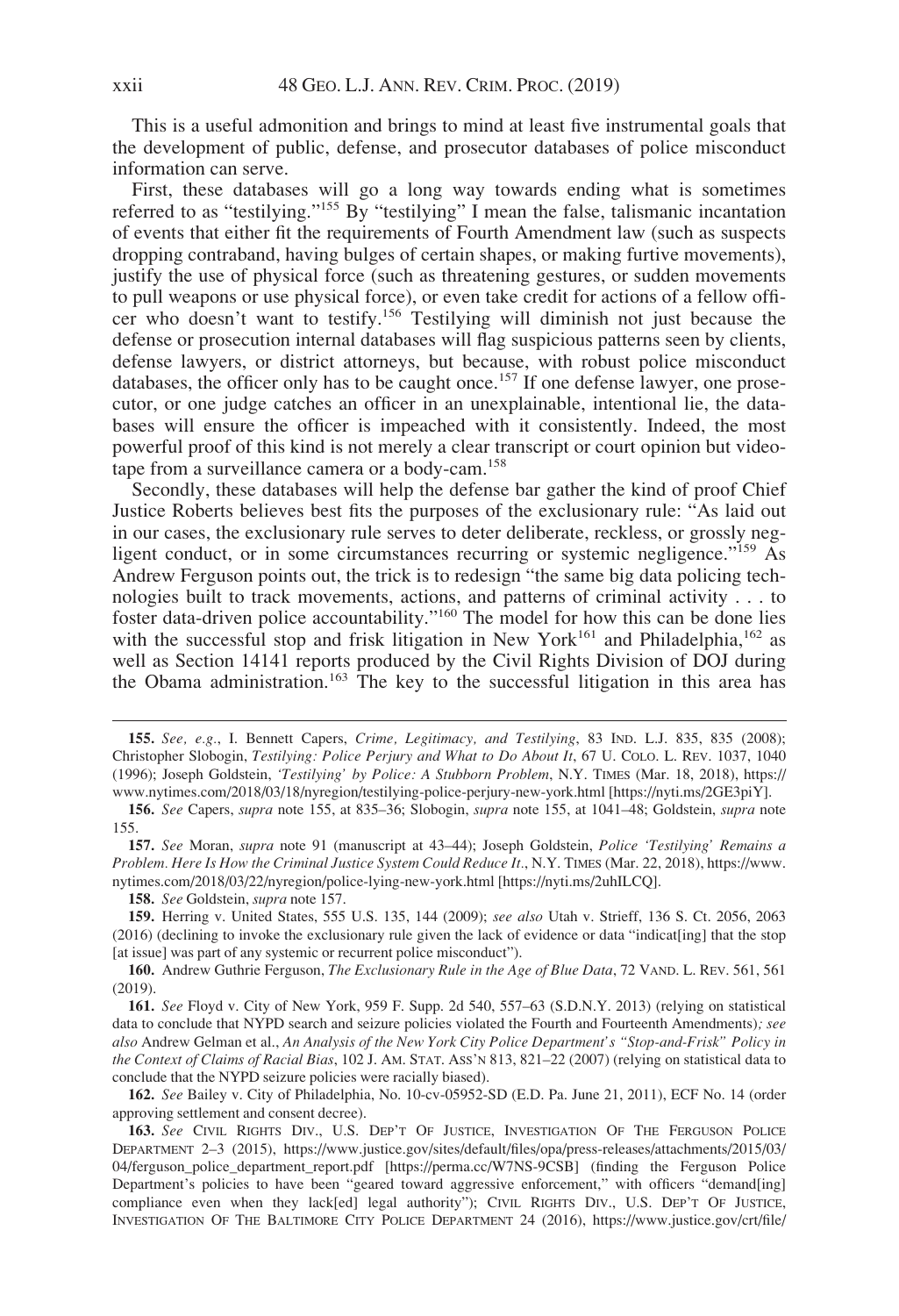This is a useful admonition and brings to mind at least five instrumental goals that the development of public, defense, and prosecutor databases of police misconduct information can serve.

First, these databases will go a long way towards ending what is sometimes referred to as "testilying."<sup>155</sup> By "testilying" I mean the false, talismanic incantation of events that either fit the requirements of Fourth Amendment law (such as suspects dropping contraband, having bulges of certain shapes, or making furtive movements), justify the use of physical force (such as threatening gestures, or sudden movements to pull weapons or use physical force), or even take credit for actions of a fellow officer who doesn't want to testify.156 Testilying will diminish not just because the defense or prosecution internal databases will flag suspicious patterns seen by clients, defense lawyers, or district attorneys, but because, with robust police misconduct databases, the officer only has to be caught once.<sup>157</sup> If one defense lawyer, one prosecutor, or one judge catches an officer in an unexplainable, intentional lie, the databases will ensure the officer is impeached with it consistently. Indeed, the most powerful proof of this kind is not merely a clear transcript or court opinion but videotape from a surveillance camera or a body-cam.158

Secondly, these databases will help the defense bar gather the kind of proof Chief Justice Roberts believes best fits the purposes of the exclusionary rule: "As laid out in our cases, the exclusionary rule serves to deter deliberate, reckless, or grossly negligent conduct, or in some circumstances recurring or systemic negligence."<sup>159</sup> As Andrew Ferguson points out, the trick is to redesign "the same big data policing technologies built to track movements, actions, and patterns of criminal activity . . . to foster data-driven police accountability."<sup>160</sup> The model for how this can be done lies with the successful stop and frisk litigation in New York<sup>161</sup> and Philadelphia,<sup>162</sup> as well as Section 14141 reports produced by the Civil Rights Division of DOJ during the Obama administration.<sup>163</sup> The key to the successful litigation in this area has

159. Herring v. United States, 555 U.S. 135, 144 (2009); see also Utah v. Strieff, 136 S. Ct. 2056, 2063 (2016) (declining to invoke the exclusionary rule given the lack of evidence or data "indicat[ing] that the stop [at issue] was part of any systemic or recurrent police misconduct").

160. Andrew Guthrie Ferguson, The Exclusionary Rule in the Age of Blue Data, 72 VAND. L. REV. 561, 561 (2019).

161. See Floyd v. City of New York, 959 F. Supp. 2d 540, 557–63 (S.D.N.Y. 2013) (relying on statistical data to conclude that NYPD search and seizure policies violated the Fourth and Fourteenth Amendments); see also Andrew Gelman et al., An Analysis of the New York City Police Department's "Stop-and-Frisk" Policy in the Context of Claims of Racial Bias, 102 J. AM. STAT. ASS'N 813, 821–22 (2007) (relying on statistical data to conclude that the NYPD seizure policies were racially biased).

162. See Bailey v. City of Philadelphia, No. 10-cv-05952-SD (E.D. Pa. June 21, 2011), ECF No. 14 (order approving settlement and consent decree).

163. See CIVIL RIGHTS DIV., U.S. DEP'T OF JUSTICE, INVESTIGATION OF THE FERGUSON POLICE DEPARTMENT 2–3 (2015), [https://www.justice.gov/sites/default/files/opa/press-releases/attachments/2015/03/](https://www.justice.gov/sites/default/files/opa/press-releases/attachments/2015/03/04/ferguson_police_department_report.pdf) [04/ferguson\\_police\\_department\\_report.pdf](https://www.justice.gov/sites/default/files/opa/press-releases/attachments/2015/03/04/ferguson_police_department_report.pdf) [<https://perma.cc/W7NS-9CSB>] (finding the Ferguson Police Department's policies to have been "geared toward aggressive enforcement," with officers "demand[ing] compliance even when they lack[ed] legal authority"); CIVIL RIGHTS DIV., U.S. DEP'T OF JUSTICE, INVESTIGATION OF THE BALTIMORE CITY POLICE DEPARTMENT 24 (2016), [https://www.justice.gov/crt/file/](https://www.justice.gov/crt/file/883296/download)

<sup>155.</sup> See, e.g., I. Bennett Capers, Crime, Legitimacy, and Testilying, 83 IND. L.J. 835, 835 (2008); Christopher Slobogin, Testilying: Police Perjury and What to Do About It, 67 U. COLO. L. REV. 1037, 1040 (1996); Joseph Goldstein, 'Testilying' by Police: A Stubborn Problem, N.Y. TIMES (Mar. 18, 2018), [https://](https://www.nytimes.com/2018/03/18/nyregion/testilying-police-perjury-new-york.html) [www.nytimes.com/2018/03/18/nyregion/testilying-police-perjury-new-york.html](https://www.nytimes.com/2018/03/18/nyregion/testilying-police-perjury-new-york.html) [\[https://nyti.ms/2GE3piY](https://nyti.ms/2GE3piY)].

<sup>156.</sup> See Capers, supra note 155, at 835–36; Slobogin, supra note 155, at 1041–48; Goldstein, supra note 155.

<sup>157.</sup> See Moran, supra note 91 (manuscript at 43–44); Joseph Goldstein, Police 'Testilying' Remains a Problem. Here Is How the Criminal Justice System Could Reduce It., N.Y. TIMES (Mar. 22, 2018), [https://www.](https://www.nytimes.com/2018/03/22/nyregion/police-lying-new-york.html) [nytimes.com/2018/03/22/nyregion/police-lying-new-york.html](https://www.nytimes.com/2018/03/22/nyregion/police-lying-new-york.html) [\[https://nyti.ms/2uhILCQ](https://nyti.ms/2uhILCQ)].

<sup>158.</sup> See Goldstein, supra note 157.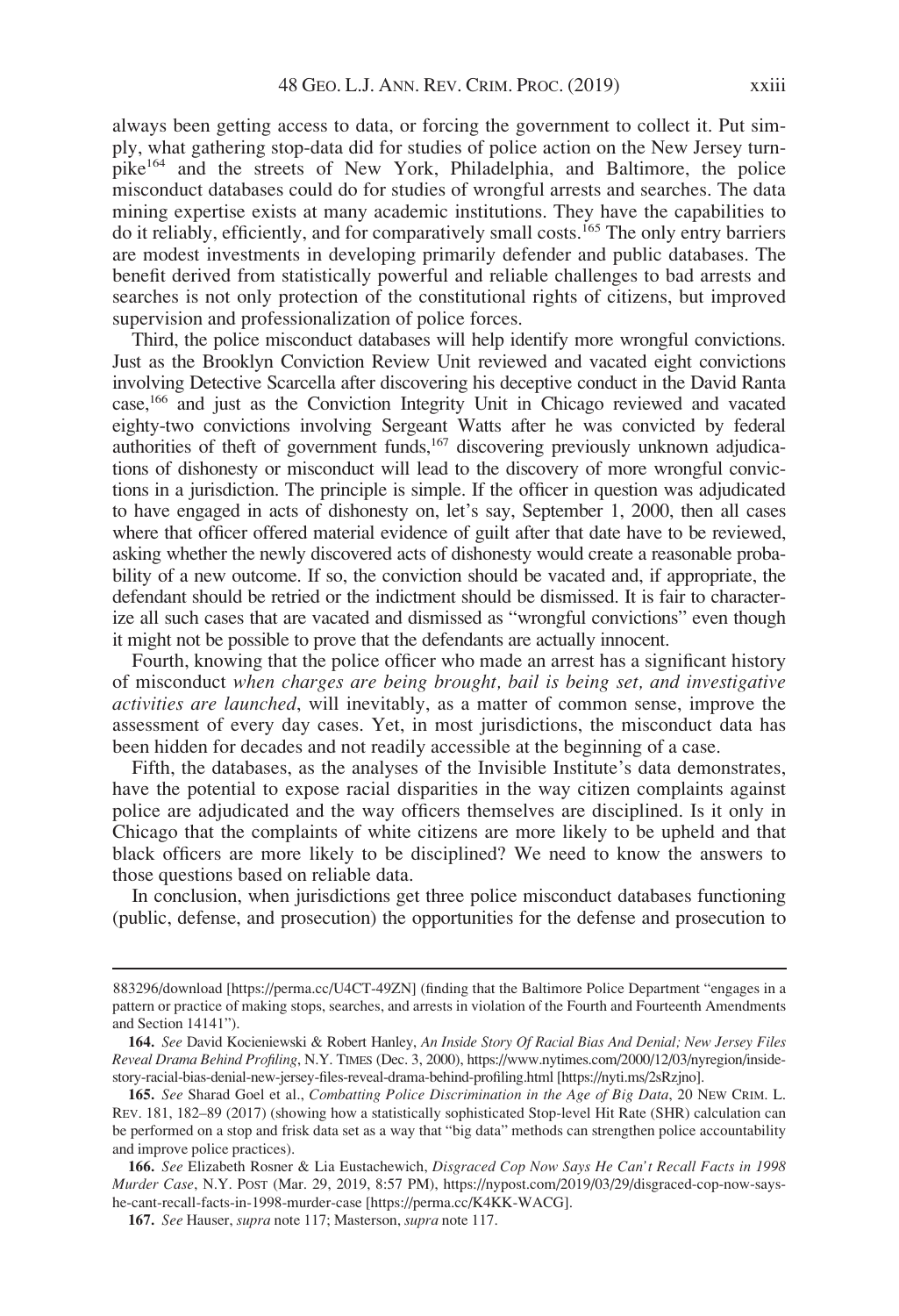always been getting access to data, or forcing the government to collect it. Put simply, what gathering stop-data did for studies of police action on the New Jersey turnpike164 and the streets of New York, Philadelphia, and Baltimore, the police misconduct databases could do for studies of wrongful arrests and searches. The data mining expertise exists at many academic institutions. They have the capabilities to do it reliably, efficiently, and for comparatively small costs.<sup>165</sup> The only entry barriers are modest investments in developing primarily defender and public databases. The benefit derived from statistically powerful and reliable challenges to bad arrests and searches is not only protection of the constitutional rights of citizens, but improved supervision and professionalization of police forces.

Third, the police misconduct databases will help identify more wrongful convictions. Just as the Brooklyn Conviction Review Unit reviewed and vacated eight convictions involving Detective Scarcella after discovering his deceptive conduct in the David Ranta case,166 and just as the Conviction Integrity Unit in Chicago reviewed and vacated eighty-two convictions involving Sergeant Watts after he was convicted by federal authorities of theft of government funds,<sup>167</sup> discovering previously unknown adjudications of dishonesty or misconduct will lead to the discovery of more wrongful convictions in a jurisdiction. The principle is simple. If the officer in question was adjudicated to have engaged in acts of dishonesty on, let's say, September 1, 2000, then all cases where that officer offered material evidence of guilt after that date have to be reviewed, asking whether the newly discovered acts of dishonesty would create a reasonable probability of a new outcome. If so, the conviction should be vacated and, if appropriate, the defendant should be retried or the indictment should be dismissed. It is fair to characterize all such cases that are vacated and dismissed as "wrongful convictions" even though it might not be possible to prove that the defendants are actually innocent.

Fourth, knowing that the police officer who made an arrest has a significant history of misconduct when charges are being brought, bail is being set, and investigative activities are launched, will inevitably, as a matter of common sense, improve the assessment of every day cases. Yet, in most jurisdictions, the misconduct data has been hidden for decades and not readily accessible at the beginning of a case.

Fifth, the databases, as the analyses of the Invisible Institute's data demonstrates, have the potential to expose racial disparities in the way citizen complaints against police are adjudicated and the way officers themselves are disciplined. Is it only in Chicago that the complaints of white citizens are more likely to be upheld and that black officers are more likely to be disciplined? We need to know the answers to those questions based on reliable data.

In conclusion, when jurisdictions get three police misconduct databases functioning (public, defense, and prosecution) the opportunities for the defense and prosecution to

<sup>883296/</sup>download [[https://perma.cc/U4CT-49ZN\]](https://perma.cc/U4CT-49ZN) (finding that the Baltimore Police Department "engages in a pattern or practice of making stops, searches, and arrests in violation of the Fourth and Fourteenth Amendments and Section 14141").

<sup>164.</sup> See David Kocieniewski & Robert Hanley, An Inside Story Of Racial Bias And Denial; New Jersey Files Reveal Drama Behind Profiling, N.Y. TIMES (Dec. 3, 2000), [https://www.nytimes.com/2000/12/03/nyregion/inside](https://www.nytimes.com/2000/12/03/nyregion/inside-story-racial-bias-denial-new-jersey-files-reveal-drama-behind-profiling.html)[story-racial-bias-denial-new-jersey-files-reveal-drama-behind-profiling.html](https://www.nytimes.com/2000/12/03/nyregion/inside-story-racial-bias-denial-new-jersey-files-reveal-drama-behind-profiling.html) [\[https://nyti.ms/2sRzjno\]](https://nyti.ms/2sRzjno).

<sup>165.</sup> See Sharad Goel et al., Combatting Police Discrimination in the Age of Big Data, 20 NEW CRIM. L. REV. 181, 182–89 (2017) (showing how a statistically sophisticated Stop-level Hit Rate (SHR) calculation can be performed on a stop and frisk data set as a way that "big data" methods can strengthen police accountability and improve police practices).

<sup>166.</sup> See Elizabeth Rosner & Lia Eustachewich, Disgraced Cop Now Says He Can't Recall Facts in 1998 Murder Case, N.Y. POST (Mar. 29, 2019, 8:57 PM), [https://nypost.com/2019/03/29/disgraced-cop-now-says](https://nypost.com/2019/03/29/disgraced-cop-now-says-he-cant-recall-facts-in-1998-murder-case)[he-cant-recall-facts-in-1998-murder-case](https://nypost.com/2019/03/29/disgraced-cop-now-says-he-cant-recall-facts-in-1998-murder-case) [<https://perma.cc/K4KK-WACG>].

<sup>167.</sup> See Hauser, supra note 117; Masterson, supra note 117.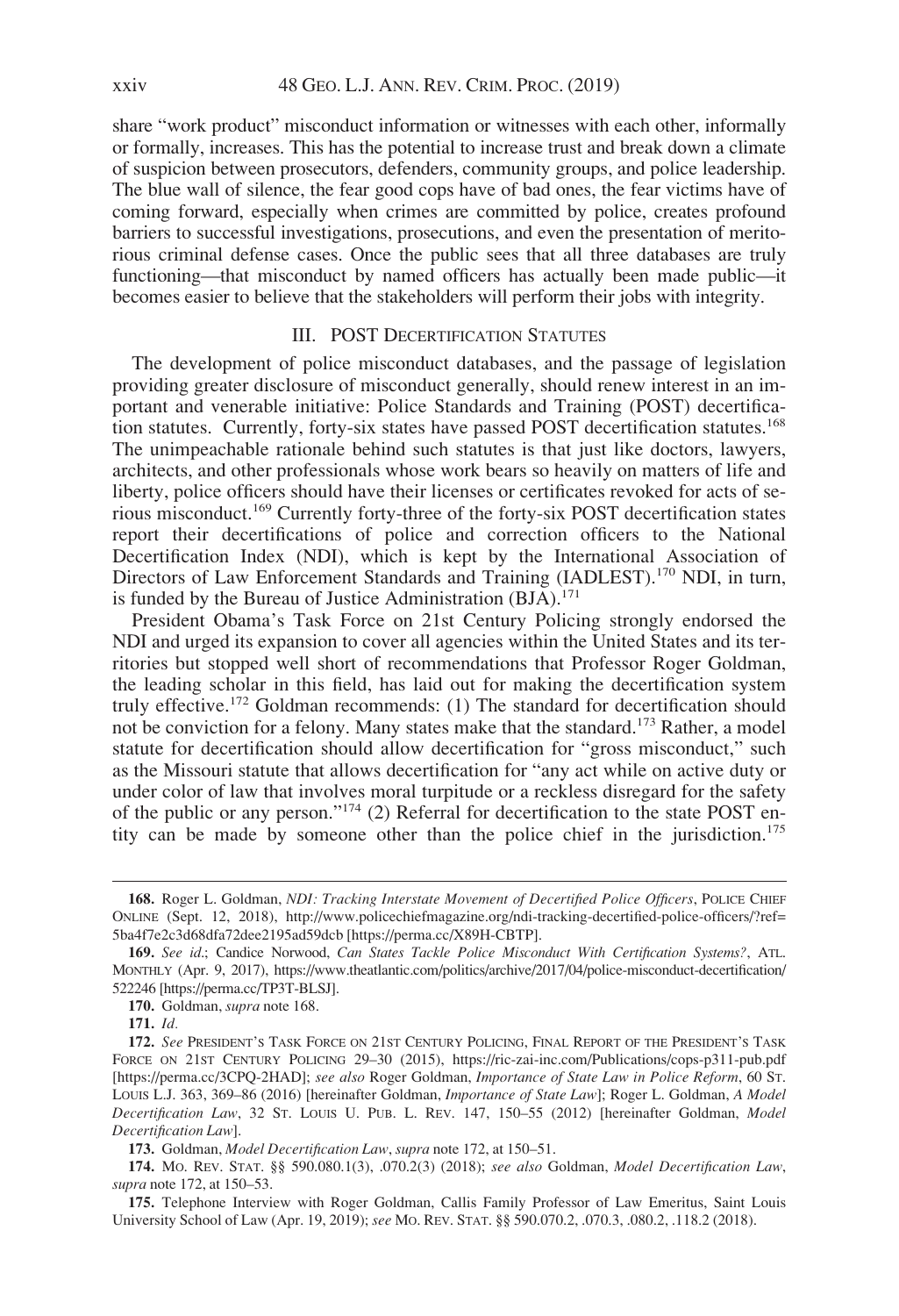share "work product" misconduct information or witnesses with each other, informally or formally, increases. This has the potential to increase trust and break down a climate of suspicion between prosecutors, defenders, community groups, and police leadership. The blue wall of silence, the fear good cops have of bad ones, the fear victims have of coming forward, especially when crimes are committed by police, creates profound barriers to successful investigations, prosecutions, and even the presentation of meritorious criminal defense cases. Once the public sees that all three databases are truly functioning—that misconduct by named officers has actually been made public—it becomes easier to believe that the stakeholders will perform their jobs with integrity.

### III. POST DECERTIFICATION STATUTES

The development of police misconduct databases, and the passage of legislation providing greater disclosure of misconduct generally, should renew interest in an important and venerable initiative: Police Standards and Training (POST) decertification statutes. Currently, forty-six states have passed POST decertification statutes.<sup>168</sup> The unimpeachable rationale behind such statutes is that just like doctors, lawyers, architects, and other professionals whose work bears so heavily on matters of life and liberty, police officers should have their licenses or certificates revoked for acts of serious misconduct.<sup>169</sup> Currently forty-three of the forty-six POST decertification states report their decertifications of police and correction officers to the National Decertification Index (NDI), which is kept by the International Association of Directors of Law Enforcement Standards and Training (IADLEST).<sup>170</sup> NDI, in turn, is funded by the Bureau of Justice Administration  $(BJA)$ .<sup>171</sup>

President Obama's Task Force on 21st Century Policing strongly endorsed the NDI and urged its expansion to cover all agencies within the United States and its territories but stopped well short of recommendations that Professor Roger Goldman, the leading scholar in this field, has laid out for making the decertification system truly effective.<sup>172</sup> Goldman recommends: (1) The standard for decertification should not be conviction for a felony. Many states make that the standard.<sup>173</sup> Rather, a model statute for decertification should allow decertification for "gross misconduct," such as the Missouri statute that allows decertification for "any act while on active duty or under color of law that involves moral turpitude or a reckless disregard for the safety of the public or any person."<sup>174</sup> (2) Referral for decertification to the state POST entity can be made by someone other than the police chief in the jurisdiction.<sup>175</sup>

<sup>168.</sup> Roger L. Goldman, NDI: Tracking Interstate Movement of Decertified Police Officers, POLICE CHIEF ONLINE (Sept. 12, 2018), [http://www.policechiefmagazine.org/ndi-tracking-decertified-police-officers/?ref=](http://www.policechiefmagazine.org/ndi-tracking-decertified-police-officers/?ref=5ba4f7e2c3d68dfa72dee2195ad59dcb) [5ba4f7e2c3d68dfa72dee2195ad59dcb](http://www.policechiefmagazine.org/ndi-tracking-decertified-police-officers/?ref=5ba4f7e2c3d68dfa72dee2195ad59dcb) [\[https://perma.cc/X89H-CBTP](https://perma.cc/X89H-CBTP)].

<sup>169.</sup> See id.; Candice Norwood, Can States Tackle Police Misconduct With Certification Systems?, ATL. MONTHLY (Apr. 9, 2017), [https://www.theatlantic.com/politics/archive/2017/04/police-misconduct-decertification/](https://www.theatlantic.com/politics/archive/2017/04/police-misconduct-decertification/522246) [522246](https://www.theatlantic.com/politics/archive/2017/04/police-misconduct-decertification/522246) [\[https://perma.cc/TP3T-BLSJ\]](https://perma.cc/TP3T-BLSJ).

<sup>170.</sup> Goldman, supra note 168.

<sup>171.</sup> Id.

<sup>172.</sup> See PRESIDENT'S TASK FORCE ON 21ST CENTURY POLICING, FINAL REPORT OF THE PRESIDENT'S TASK FORCE ON 21ST CENTURY POLICING 29–30 (2015),<https://ric-zai-inc.com/Publications/cops-p311-pub.pdf> [<https://perma.cc/3CPQ-2HAD>]; see also Roger Goldman, Importance of State Law in Police Reform, 60 ST. LOUIS L.J. 363, 369-86 (2016) [hereinafter Goldman, *Importance of State Law*]; Roger L. Goldman, *A Model* Decertification Law, 32 ST. LOUIS U. PUB. L. REV. 147, 150–55 (2012) [hereinafter Goldman, Model Decertification Law].

<sup>173.</sup> Goldman, Model Decertification Law, supra note 172, at 150-51.

<sup>174.</sup> Mo. REV. STAT. §§ 590.080.1(3), .070.2(3) (2018); see also Goldman, Model Decertification Law, supra note 172, at 150–53.

<sup>175.</sup> Telephone Interview with Roger Goldman, Callis Family Professor of Law Emeritus, Saint Louis University School of Law (Apr. 19, 2019); see MO. REV. STAT. §§ 590.070.2, .070.3, .080.2, .118.2 (2018).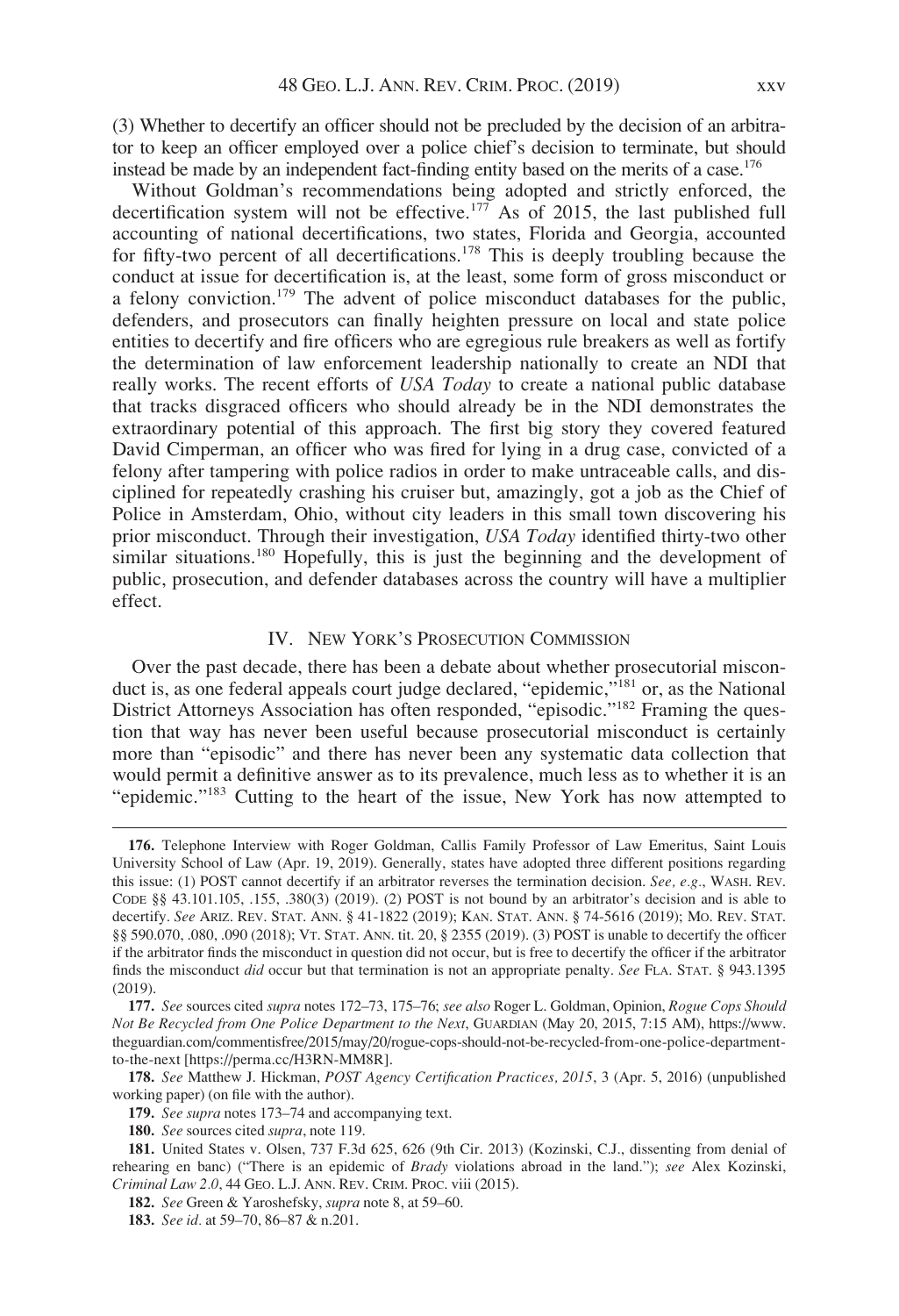(3) Whether to decertify an officer should not be precluded by the decision of an arbitrator to keep an officer employed over a police chief's decision to terminate, but should instead be made by an independent fact-finding entity based on the merits of a case.<sup>176</sup>

Without Goldman's recommendations being adopted and strictly enforced, the decertification system will not be effective.<sup>177</sup> As of 2015, the last published full accounting of national decertifications, two states, Florida and Georgia, accounted for fifty-two percent of all decertifications.<sup>178</sup> This is deeply troubling because the conduct at issue for decertification is, at the least, some form of gross misconduct or a felony conviction.<sup>179</sup> The advent of police misconduct databases for the public, defenders, and prosecutors can finally heighten pressure on local and state police entities to decertify and fire officers who are egregious rule breakers as well as fortify the determination of law enforcement leadership nationally to create an NDI that really works. The recent efforts of USA Today to create a national public database that tracks disgraced officers who should already be in the NDI demonstrates the extraordinary potential of this approach. The first big story they covered featured David Cimperman, an officer who was fired for lying in a drug case, convicted of a felony after tampering with police radios in order to make untraceable calls, and disciplined for repeatedly crashing his cruiser but, amazingly, got a job as the Chief of Police in Amsterdam, Ohio, without city leaders in this small town discovering his prior misconduct. Through their investigation, USA Today identified thirty-two other similar situations.<sup>180</sup> Hopefully, this is just the beginning and the development of public, prosecution, and defender databases across the country will have a multiplier effect.

## IV. NEW YORK'S PROSECUTION COMMISSION

Over the past decade, there has been a debate about whether prosecutorial misconduct is, as one federal appeals court judge declared, "epidemic,"<sup>181</sup> or, as the National District Attorneys Association has often responded, "episodic."<sup>182</sup> Framing the question that way has never been useful because prosecutorial misconduct is certainly more than "episodic" and there has never been any systematic data collection that would permit a definitive answer as to its prevalence, much less as to whether it is an "epidemic."<sup>183</sup> Cutting to the heart of the issue, New York has now attempted to

<sup>176.</sup> Telephone Interview with Roger Goldman, Callis Family Professor of Law Emeritus, Saint Louis University School of Law (Apr. 19, 2019). Generally, states have adopted three different positions regarding this issue: (1) POST cannot decertify if an arbitrator reverses the termination decision. See, e.g., WASH. REV. CODE §§ 43.101.105, .155, .380(3) (2019). (2) POST is not bound by an arbitrator's decision and is able to decertify. See ARIZ. REV. STAT. ANN. § 41-1822 (2019); KAN. STAT. ANN. § 74-5616 (2019); MO. REV. STAT. §§ 590.070, .080, .090 (2018); VT. STAT. ANN. tit. 20, § 2355 (2019). (3) POST is unable to decertify the officer if the arbitrator finds the misconduct in question did not occur, but is free to decertify the officer if the arbitrator finds the misconduct did occur but that termination is not an appropriate penalty. See FLA. STAT. § 943.1395 (2019).

<sup>177.</sup> See sources cited supra notes 172–73, 175–76; see also Roger L. Goldman, Opinion, Rogue Cops Should Not Be Recycled from One Police Department to the Next, GUARDIAN (May 20, 2015, 7:15 AM), [https://www.](https://www.theguardian.com/commentisfree/2015/may/20/rogue-cops-should-not-be-recycled-from-one-police-department-to-the-next) [theguardian.com/commentisfree/2015/may/20/rogue-cops-should-not-be-recycled-from-one-police-department](https://www.theguardian.com/commentisfree/2015/may/20/rogue-cops-should-not-be-recycled-from-one-police-department-to-the-next)[to-the-next](https://www.theguardian.com/commentisfree/2015/may/20/rogue-cops-should-not-be-recycled-from-one-police-department-to-the-next) [\[https://perma.cc/H3RN-MM8R](https://perma.cc/H3RN-MM8R)].

<sup>178.</sup> See Matthew J. Hickman, POST Agency Certification Practices, 2015, 3 (Apr. 5, 2016) (unpublished working paper) (on file with the author).

<sup>179.</sup> See supra notes 173–74 and accompanying text.

<sup>180.</sup> See sources cited supra, note 119.

<sup>181.</sup> United States v. Olsen, 737 F.3d 625, 626 (9th Cir. 2013) (Kozinski, C.J., dissenting from denial of rehearing en banc) ("There is an epidemic of Brady violations abroad in the land."); see Alex Kozinski, Criminal Law 2.0, 44 GEO. L.J. ANN. REV. CRIM. PROC. viii (2015).

<sup>182.</sup> See Green & Yaroshefsky, supra note 8, at 59-60.

<sup>183.</sup> See id. at 59-70, 86-87 & n.201.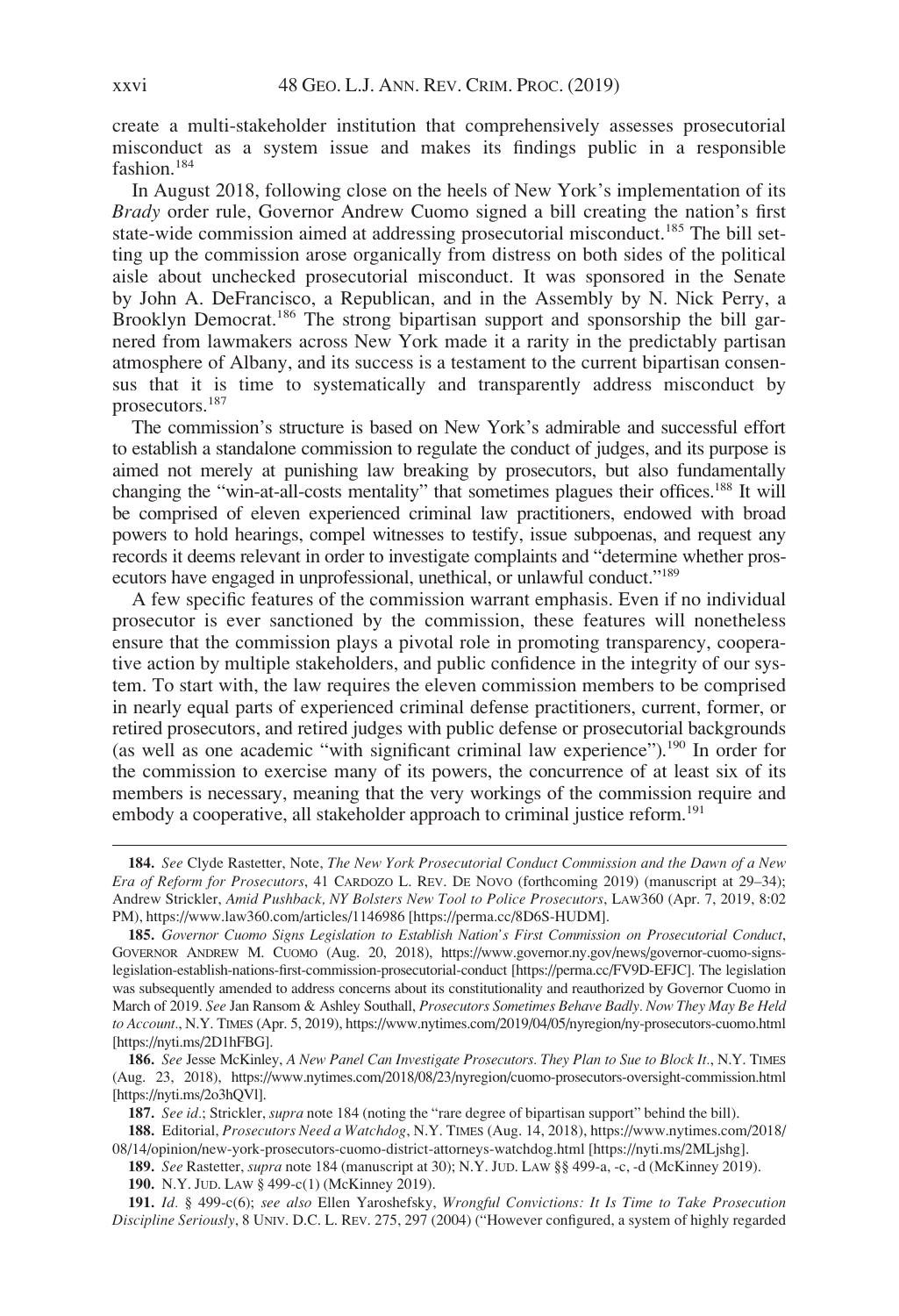create a multi-stakeholder institution that comprehensively assesses prosecutorial misconduct as a system issue and makes its findings public in a responsible fashion.184

In August 2018, following close on the heels of New York's implementation of its Brady order rule, Governor Andrew Cuomo signed a bill creating the nation's first state-wide commission aimed at addressing prosecutorial misconduct.<sup>185</sup> The bill setting up the commission arose organically from distress on both sides of the political aisle about unchecked prosecutorial misconduct. It was sponsored in the Senate by John A. DeFrancisco, a Republican, and in the Assembly by N. Nick Perry, a Brooklyn Democrat.<sup>186</sup> The strong bipartisan support and sponsorship the bill garnered from lawmakers across New York made it a rarity in the predictably partisan atmosphere of Albany, and its success is a testament to the current bipartisan consensus that it is time to systematically and transparently address misconduct by prosecutors.187

The commission's structure is based on New York's admirable and successful effort to establish a standalone commission to regulate the conduct of judges, and its purpose is aimed not merely at punishing law breaking by prosecutors, but also fundamentally changing the "win-at-all-costs mentality" that sometimes plagues their offices.<sup>188</sup> It will be comprised of eleven experienced criminal law practitioners, endowed with broad powers to hold hearings, compel witnesses to testify, issue subpoenas, and request any records it deems relevant in order to investigate complaints and "determine whether prosecutors have engaged in unprofessional, unethical, or unlawful conduct."189

A few specific features of the commission warrant emphasis. Even if no individual prosecutor is ever sanctioned by the commission, these features will nonetheless ensure that the commission plays a pivotal role in promoting transparency, cooperative action by multiple stakeholders, and public confidence in the integrity of our system. To start with, the law requires the eleven commission members to be comprised in nearly equal parts of experienced criminal defense practitioners, current, former, or retired prosecutors, and retired judges with public defense or prosecutorial backgrounds (as well as one academic "with significant criminal law experience").<sup>190</sup> In order for the commission to exercise many of its powers, the concurrence of at least six of its members is necessary, meaning that the very workings of the commission require and embody a cooperative, all stakeholder approach to criminal justice reform.<sup>191</sup>

187. See id.; Strickler, *supra* note 184 (noting the "rare degree of bipartisan support" behind the bill).

188. Editorial, Prosecutors Need a Watchdog, N.Y. TIMES (Aug. 14, 2018), [https://www.nytimes.com/2018/](https://www.nytimes.com/2018/08/14/opinion/new-york-prosecutors-cuomo-district-attorneys-watchdog.html) [08/14/opinion/new-york-prosecutors-cuomo-district-attorneys-watchdog.html](https://www.nytimes.com/2018/08/14/opinion/new-york-prosecutors-cuomo-district-attorneys-watchdog.html) [[https://nyti.ms/2MLjshg\]](https://nyti.ms/2MLjshg).

189. See Rastetter, supra note 184 (manuscript at 30); N.Y. JUD. LAW §§ 499-a, -c, -d (McKinney 2019).

190. N.Y. JUD. LAW § 499-c(1) (McKinney 2019).

191. Id. § 499-c(6); see also Ellen Yaroshefsky, Wrongful Convictions: It Is Time to Take Prosecution Discipline Seriously,8UNIV. D.C. L. REV. 275, 297 (2004) ("However configured, a system of highly regarded

<sup>184.</sup> See Clyde Rastetter, Note, The New York Prosecutorial Conduct Commission and the Dawn of a New Era of Reform for Prosecutors, 41 CARDOZO L. REV. DE NOVO (forthcoming 2019) (manuscript at 29–34); Andrew Strickler, Amid Pushback, NY Bolsters New Tool to Police Prosecutors, LAW360 (Apr. 7, 2019, 8:02 PM),<https://www.law360.com/articles/1146986> [<https://perma.cc/8D6S-HUDM>].

<sup>185.</sup> Governor Cuomo Signs Legislation to Establish Nation's First Commission on Prosecutorial Conduct, GOVERNOR ANDREW M. CUOMO (Aug. 20, 2018), [https://www.governor.ny.gov/news/governor-cuomo-signs](https://www.governor.ny.gov/news/governor-cuomo-signs-legislation-establish-nations-first-commission-prosecutorial-conduct)[legislation-establish-nations-first-commission-prosecutorial-conduct](https://www.governor.ny.gov/news/governor-cuomo-signs-legislation-establish-nations-first-commission-prosecutorial-conduct) [\[https://perma.cc/FV9D-EFJC](https://perma.cc/FV9D-EFJC)]. The legislation was subsequently amended to address concerns about its constitutionality and reauthorized by Governor Cuomo in March of 2019. See Jan Ransom & Ashley Southall, Prosecutors Sometimes Behave Badly. Now They May Be Held to Account., N.Y. TIMES (Apr. 5, 2019),<https://www.nytimes.com/2019/04/05/nyregion/ny-prosecutors-cuomo.html> [[https://nyti.ms/2D1hFBG\]](https://nyti.ms/2D1hFBG).

<sup>186.</sup> See Jesse McKinley, A New Panel Can Investigate Prosecutors. They Plan to Sue to Block It., N.Y. TIMES (Aug. 23, 2018),<https://www.nytimes.com/2018/08/23/nyregion/cuomo-prosecutors-oversight-commission.html> [[https://nyti.ms/2o3hQVl\]](https://nyti.ms/2o3hQVl).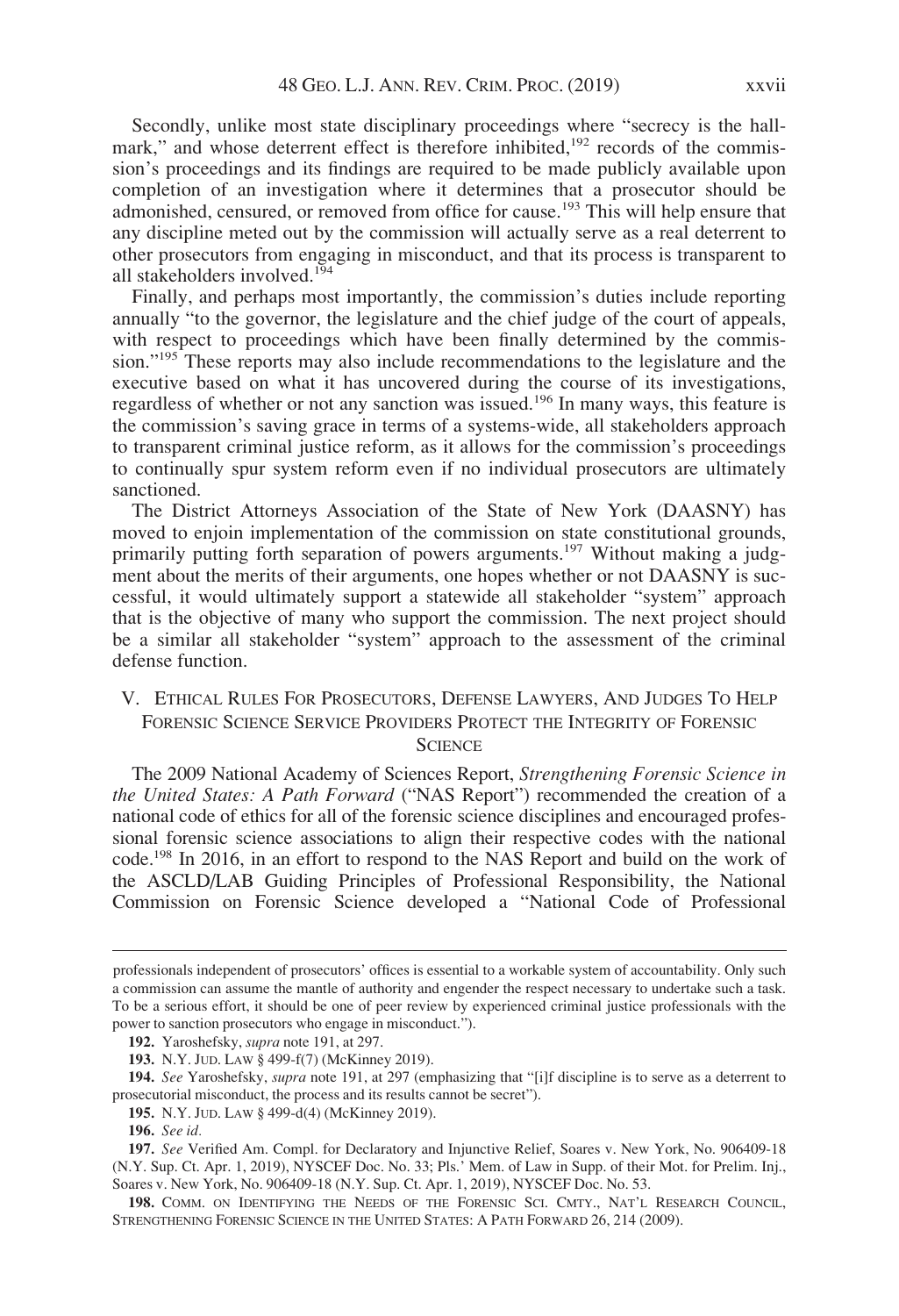Secondly, unlike most state disciplinary proceedings where "secrecy is the hallmark," and whose deterrent effect is therefore inhibited,<sup>192</sup> records of the commission's proceedings and its findings are required to be made publicly available upon completion of an investigation where it determines that a prosecutor should be admonished, censured, or removed from office for cause.<sup>193</sup> This will help ensure that any discipline meted out by the commission will actually serve as a real deterrent to other prosecutors from engaging in misconduct, and that its process is transparent to all stakeholders involved.194

Finally, and perhaps most importantly, the commission's duties include reporting annually "to the governor, the legislature and the chief judge of the court of appeals, with respect to proceedings which have been finally determined by the commission."<sup>195</sup> These reports may also include recommendations to the legislature and the executive based on what it has uncovered during the course of its investigations, regardless of whether or not any sanction was issued.<sup>196</sup> In many ways, this feature is the commission's saving grace in terms of a systems-wide, all stakeholders approach to transparent criminal justice reform, as it allows for the commission's proceedings to continually spur system reform even if no individual prosecutors are ultimately sanctioned.

The District Attorneys Association of the State of New York (DAASNY) has moved to enjoin implementation of the commission on state constitutional grounds, primarily putting forth separation of powers arguments.<sup>197</sup> Without making a judgment about the merits of their arguments, one hopes whether or not DAASNY is successful, it would ultimately support a statewide all stakeholder "system" approach that is the objective of many who support the commission. The next project should be a similar all stakeholder "system" approach to the assessment of the criminal defense function.

## V. ETHICAL RULES FOR PROSECUTORS, DEFENSE LAWYERS, AND JUDGES TO HELP FORENSIC SCIENCE SERVICE PROVIDERS PROTECT THE INTEGRITY OF FORENSIC **SCIENCE**

The 2009 National Academy of Sciences Report, Strengthening Forensic Science in the United States: A Path Forward ("NAS Report") recommended the creation of a national code of ethics for all of the forensic science disciplines and encouraged professional forensic science associations to align their respective codes with the national code.198 In 2016, in an effort to respond to the NAS Report and build on the work of the ASCLD/LAB Guiding Principles of Professional Responsibility, the National Commission on Forensic Science developed a "National Code of Professional

professionals independent of prosecutors' offices is essential to a workable system of accountability. Only such a commission can assume the mantle of authority and engender the respect necessary to undertake such a task. To be a serious effort, it should be one of peer review by experienced criminal justice professionals with the power to sanction prosecutors who engage in misconduct.").

<sup>192.</sup> Yaroshefsky, supra note 191, at 297.

<sup>193.</sup> N.Y. JUD. LAW § 499-f(7) (McKinney 2019).

<sup>194.</sup> See Yaroshefsky, *supra* note 191, at 297 (emphasizing that "[i]f discipline is to serve as a deterrent to prosecutorial misconduct, the process and its results cannot be secret").

<sup>195.</sup> N.Y. JUD. LAW § 499-d(4) (McKinney 2019).

<sup>196.</sup> See id.

<sup>197.</sup> See Verified Am. Compl. for Declaratory and Injunctive Relief, Soares v. New York, No. 906409-18 (N.Y. Sup. Ct. Apr. 1, 2019), NYSCEF Doc. No. 33; Pls.' Mem. of Law in Supp. of their Mot. for Prelim. Inj., Soares v. New York, No. 906409-18 (N.Y. Sup. Ct. Apr. 1, 2019), NYSCEF Doc. No. 53.

<sup>198.</sup> COMM. ON IDENTIFYING THE NEEDS OF THE FORENSIC SCI. CMTY., NAT'L RESEARCH COUNCIL, STRENGTHENING FORENSIC SCIENCE IN THE UNITED STATES: A PATH FORWARD 26, 214 (2009).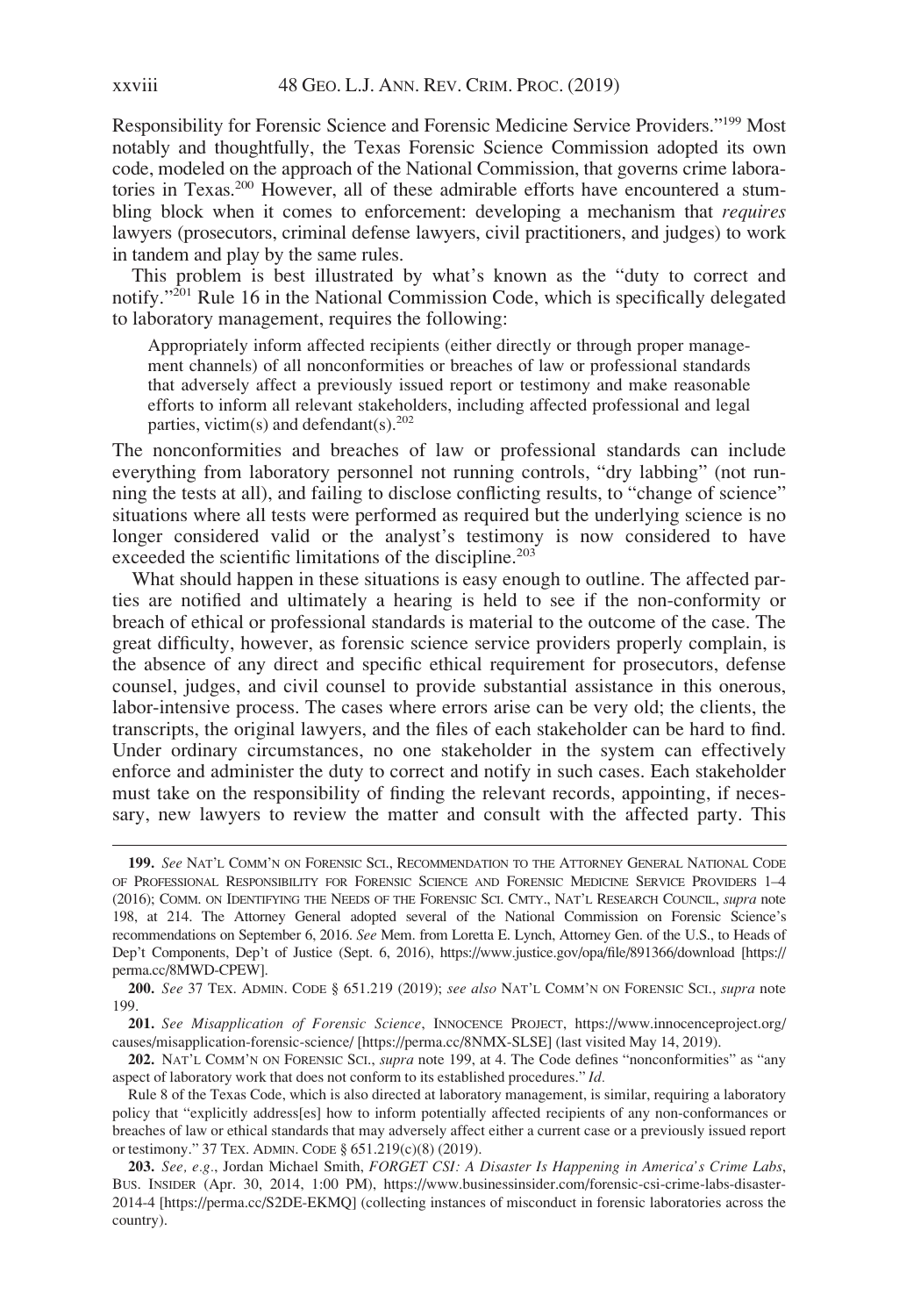Responsibility for Forensic Science and Forensic Medicine Service Providers."199 Most notably and thoughtfully, the Texas Forensic Science Commission adopted its own code, modeled on the approach of the National Commission, that governs crime laboratories in Texas.200 However, all of these admirable efforts have encountered a stumbling block when it comes to enforcement: developing a mechanism that *requires* lawyers (prosecutors, criminal defense lawyers, civil practitioners, and judges) to work in tandem and play by the same rules.

This problem is best illustrated by what's known as the "duty to correct and notify."<sup>201</sup> Rule 16 in the National Commission Code, which is specifically delegated to laboratory management, requires the following:

Appropriately inform affected recipients (either directly or through proper management channels) of all nonconformities or breaches of law or professional standards that adversely affect a previously issued report or testimony and make reasonable efforts to inform all relevant stakeholders, including affected professional and legal parties, victim(s) and defendant(s). $202$ 

The nonconformities and breaches of law or professional standards can include everything from laboratory personnel not running controls, "dry labbing" (not running the tests at all), and failing to disclose conflicting results, to "change of science" situations where all tests were performed as required but the underlying science is no longer considered valid or the analyst's testimony is now considered to have exceeded the scientific limitations of the discipline.<sup>203</sup>

What should happen in these situations is easy enough to outline. The affected parties are notified and ultimately a hearing is held to see if the non-conformity or breach of ethical or professional standards is material to the outcome of the case. The great difficulty, however, as forensic science service providers properly complain, is the absence of any direct and specific ethical requirement for prosecutors, defense counsel, judges, and civil counsel to provide substantial assistance in this onerous, labor-intensive process. The cases where errors arise can be very old; the clients, the transcripts, the original lawyers, and the files of each stakeholder can be hard to find. Under ordinary circumstances, no one stakeholder in the system can effectively enforce and administer the duty to correct and notify in such cases. Each stakeholder must take on the responsibility of finding the relevant records, appointing, if necessary, new lawyers to review the matter and consult with the affected party. This

<sup>199.</sup> See NAT'L COMM'N ON FORENSIC SCI., RECOMMENDATION TO THE ATTORNEY GENERAL NATIONAL CODE OF PROFESSIONAL RESPONSIBILITY FOR FORENSIC SCIENCE AND FORENSIC MEDICINE SERVICE PROVIDERS 1–4 (2016); COMM. ON IDENTIFYING THE NEEDS OF THE FORENSIC SCI. CMTY., NAT'L RESEARCH COUNCIL, supra note 198, at 214. The Attorney General adopted several of the National Commission on Forensic Science's recommendations on September 6, 2016. See Mem. from Loretta E. Lynch, Attorney Gen. of the U.S., to Heads of Dep't Components, Dep't of Justice (Sept. 6, 2016),<https://www.justice.gov/opa/file/891366/download> [\[https://](https://perma.cc/8MWD-CPEW) [perma.cc/8MWD-CPEW\]](https://perma.cc/8MWD-CPEW).

<sup>200.</sup> See 37 TEX. ADMIN. CODE § 651.219 (2019); see also NAT'L COMM'N ON FORENSIC SCI., supra note 199.

<sup>201.</sup> See Misapplication of Forensic Science, INNOCENCE PROJECT, [https://www.innocenceproject.org/](https://www.innocenceproject.org/causes/misapplication-forensic-science/) [causes/misapplication-forensic-science/](https://www.innocenceproject.org/causes/misapplication-forensic-science/) [\[https://perma.cc/8NMX-SLSE](https://perma.cc/8NMX-SLSE)] (last visited May 14, 2019).

<sup>202.</sup> NAT'L COMM'N ON FORENSIC SCI., *supra* note 199, at 4. The Code defines "nonconformities" as "any aspect of laboratory work that does not conform to its established procedures." Id.

Rule 8 of the Texas Code, which is also directed at laboratory management, is similar, requiring a laboratory policy that "explicitly address[es] how to inform potentially affected recipients of any non-conformances or breaches of law or ethical standards that may adversely affect either a current case or a previously issued report or testimony." 37 TEX. ADMIN. CODE § 651.219(c)(8) (2019).

<sup>203.</sup> See, e.g., Jordan Michael Smith, FORGET CSI: A Disaster Is Happening in America's Crime Labs, BUS. INSIDER (Apr. 30, 2014, 1:00 PM), [https://www.businessinsider.com/forensic-csi-crime-labs-disaster-](https://www.businessinsider.com/forensic-csi-crime-labs-disaster-2014-4)[2014-4](https://www.businessinsider.com/forensic-csi-crime-labs-disaster-2014-4) [\[https://perma.cc/S2DE-EKMQ](https://perma.cc/S2DE-EKMQ)] (collecting instances of misconduct in forensic laboratories across the country).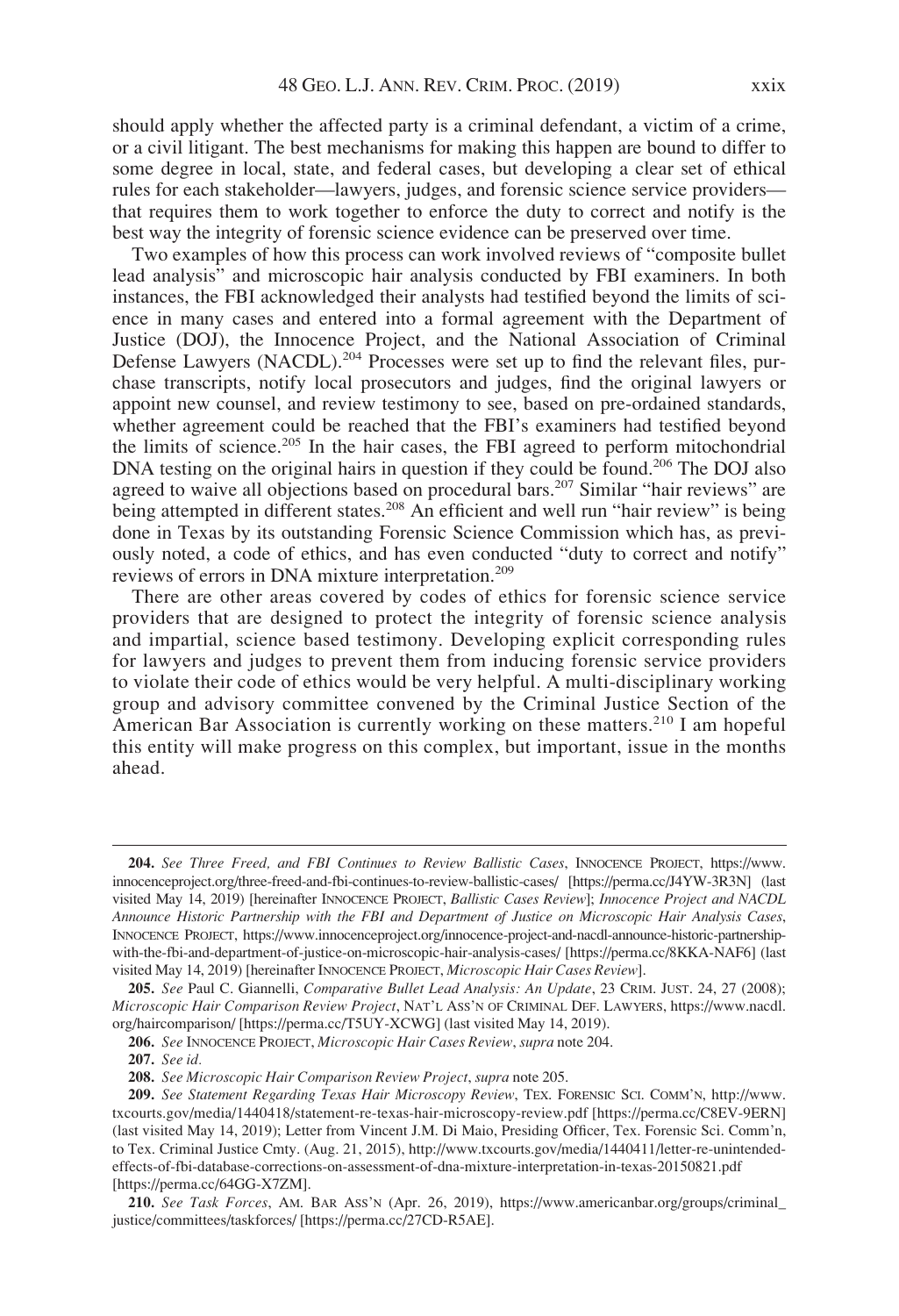should apply whether the affected party is a criminal defendant, a victim of a crime, or a civil litigant. The best mechanisms for making this happen are bound to differ to some degree in local, state, and federal cases, but developing a clear set of ethical rules for each stakeholder—lawyers, judges, and forensic science service providers that requires them to work together to enforce the duty to correct and notify is the best way the integrity of forensic science evidence can be preserved over time.

Two examples of how this process can work involved reviews of "composite bullet lead analysis" and microscopic hair analysis conducted by FBI examiners. In both instances, the FBI acknowledged their analysts had testified beyond the limits of science in many cases and entered into a formal agreement with the Department of Justice (DOJ), the Innocence Project, and the National Association of Criminal Defense Lawyers (NACDL).<sup>204</sup> Processes were set up to find the relevant files, purchase transcripts, notify local prosecutors and judges, find the original lawyers or appoint new counsel, and review testimony to see, based on pre-ordained standards, whether agreement could be reached that the FBI's examiners had testified beyond the limits of science.<sup>205</sup> In the hair cases, the FBI agreed to perform mitochondrial DNA testing on the original hairs in question if they could be found.<sup>206</sup> The DOJ also agreed to waive all objections based on procedural bars.<sup>207</sup> Similar "hair reviews" are being attempted in different states.<sup>208</sup> An efficient and well run "hair review" is being done in Texas by its outstanding Forensic Science Commission which has, as previously noted, a code of ethics, and has even conducted "duty to correct and notify" reviews of errors in DNA mixture interpretation.<sup>209</sup>

There are other areas covered by codes of ethics for forensic science service providers that are designed to protect the integrity of forensic science analysis and impartial, science based testimony. Developing explicit corresponding rules for lawyers and judges to prevent them from inducing forensic service providers to violate their code of ethics would be very helpful. A multi-disciplinary working group and advisory committee convened by the Criminal Justice Section of the American Bar Association is currently working on these matters.<sup>210</sup> I am hopeful this entity will make progress on this complex, but important, issue in the months ahead.

<sup>204.</sup> See Three Freed, and FBI Continues to Review Ballistic Cases, INNOCENCE PROJECT, [https://www.](https://www.innocenceproject.org/three-freed-and-fbi-continues-to-review-ballistic-cases/) [innocenceproject.org/three-freed-and-fbi-continues-to-review-ballistic-cases/](https://www.innocenceproject.org/three-freed-and-fbi-continues-to-review-ballistic-cases/) [\[https://perma.cc/J4YW-3R3N\]](https://perma.cc/J4YW-3R3N) (last visited May 14, 2019) [hereinafter INNOCENCE PROJECT, Ballistic Cases Review]; Innocence Project and NACDL Announce Historic Partnership with the FBI and Department of Justice on Microscopic Hair Analysis Cases, INNOCENCE PROJECT, [https://www.innocenceproject.org/innocence-project-and-nacdl-announce-historic-partnership](https://www.innocenceproject.org/innocence-project-and-nacdl-announce-historic-partnership-with-the-fbi-and-department-of-justice-on-microscopic-hair-analysis-cases/)[with-the-fbi-and-department-of-justice-on-microscopic-hair-analysis-cases/](https://www.innocenceproject.org/innocence-project-and-nacdl-announce-historic-partnership-with-the-fbi-and-department-of-justice-on-microscopic-hair-analysis-cases/) [<https://perma.cc/8KKA-NAF6>] (last visited May 14, 2019) [hereinafter INNOCENCE PROJECT, Microscopic Hair Cases Review].

<sup>205.</sup> See Paul C. Giannelli, Comparative Bullet Lead Analysis: An Update, 23 CRIM. JUST. 24, 27 (2008); Microscopic Hair Comparison Review Project, NAT'L ASS'N OF CRIMINAL DEF. LAWYERS, [https://www.nacdl.](https://www.nacdl.org/haircomparison/) [org/haircomparison/](https://www.nacdl.org/haircomparison/) [<https://perma.cc/T5UY-XCWG>] (last visited May 14, 2019).

<sup>206.</sup> See INNOCENCE PROJECT, Microscopic Hair Cases Review, supra note 204.

<sup>207.</sup> See id.

<sup>208.</sup> See Microscopic Hair Comparison Review Project, supra note 205.

<sup>209.</sup> See Statement Regarding Texas Hair Microscopy Review, TEX. FORENSIC SCI. COMM'N, [http://www.](http://www.txcourts.gov/media/1440418/statement-re-texas-hair-microscopy-review.pdf) [txcourts.gov/media/1440418/statement-re-texas-hair-microscopy-review.pdf](http://www.txcourts.gov/media/1440418/statement-re-texas-hair-microscopy-review.pdf) [<https://perma.cc/C8EV-9ERN>] (last visited May 14, 2019); Letter from Vincent J.M. Di Maio, Presiding Officer, Tex. Forensic Sci. Comm'n, to Tex. Criminal Justice Cmty. (Aug. 21, 2015), [http://www.txcourts.gov/media/1440411/letter-re-unintended](http://www.txcourts.gov/media/1440411/letter-re-unintended-effects-of-fbi-database-corrections-on-assessment-of-dna-mixture-interpretation-in-texas-20150821.pdf)[effects-of-fbi-database-corrections-on-assessment-of-dna-mixture-interpretation-in-texas-20150821.pdf](http://www.txcourts.gov/media/1440411/letter-re-unintended-effects-of-fbi-database-corrections-on-assessment-of-dna-mixture-interpretation-in-texas-20150821.pdf) [[https://perma.cc/64GG-X7ZM\]](https://perma.cc/64GG-X7ZM).

<sup>210.</sup> See Task Forces, AM. BAR ASS'N (Apr. 26, 2019), [https://www.americanbar.org/groups/criminal\\_](https://www.americanbar.org/groups/criminal_justice/committees/taskforces/) [justice/committees/taskforces/](https://www.americanbar.org/groups/criminal_justice/committees/taskforces/) [\[https://perma.cc/27CD-R5AE\]](https://perma.cc/27CD-R5AE).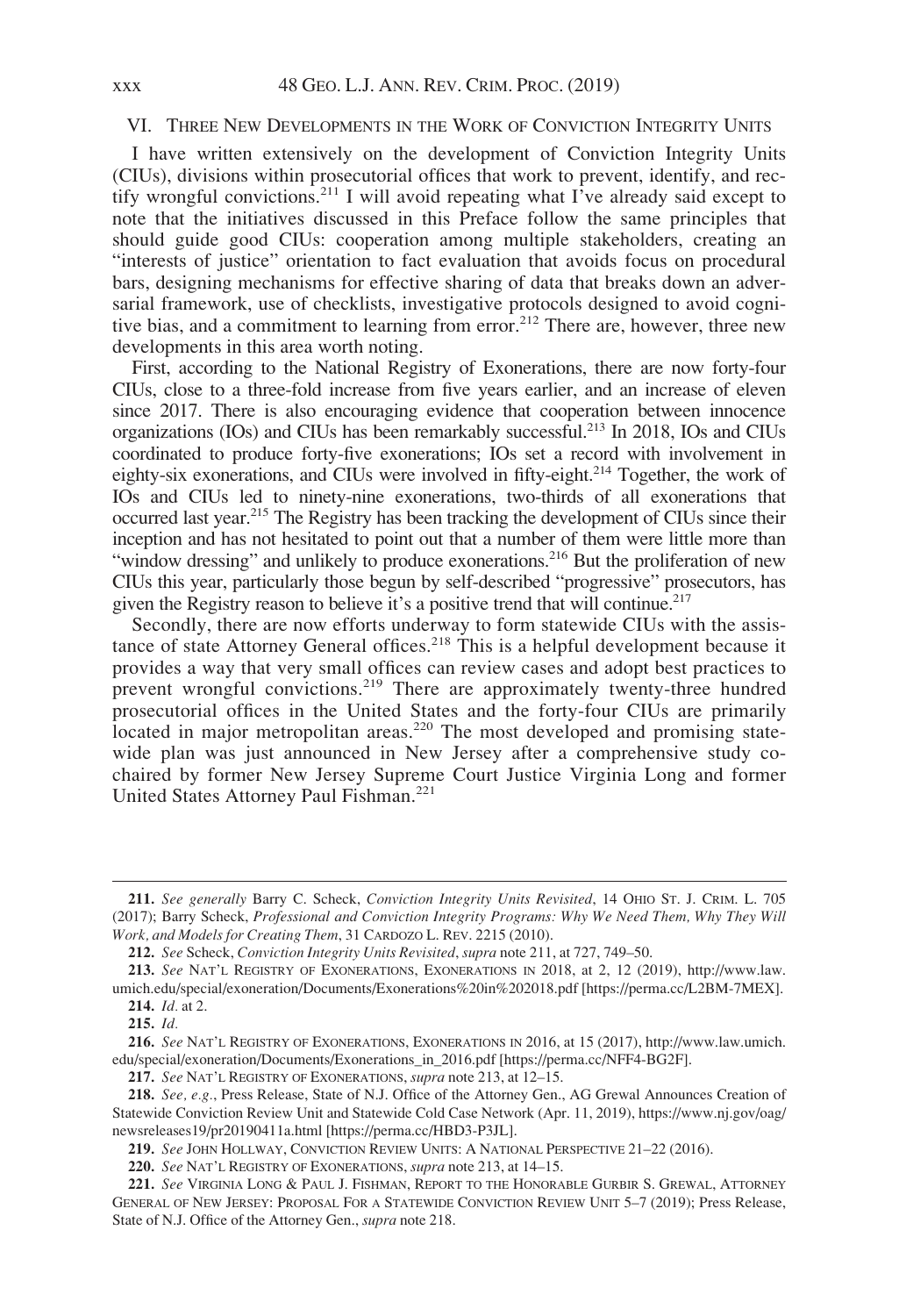#### VI. THREE NEW DEVELOPMENTS IN THE WORK OF CONVICTION INTEGRITY UNITS

I have written extensively on the development of Conviction Integrity Units (CIUs), divisions within prosecutorial offices that work to prevent, identify, and rectify wrongful convictions.<sup>211</sup> I will avoid repeating what  $\vec{l}$  ve already said except to note that the initiatives discussed in this Preface follow the same principles that should guide good CIUs: cooperation among multiple stakeholders, creating an "interests of justice" orientation to fact evaluation that avoids focus on procedural bars, designing mechanisms for effective sharing of data that breaks down an adversarial framework, use of checklists, investigative protocols designed to avoid cognitive bias, and a commitment to learning from error.<sup>212</sup> There are, however, three new developments in this area worth noting.

First, according to the National Registry of Exonerations, there are now forty-four CIUs, close to a three-fold increase from five years earlier, and an increase of eleven since 2017. There is also encouraging evidence that cooperation between innocence organizations (IOs) and CIUs has been remarkably successful.213 In 2018, IOs and CIUs coordinated to produce forty-five exonerations; IOs set a record with involvement in eighty-six exonerations, and CIUs were involved in fifty-eight.<sup>214</sup> Together, the work of IOs and CIUs led to ninety-nine exonerations, two-thirds of all exonerations that occurred last year.215 The Registry has been tracking the development of CIUs since their inception and has not hesitated to point out that a number of them were little more than "window dressing" and unlikely to produce exonerations.<sup>216</sup> But the proliferation of new CIUs this year, particularly those begun by self-described "progressive" prosecutors, has given the Registry reason to believe it's a positive trend that will continue.<sup>217</sup>

Secondly, there are now efforts underway to form statewide CIUs with the assistance of state Attorney General offices.<sup>218</sup> This is a helpful development because it provides a way that very small offices can review cases and adopt best practices to prevent wrongful convictions.<sup>219</sup> There are approximately twenty-three hundred prosecutorial offices in the United States and the forty-four CIUs are primarily located in major metropolitan areas.<sup>220</sup> The most developed and promising statewide plan was just announced in New Jersey after a comprehensive study cochaired by former New Jersey Supreme Court Justice Virginia Long and former United States Attorney Paul Fishman.<sup>221</sup>

<sup>211.</sup> See generally Barry C. Scheck, Conviction Integrity Units Revisited, 14 OHIO ST. J. CRIM. L. 705 (2017); Barry Scheck, Professional and Conviction Integrity Programs: Why We Need Them, Why They Will Work, and Models for Creating Them, 31 CARDOZO L. REV. 2215 (2010).

<sup>212.</sup> See Scheck, Conviction Integrity Units Revisited, supra note 211, at 727, 749-50.

<sup>213.</sup> See NAT'L REGISTRY OF EXONERATIONS, EXONERATIONS IN 2018, at 2, 12 (2019), [http://www.law.](http://www.law.umich.edu/special/exoneration/Documents/Exonerations%20in%202018.pdf) [umich.edu/special/exoneration/Documents/Exonerations%20in%202018.pdf](http://www.law.umich.edu/special/exoneration/Documents/Exonerations%20in%202018.pdf) [[https://perma.cc/L2BM-7MEX\]](https://perma.cc/L2BM-7MEX). 214. Id. at 2.

<sup>215.</sup> Id.

<sup>216.</sup> See NAT'L REGISTRY OF EXONERATIONS, EXONERATIONS IN 2016, at 15 (2017), [http://www.law.umich.](http://www.law.umich.edu/special/exoneration/Documents/Exonerations_in_2016.pdf) [edu/special/exoneration/Documents/Exonerations\\_in\\_2016.pdf](http://www.law.umich.edu/special/exoneration/Documents/Exonerations_in_2016.pdf) [<https://perma.cc/NFF4-BG2F>].

<sup>217.</sup> See NAT'L REGISTRY OF EXONERATIONS, supra note 213, at 12-15.

<sup>218.</sup> See, e.g., Press Release, State of N.J. Office of the Attorney Gen., AG Grewal Announces Creation of Statewide Conviction Review Unit and Statewide Cold Case Network (Apr. 11, 2019), [https://www.nj.gov/oag/](https://www.nj.gov/oag/newsreleases19/pr20190411a.html) [newsreleases19/pr20190411a.html](https://www.nj.gov/oag/newsreleases19/pr20190411a.html) [<https://perma.cc/HBD3-P3JL>].

<sup>219.</sup> See JOHN HOLLWAY, CONVICTION REVIEW UNITS: A NATIONAL PERSPECTIVE 21-22 (2016).

<sup>220.</sup> See NAT'L REGISTRY OF EXONERATIONS, supra note 213, at 14-15.

<sup>221.</sup> See VIRGINIA LONG & PAUL J. FISHMAN, REPORT TO THE HONORABLE GURBIR S. GREWAL, ATTORNEY GENERAL OF NEW JERSEY: PROPOSAL FOR A STATEWIDE CONVICTION REVIEW UNIT 5–7 (2019); Press Release, State of N.J. Office of the Attorney Gen., supra note 218.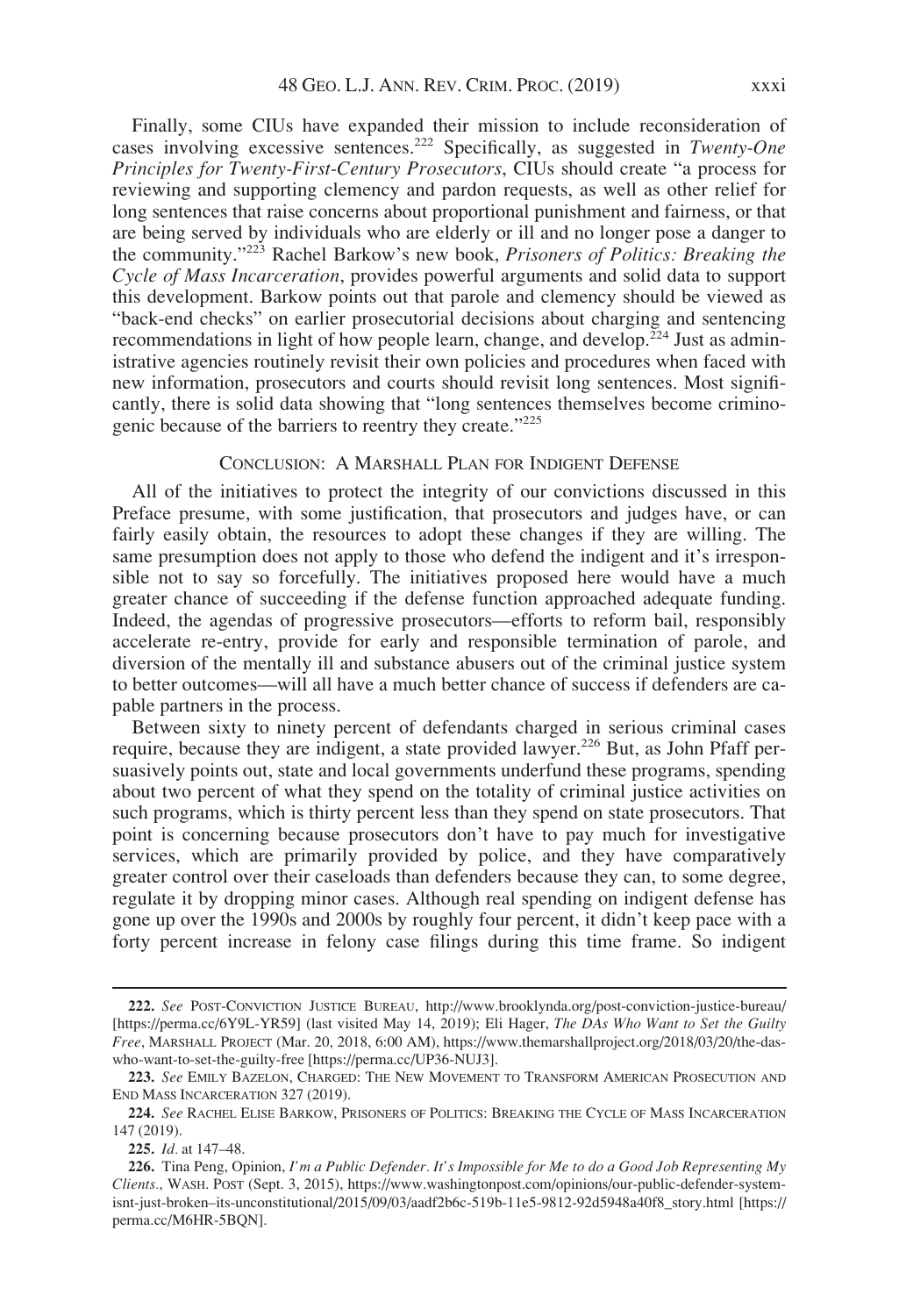Finally, some CIUs have expanded their mission to include reconsideration of cases involving excessive sentences.<sup>222</sup> Specifically, as suggested in Twenty-One Principles for Twenty-First-Century Prosecutors, CIUs should create "a process for reviewing and supporting clemency and pardon requests, as well as other relief for long sentences that raise concerns about proportional punishment and fairness, or that are being served by individuals who are elderly or ill and no longer pose a danger to the community."<sup>223</sup> Rachel Barkow's new book, Prisoners of Politics: Breaking the Cycle of Mass Incarceration, provides powerful arguments and solid data to support this development. Barkow points out that parole and clemency should be viewed as "back-end checks" on earlier prosecutorial decisions about charging and sentencing recommendations in light of how people learn, change, and develop.<sup>224</sup> Just as administrative agencies routinely revisit their own policies and procedures when faced with new information, prosecutors and courts should revisit long sentences. Most significantly, there is solid data showing that "long sentences themselves become criminogenic because of the barriers to reentry they create."<sup>225</sup>

### CONCLUSION: A MARSHALL PLAN FOR INDIGENT DEFENSE

All of the initiatives to protect the integrity of our convictions discussed in this Preface presume, with some justification, that prosecutors and judges have, or can fairly easily obtain, the resources to adopt these changes if they are willing. The same presumption does not apply to those who defend the indigent and it's irresponsible not to say so forcefully. The initiatives proposed here would have a much greater chance of succeeding if the defense function approached adequate funding. Indeed, the agendas of progressive prosecutors—efforts to reform bail, responsibly accelerate re-entry, provide for early and responsible termination of parole, and diversion of the mentally ill and substance abusers out of the criminal justice system to better outcomes—will all have a much better chance of success if defenders are capable partners in the process.

Between sixty to ninety percent of defendants charged in serious criminal cases require, because they are indigent, a state provided lawyer.<sup>226</sup> But, as John Pfaff persuasively points out, state and local governments underfund these programs, spending about two percent of what they spend on the totality of criminal justice activities on such programs, which is thirty percent less than they spend on state prosecutors. That point is concerning because prosecutors don't have to pay much for investigative services, which are primarily provided by police, and they have comparatively greater control over their caseloads than defenders because they can, to some degree, regulate it by dropping minor cases. Although real spending on indigent defense has gone up over the 1990s and 2000s by roughly four percent, it didn't keep pace with a forty percent increase in felony case filings during this time frame. So indigent

<sup>222.</sup> See POST-CONVICTION JUSTICE BUREAU,<http://www.brooklynda.org/post-conviction-justice-bureau/> [[https://perma.cc/6Y9L-YR59\]](https://perma.cc/6Y9L-YR59) (last visited May 14, 2019); Eli Hager, The DAs Who Want to Set the Guilty Free, MARSHALL PROJECT (Mar. 20, 2018, 6:00 AM), [https://www.themarshallproject.org/2018/03/20/the-das](https://www.themarshallproject.org/2018/03/20/the-das-who-want-to-set-the-guilty-free)[who-want-to-set-the-guilty-free](https://www.themarshallproject.org/2018/03/20/the-das-who-want-to-set-the-guilty-free) [[https://perma.cc/UP36-NUJ3\]](https://perma.cc/UP36-NUJ3).

<sup>223.</sup> See EMILY BAZELON, CHARGED: THE NEW MOVEMENT TO TRANSFORM AMERICAN PROSECUTION AND END MASS INCARCERATION 327 (2019).

<sup>224.</sup> See RACHEL ELISE BARKOW, PRISONERS OF POLITICS: BREAKING THE CYCLE OF MASS INCARCERATION 147 (2019).

<sup>225.</sup> Id. at 147–48.

<sup>226.</sup> Tina Peng, Opinion, I'm a Public Defender. It's Impossible for Me to do a Good Job Representing My Clients., WASH. POST (Sept. 3, 2015), [https://www.washingtonpost.com/opinions/our-public-defender-system](https://www.washingtonpost.com/opinions/our-public-defender-system-isnt-just-broken--its-unconstitutional/2015/09/03/aadf2b6c-519b-11e5-9812-92d5948a40f8_story.html)[isnt-just-broken–its-unconstitutional/2015/09/03/aadf2b6c-519b-11e5-9812-92d5948a40f8\\_story.html](https://www.washingtonpost.com/opinions/our-public-defender-system-isnt-just-broken--its-unconstitutional/2015/09/03/aadf2b6c-519b-11e5-9812-92d5948a40f8_story.html) [\[https://](https://perma.cc/M6HR-5BQN) [perma.cc/M6HR-5BQN\]](https://perma.cc/M6HR-5BQN).